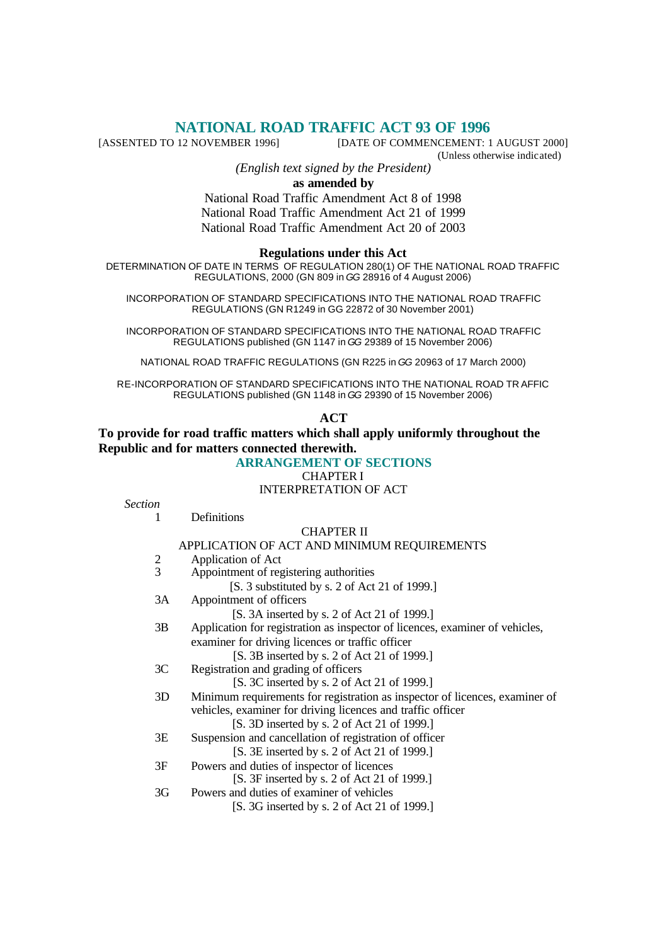# **NATIONAL ROAD TRAFFIC ACT 93 OF 1996**<br>[ASSENTED TO 12 NOVEMBER 1996] **DATE OF COMMENCEMENT**:

[DATE OF COMMENCEMENT: 1 AUGUST 2000] (Unless otherwise indicated)

*(English text signed by the President)*

### **as amended by**

National Road Traffic Amendment Act 8 of 1998 National Road Traffic Amendment Act 21 of 1999 National Road Traffic Amendment Act 20 of 2003

#### **Regulations under this Act**

DETERMINATION OF DATE IN TERMS OF REGULATION 280(1) OF THE NATIONAL ROAD TRAFFIC REGULATIONS, 2000 (GN 809 in *GG* 28916 of 4 August 2006)

INCORPORATION OF STANDARD SPECIFICATIONS INTO THE NATIONAL ROAD TRAFFIC REGULATIONS (GN R1249 in GG 22872 of 30 November 2001)

INCORPORATION OF STANDARD SPECIFICATIONS INTO THE NATIONAL ROAD TRAFFIC REGULATIONS published (GN 1147 in *GG* 29389 of 15 November 2006)

NATIONAL ROAD TRAFFIC REGULATIONS (GN R225 in *GG* 20963 of 17 March 2000)

RE-INCORPORATION OF STANDARD SPECIFICATIONS INTO THE NATIONAL ROAD TR AFFIC REGULATIONS published (GN 1148 in *GG* 29390 of 15 November 2006)

#### **ACT**

# **To provide for road traffic matters which shall apply uniformly throughout the Republic and for matters connected therewith.**

# **ARRANGEMENT OF SECTIONS**

CHAPTER I

### INTERPRETATION OF ACT

| <b>Section</b> |                                                                              |
|----------------|------------------------------------------------------------------------------|
| 1              | Definitions                                                                  |
|                | <b>CHAPTER II</b>                                                            |
|                | APPLICATION OF ACT AND MINIMUM REQUIREMENTS                                  |
| $\frac{2}{3}$  | Application of Act                                                           |
|                | Appointment of registering authorities                                       |
|                | [S. 3 substituted by s. 2 of Act 21 of 1999.]                                |
| 3A             | Appointment of officers                                                      |
|                | [S. 3A inserted by s. 2 of Act 21 of 1999.]                                  |
| 3B             | Application for registration as inspector of licences, examiner of vehicles, |
|                | examiner for driving licences or traffic officer                             |
|                | [S. 3B inserted by s. 2 of Act 21 of 1999.]                                  |
| 3C             | Registration and grading of officers                                         |
|                | [S. 3C inserted by s. 2 of Act 21 of 1999.]                                  |
| 3D             | Minimum requirements for registration as inspector of licences, examiner of  |
|                | vehicles, examiner for driving licences and traffic officer                  |
|                | [S. 3D inserted by s. 2 of Act 21 of 1999.]                                  |
| 3E             | Suspension and cancellation of registration of officer                       |
|                | [S. 3E inserted by s. 2 of Act 21 of 1999.]                                  |
| 3F             | Powers and duties of inspector of licences                                   |
|                | [S. 3F inserted by s. 2 of Act 21 of 1999.]                                  |
| 3G             | Powers and duties of examiner of vehicles                                    |
|                | [S. 3G inserted by s. 2 of Act 21 of 1999.]                                  |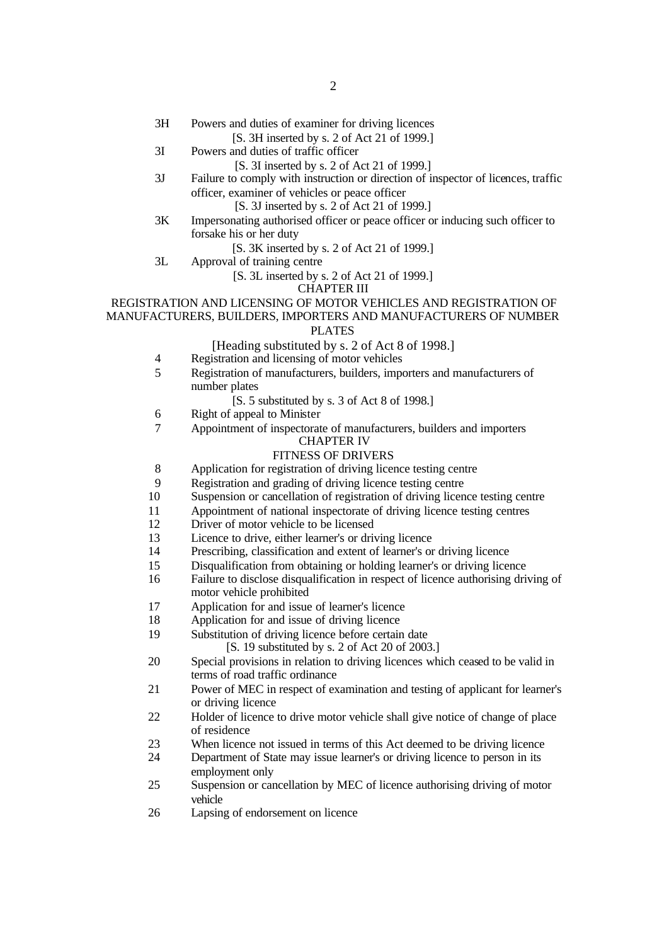3H Powers and duties of examiner for driving licences

### [S. 3H inserted by s. 2 of Act 21 of 1999.]

3I Powers and duties of traffic officer

- [S. 3I inserted by s. 2 of Act 21 of 1999.]
- 3J Failure to comply with instruction or direction of inspector of licences, traffic officer, examiner of vehicles or peace officer
	- [S. 3J inserted by s. 2 of Act 21 of 1999.]
- 3K Impersonating authorised officer or peace officer or inducing such officer to forsake his or her duty
	- [S. 3K inserted by s. 2 of Act 21 of 1999.]
- 3L Approval of training centre
	- [S. 3L inserted by s. 2 of Act 21 of 1999.]

CHAPTER III

# REGISTRATION AND LICENSING OF MOTOR VEHICLES AND REGISTRATION OF MANUFACTURERS, BUILDERS, IMPORTERS AND MANUFACTURERS OF NUMBER

### PLATES

[Heading substituted by s. 2 of Act 8 of 1998.]

- 4 Registration and licensing of motor vehicles
- 5 Registration of manufacturers, builders, importers and manufacturers of number plates

[S. 5 substituted by s. 3 of Act 8 of 1998.]

- 6 Right of appeal to Minister
- 7 Appointment of inspectorate of manufacturers, builders and importers

### CHAPTER IV

### FITNESS OF DRIVERS

- 8 Application for registration of driving licence testing centre
- 9 Registration and grading of driving licence testing centre
- 10 Suspension or cancellation of registration of driving licence testing centre
- 11 Appointment of national inspectorate of driving licence testing centres
- 12 Driver of motor vehicle to be licensed
- 13 Licence to drive, either learner's or driving licence
- 14 Prescribing, classification and extent of learner's or driving licence
- 15 Disqualification from obtaining or holding learner's or driving licence
- 16 Failure to disclose disqualification in respect of licence authorising driving of motor vehicle prohibited
- 17 Application for and issue of learner's licence
- 18 Application for and issue of driving licence
- 19 Substitution of driving licence before certain date

[S. 19 substituted by s. 2 of Act 20 of 2003.]

- 20 Special provisions in relation to driving licences which ceased to be valid in terms of road traffic ordinance
- 21 Power of MEC in respect of examination and testing of applicant for learner's or driving licence
- 22 Holder of licence to drive motor vehicle shall give notice of change of place of residence
- 23 When licence not issued in terms of this Act deemed to be driving licence
- 24 Department of State may issue learner's or driving licence to person in its employment only
- 25 Suspension or cancellation by MEC of licence authorising driving of motor vehicle
- 26 Lapsing of endorsement on licence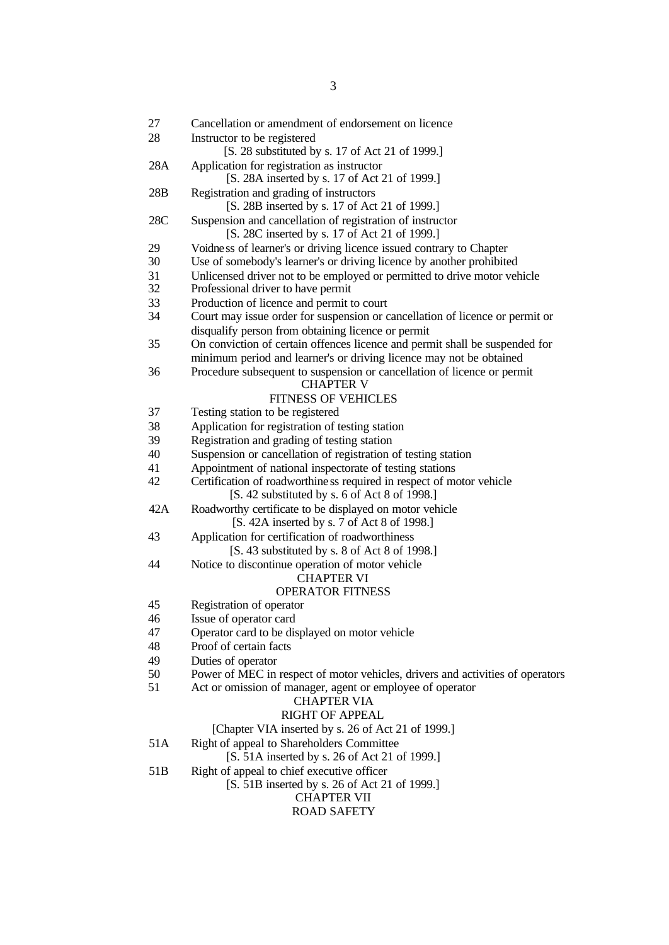| 27              | Cancellation or amendment of endorsement on licence                                                                   |
|-----------------|-----------------------------------------------------------------------------------------------------------------------|
| 28              | Instructor to be registered                                                                                           |
|                 | [S. 28 substituted by s. 17 of Act 21 of 1999.]                                                                       |
| 28A             | Application for registration as instructor<br>[S. 28A inserted by s. 17 of Act 21 of 1999.]                           |
| 28B             | Registration and grading of instructors<br>[S. 28B inserted by s. 17 of Act 21 of 1999.]                              |
| 28C             | Suspension and cancellation of registration of instructor                                                             |
|                 | [S. 28C inserted by s. 17 of Act 21 of 1999.]                                                                         |
| 29              | Voidness of learner's or driving licence issued contrary to Chapter                                                   |
| 30              | Use of somebody's learner's or driving licence by another prohibited                                                  |
| 31              | Unlicensed driver not to be employed or permitted to drive motor vehicle                                              |
| 32              | Professional driver to have permit                                                                                    |
| 33              | Production of licence and permit to court                                                                             |
| 34              | Court may issue order for suspension or cancellation of licence or permit or                                          |
|                 | disqualify person from obtaining licence or permit                                                                    |
| 35              | On conviction of certain offences licence and permit shall be suspended for                                           |
|                 | minimum period and learner's or driving licence may not be obtained                                                   |
| 36              | Procedure subsequent to suspension or cancellation of licence or permit<br><b>CHAPTER V</b>                           |
|                 | <b>FITNESS OF VEHICLES</b>                                                                                            |
| 37              | Testing station to be registered                                                                                      |
| 38              | Application for registration of testing station                                                                       |
| 39              | Registration and grading of testing station                                                                           |
| 40              | Suspension or cancellation of registration of testing station                                                         |
| 41              | Appointment of national inspectorate of testing stations                                                              |
| 42              | Certification of roadworthiness required in respect of motor vehicle<br>[S. 42 substituted by s. 6 of Act 8 of 1998.] |
| 42A             | Roadworthy certificate to be displayed on motor vehicle                                                               |
|                 | [S. 42A inserted by s. 7 of Act 8 of 1998.]                                                                           |
| 43              | Application for certification of roadworthiness<br>[S. 43 substituted by s. 8 of Act 8 of 1998.]                      |
| 44              | Notice to discontinue operation of motor vehicle<br><b>CHAPTER VI</b>                                                 |
|                 | <b>OPERATOR FITNESS</b>                                                                                               |
| 45              | Registration of operator                                                                                              |
| 46              | Issue of operator card                                                                                                |
| 47              | Operator card to be displayed on motor vehicle                                                                        |
| 48              | Proof of certain facts                                                                                                |
| 49              | Duties of operator                                                                                                    |
| 50              | Power of MEC in respect of motor vehicles, drivers and activities of operators                                        |
| 51              | Act or omission of manager, agent or employee of operator<br><b>CHAPTER VIA</b>                                       |
|                 | <b>RIGHT OF APPEAL</b>                                                                                                |
|                 | [Chapter VIA inserted by s. 26 of Act 21 of 1999.]                                                                    |
| 51A             | Right of appeal to Shareholders Committee                                                                             |
|                 | [S. 51A inserted by s. 26 of Act 21 of 1999.]                                                                         |
| 51 <sub>B</sub> | Right of appeal to chief executive officer                                                                            |
|                 | [S. 51B inserted by s. 26 of Act 21 of 1999.]                                                                         |
|                 | <b>CHAPTER VII</b>                                                                                                    |
|                 | <b>ROAD SAFETY</b>                                                                                                    |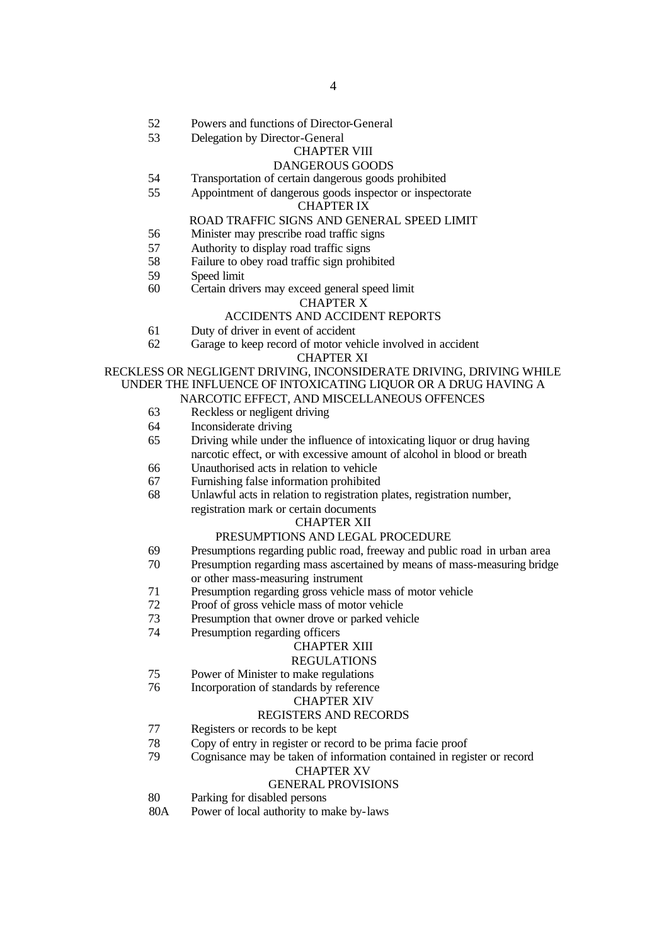- 52 Powers and functions of Director-General
- 53 Delegation by Director-General

#### CHAPTER VIII

#### DANGEROUS GOODS

- 54 Transportation of certain dangerous goods prohibited
- 55 Appointment of dangerous goods inspector or inspectorate

#### CHAPTER IX

#### ROAD TRAFFIC SIGNS AND GENERAL SPEED LIMIT

- 56 Minister may prescribe road traffic signs
- 57 Authority to display road traffic signs
- 58 Failure to obey road traffic sign prohibited
- 59 Speed limit<br>60 Certain driv
- Certain drivers may exceed general speed limit

#### CHAPTER X

#### ACCIDENTS AND ACCIDENT REPORTS

- 61 Duty of driver in event of accident
- 62 Garage to keep record of motor vehicle involved in accident CHAPTER XI

#### RECKLESS OR NEGLIGENT DRIVING, INCONSIDERATE DRIVING, DRIVING WHILE UNDER THE INFLUENCE OF INTOXICATING LIQUOR OR A DRUG HAVING A NARCOTIC EFFECT, AND MISCELLANEOUS OFFENCES

- 63 Reckless or negligent driving
- 64 Inconsiderate driving
- 65 Driving while under the influence of intoxicating liquor or drug having narcotic effect, or with excessive amount of alcohol in blood or breath 66 Unauthorised acts in relation to vehicle
- 
- 67 Furnishing false information prohibited
- 68 Unlawful acts in relation to registration plates, registration number, registration mark or certain documents

#### CHAPTER XII

#### PRESUMPTIONS AND LEGAL PROCEDURE

- 69 Presumptions regarding public road, freeway and public road in urban area
- 70 Presumption regarding mass ascertained by means of mass-measuring bridge or other mass-measuring instrument
- 71 Presumption regarding gross vehicle mass of motor vehicle
- 72 Proof of gross vehicle mass of motor vehicle
- 73 Presumption that owner drove or parked vehicle
- 74 Presumption regarding officers

### CHAPTER XIII

### REGULATIONS

75 Power of Minister to make regulations

# 76 Incorporation of standards by reference

### CHAPTER XIV

### REGISTERS AND RECORDS

- 77 Registers or records to be kept
- 78 Copy of entry in register or record to be prima facie proof
- 79 Cognisance may be taken of information contained in register or record

# CHAPTER XV

### GENERAL PROVISIONS

- 80 Parking for disabled persons
- 80A Power of local authority to make by-laws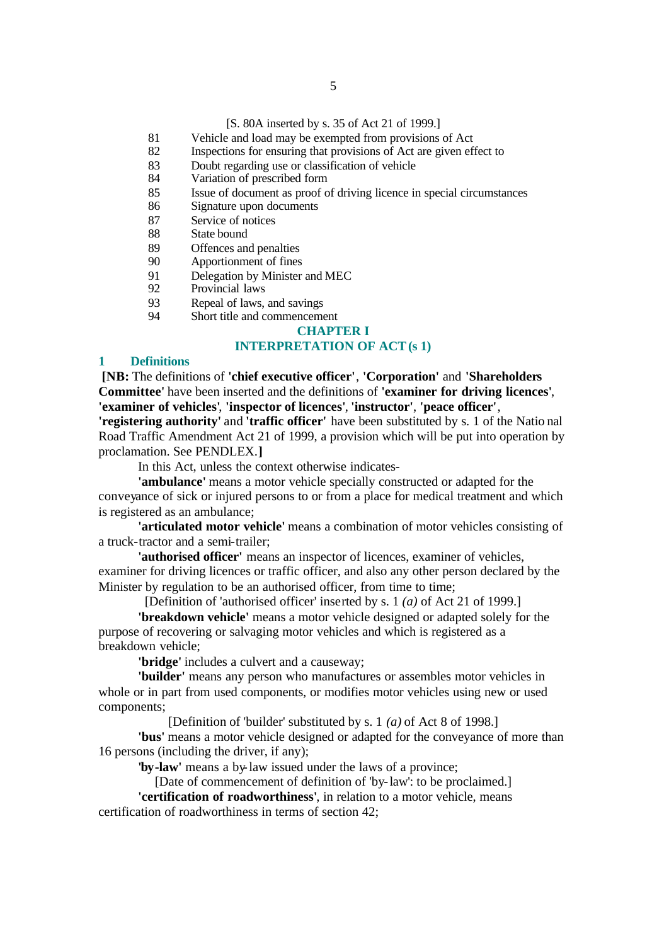#### [S. 80A inserted by s. 35 of Act 21 of 1999.]

- 81 Vehicle and load may be exempted from provisions of Act
- 82 Inspections for ensuring that provisions of Act are given effect to
- 83 Doubt regarding use or classification of vehicle
- 84 Variation of prescribed form
- 85 Issue of document as proof of driving licence in special circumstances
- 86 Signature upon documents
- 87 Service of notices
- 88 State bound
- 89 Offences and penalties
- 90 Apportionment of fines
- 91 Delegation by Minister and MEC<br>92 Provincial laws
- Provincial laws
- 93 Repeal of laws, and savings
- 94 Short title and commencement

### **CHAPTER I**

### **INTERPRETATION OF ACT(s 1)**

#### **1 Definitions**

**[NB:** The definitions of **'chief executive officer'**, **'Corporation'** and **'Shareholders Committee'** have been inserted and the definitions of **'examiner for driving licences'**, **'examiner of vehicles'**, **'inspector of licences'**, **'instructor'**, **'peace officer'**,

**'registering authority'** and **'traffic officer'** have been substituted by s. 1 of the Natio nal Road Traffic Amendment Act 21 of 1999, a provision which will be put into operation by proclamation. See PENDLEX.**]**

In this Act, unless the context otherwise indicates-

**'ambulance'** means a motor vehicle specially constructed or adapted for the conveyance of sick or injured persons to or from a place for medical treatment and which is registered as an ambulance;

**'articulated motor vehicle'** means a combination of motor vehicles consisting of a truck-tractor and a semi-trailer;

**'authorised officer'** means an inspector of licences, examiner of vehicles, examiner for driving licences or traffic officer, and also any other person declared by the Minister by regulation to be an authorised officer, from time to time;

[Definition of 'authorised officer' inserted by s. 1 *(a)* of Act 21 of 1999.]

**'breakdown vehicle'** means a motor vehicle designed or adapted solely for the purpose of recovering or salvaging motor vehicles and which is registered as a breakdown vehicle;

**'bridge'** includes a culvert and a causeway;

**'builder'** means any person who manufactures or assembles motor vehicles in whole or in part from used components, or modifies motor vehicles using new or used components;

[Definition of 'builder' substituted by s. 1 *(a)* of Act 8 of 1998.]

**'bus'** means a motor vehicle designed or adapted for the conveyance of more than 16 persons (including the driver, if any);

**'by-law'** means a by-law issued under the laws of a province;

[Date of commencement of definition of 'by-law': to be proclaimed.]

**'certification of roadworthiness'**, in relation to a motor vehicle, means certification of roadworthiness in terms of section 42;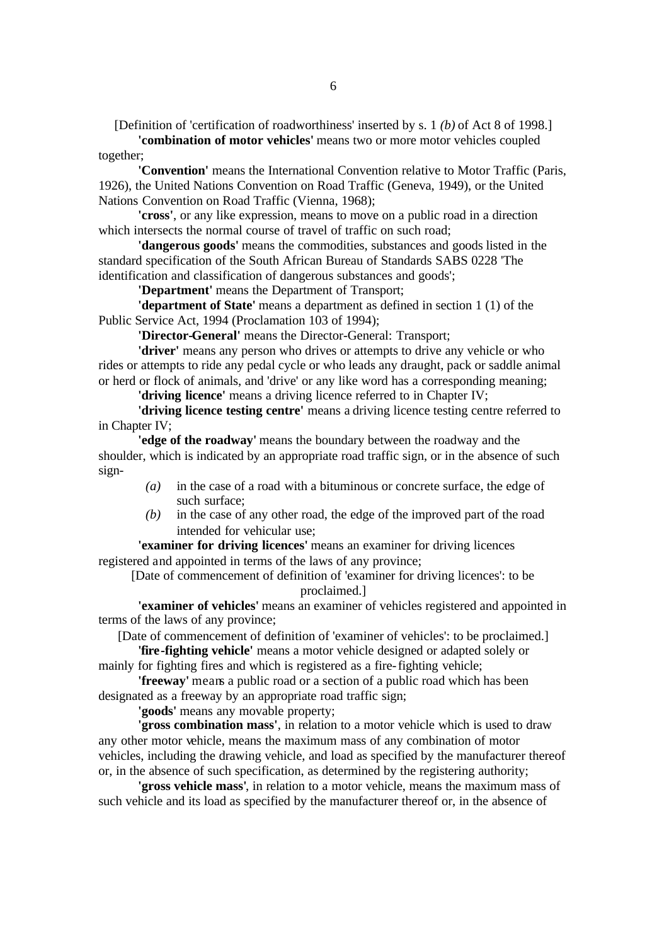[Definition of 'certification of roadworthiness' inserted by s. 1 *(b)* of Act 8 of 1998.]

**'combination of motor vehicles'** means two or more motor vehicles coupled together;

**'Convention'** means the International Convention relative to Motor Traffic (Paris, 1926), the United Nations Convention on Road Traffic (Geneva, 1949), or the United Nations Convention on Road Traffic (Vienna, 1968);

**'cross'**, or any like expression, means to move on a public road in a direction which intersects the normal course of travel of traffic on such road:

**'dangerous goods'** means the commodities, substances and goods listed in the standard specification of the South African Bureau of Standards SABS 0228 'The identification and classification of dangerous substances and goods';

**'Department'** means the Department of Transport;

**'department of State'** means a department as defined in section 1 (1) of the Public Service Act, 1994 (Proclamation 103 of 1994);

**'Director-General'** means the Director-General: Transport;

**'driver'** means any person who drives or attempts to drive any vehicle or who rides or attempts to ride any pedal cycle or who leads any draught, pack or saddle animal or herd or flock of animals, and 'drive' or any like word has a corresponding meaning;

**'driving licence'** means a driving licence referred to in Chapter IV;

**'driving licence testing centre'** means a driving licence testing centre referred to in Chapter IV;

**'edge of the roadway'** means the boundary between the roadway and the shoulder, which is indicated by an appropriate road traffic sign, or in the absence of such sign-

- *(a)* in the case of a road with a bituminous or concrete surface, the edge of such surface;
- *(b)* in the case of any other road, the edge of the improved part of the road intended for vehicular use;

**'examiner for driving licences'** means an examiner for driving licences registered and appointed in terms of the laws of any province;

[Date of commencement of definition of 'examiner for driving licences': to be proclaimed.]

**'examiner of vehicles'** means an examiner of vehicles registered and appointed in terms of the laws of any province;

[Date of commencement of definition of 'examiner of vehicles': to be proclaimed.]

**'fire-fighting vehicle'** means a motor vehicle designed or adapted solely or mainly for fighting fires and which is registered as a fire-fighting vehicle;

**'freeway'** means a public road or a section of a public road which has been designated as a freeway by an appropriate road traffic sign;

**'goods'** means any movable property;

**'gross combination mass'**, in relation to a motor vehicle which is used to draw any other motor vehicle, means the maximum mass of any combination of motor vehicles, including the drawing vehicle, and load as specified by the manufacturer thereof or, in the absence of such specification, as determined by the registering authority;

**'gross vehicle mass'**, in relation to a motor vehicle, means the maximum mass of such vehicle and its load as specified by the manufacturer thereof or, in the absence of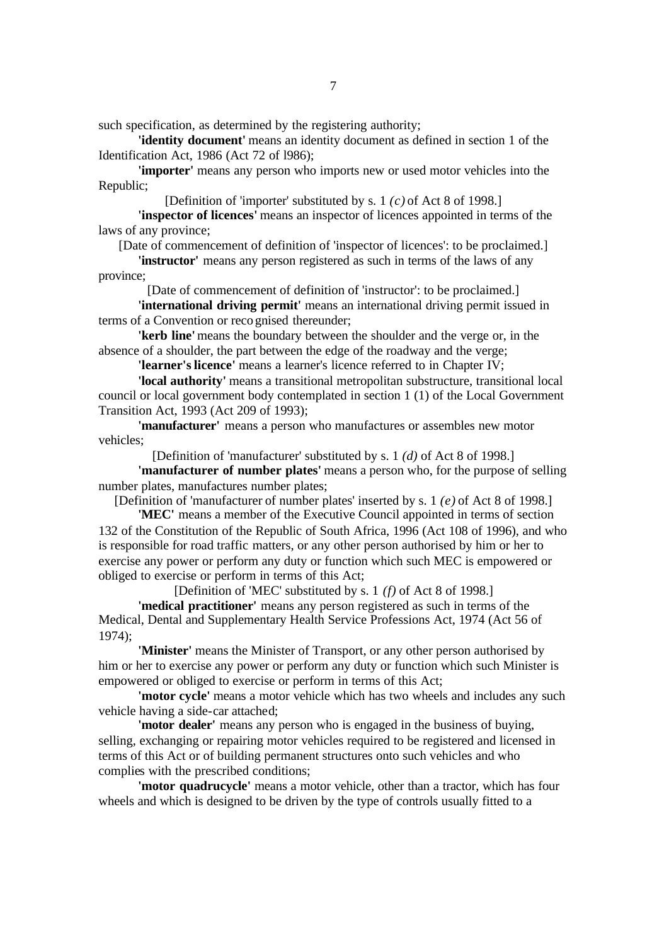such specification, as determined by the registering authority;

**'identity document'** means an identity document as defined in section 1 of the Identification Act, 1986 (Act 72 of l986);

**'importer'** means any person who imports new or used motor vehicles into the Republic;

[Definition of 'importer' substituted by s. 1 *(c)* of Act 8 of 1998.]

**'inspector of licences'** means an inspector of licences appointed in terms of the laws of any province;

[Date of commencement of definition of 'inspector of licences': to be proclaimed.]

**'instructor'** means any person registered as such in terms of the laws of any province;

[Date of commencement of definition of 'instructor': to be proclaimed.]

**'international driving permit'** means an international driving permit issued in terms of a Convention or reco gnised thereunder;

**'kerb line'** means the boundary between the shoulder and the verge or, in the absence of a shoulder, the part between the edge of the roadway and the verge;

**'learner's licence'** means a learner's licence referred to in Chapter IV;

**'local authority'** means a transitional metropolitan substructure, transitional local council or local government body contemplated in section 1 (1) of the Local Government Transition Act, 1993 (Act 209 of 1993);

**'manufacturer'** means a person who manufactures or assembles new motor vehicles;

[Definition of 'manufacturer' substituted by s. 1 *(d)* of Act 8 of 1998.]

**'manufacturer of number plates'** means a person who, for the purpose of selling number plates, manufactures number plates;

[Definition of 'manufacturer of number plates' inserted by s. 1 *(e)* of Act 8 of 1998.]

**'MEC'** means a member of the Executive Council appointed in terms of section 132 of the Constitution of the Republic of South Africa, 1996 (Act 108 of 1996), and who is responsible for road traffic matters, or any other person authorised by him or her to exercise any power or perform any duty or function which such MEC is empowered or obliged to exercise or perform in terms of this Act;

[Definition of 'MEC' substituted by s. 1 *(f)* of Act 8 of 1998.]

**'medical practitioner'** means any person registered as such in terms of the Medical, Dental and Supplementary Health Service Professions Act, 1974 (Act 56 of 1974);

**'Minister'** means the Minister of Transport, or any other person authorised by him or her to exercise any power or perform any duty or function which such Minister is empowered or obliged to exercise or perform in terms of this Act;

**'motor cycle'** means a motor vehicle which has two wheels and includes any such vehicle having a side-car attached;

**'motor dealer'** means any person who is engaged in the business of buying, selling, exchanging or repairing motor vehicles required to be registered and licensed in terms of this Act or of building permanent structures onto such vehicles and who complies with the prescribed conditions;

**'motor quadrucycle'** means a motor vehicle, other than a tractor, which has four wheels and which is designed to be driven by the type of controls usually fitted to a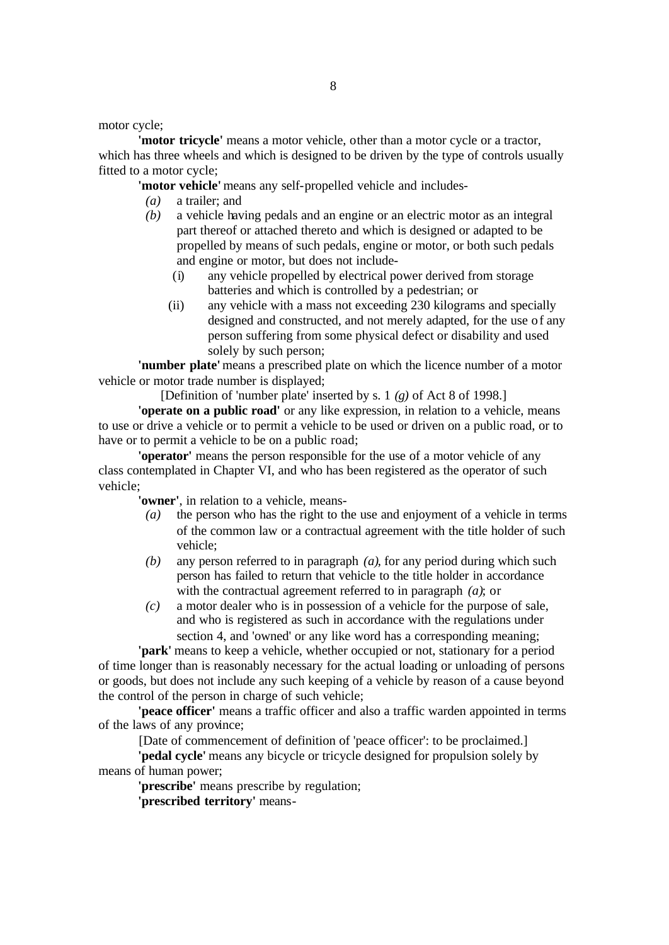motor cycle;

**'motor tricycle'** means a motor vehicle, other than a motor cycle or a tractor, which has three wheels and which is designed to be driven by the type of controls usually fitted to a motor cycle;

**'motor vehicle'** means any self-propelled vehicle and includes-

- *(a)* a trailer; and
- *(b)* a vehicle having pedals and an engine or an electric motor as an integral part thereof or attached thereto and which is designed or adapted to be propelled by means of such pedals, engine or motor, or both such pedals and engine or motor, but does not include-
	- (i) any vehicle propelled by electrical power derived from storage batteries and which is controlled by a pedestrian; or
	- (ii) any vehicle with a mass not exceeding 230 kilograms and specially designed and constructed, and not merely adapted, for the use of any person suffering from some physical defect or disability and used solely by such person;

**'number plate'** means a prescribed plate on which the licence number of a motor vehicle or motor trade number is displayed;

[Definition of 'number plate' inserted by s. 1 *(g)* of Act 8 of 1998.]

**'operate on a public road'** or any like expression, in relation to a vehicle, means to use or drive a vehicle or to permit a vehicle to be used or driven on a public road, or to have or to permit a vehicle to be on a public road;

**'operator'** means the person responsible for the use of a motor vehicle of any class contemplated in Chapter VI, and who has been registered as the operator of such vehicle;

**'owner'**, in relation to a vehicle, means-

- *(a)* the person who has the right to the use and enjoyment of a vehicle in terms of the common law or a contractual agreement with the title holder of such vehicle;
- *(b)* any person referred to in paragraph *(a)*, for any period during which such person has failed to return that vehicle to the title holder in accordance with the contractual agreement referred to in paragraph *(a)*; or
- *(c)* a motor dealer who is in possession of a vehicle for the purpose of sale, and who is registered as such in accordance with the regulations under section 4, and 'owned' or any like word has a corresponding meaning;

**'park'** means to keep a vehicle, whether occupied or not, stationary for a period of time longer than is reasonably necessary for the actual loading or unloading of persons or goods, but does not include any such keeping of a vehicle by reason of a cause beyond the control of the person in charge of such vehicle;

**'peace officer'** means a traffic officer and also a traffic warden appointed in terms of the laws of any province;

[Date of commencement of definition of 'peace officer': to be proclaimed.]

**'pedal cycle'** means any bicycle or tricycle designed for propulsion solely by means of human power;

**'prescribe'** means prescribe by regulation;

**'prescribed territory'** means-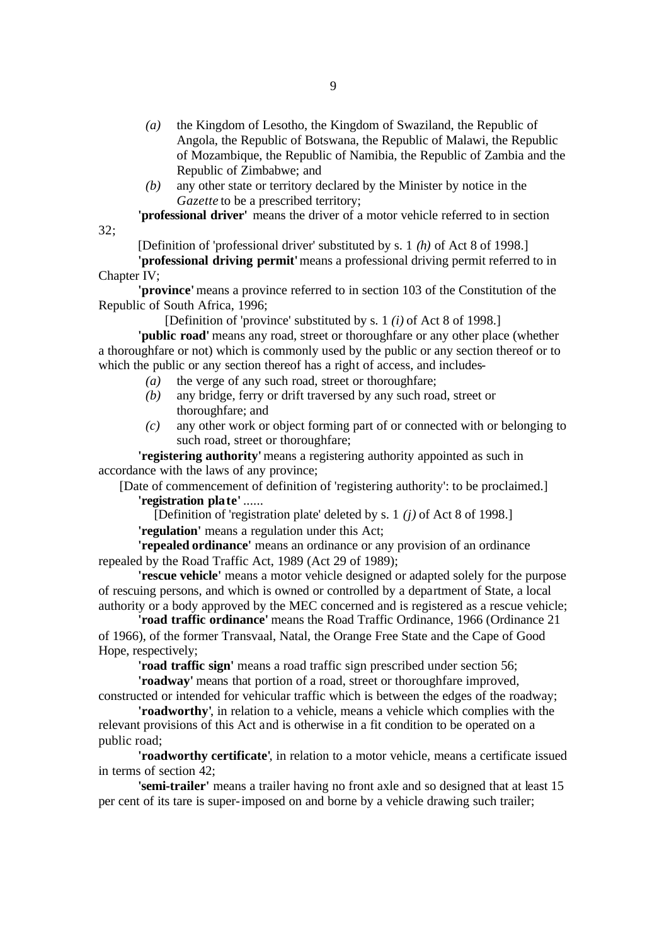- *(a)* the Kingdom of Lesotho, the Kingdom of Swaziland, the Republic of Angola, the Republic of Botswana, the Republic of Malawi, the Republic of Mozambique, the Republic of Namibia, the Republic of Zambia and the Republic of Zimbabwe; and
- *(b)* any other state or territory declared by the Minister by notice in the *Gazette* to be a prescribed territory;

**'professional driver'** means the driver of a motor vehicle referred to in section

32;

[Definition of 'professional driver' substituted by s. 1 *(h)* of Act 8 of 1998.]

**'professional driving permit'** means a professional driving permit referred to in Chapter IV;

**'province'** means a province referred to in section 103 of the Constitution of the Republic of South Africa, 1996;

[Definition of 'province' substituted by s. 1 *(i)* of Act 8 of 1998.]

**'public road'** means any road, street or thoroughfare or any other place (whether a thoroughfare or not) which is commonly used by the public or any section thereof or to which the public or any section thereof has a right of access, and includes-

- *(a)* the verge of any such road, street or thoroughfare;
- *(b)* any bridge, ferry or drift traversed by any such road, street or thoroughfare; and
- *(c)* any other work or object forming part of or connected with or belonging to such road, street or thoroughfare;

**'registering authority'** means a registering authority appointed as such in accordance with the laws of any province;

[Date of commencement of definition of 'registering authority': to be proclaimed.] **'registration plate'** ......

[Definition of 'registration plate' deleted by s. 1 *(j)* of Act 8 of 1998.]

**'regulation'** means a regulation under this Act;

**'repealed ordinance'** means an ordinance or any provision of an ordinance repealed by the Road Traffic Act, 1989 (Act 29 of 1989);

**'rescue vehicle'** means a motor vehicle designed or adapted solely for the purpose of rescuing persons, and which is owned or controlled by a department of State, a local authority or a body approved by the MEC concerned and is registered as a rescue vehicle;

**'road traffic ordinance'** means the Road Traffic Ordinance, 1966 (Ordinance 21 of 1966), of the former Transvaal, Natal, the Orange Free State and the Cape of Good Hope, respectively;

**'road traffic sign'** means a road traffic sign prescribed under section 56;

**'roadway'** means that portion of a road, street or thoroughfare improved,

constructed or intended for vehicular traffic which is between the edges of the roadway; **'roadworthy'**, in relation to a vehicle, means a vehicle which complies with the relevant provisions of this Act and is otherwise in a fit condition to be operated on a

public road;

**'roadworthy certificate'**, in relation to a motor vehicle, means a certificate issued in terms of section 42;

**'semi-trailer'** means a trailer having no front axle and so designed that at least 15 per cent of its tare is super-imposed on and borne by a vehicle drawing such trailer;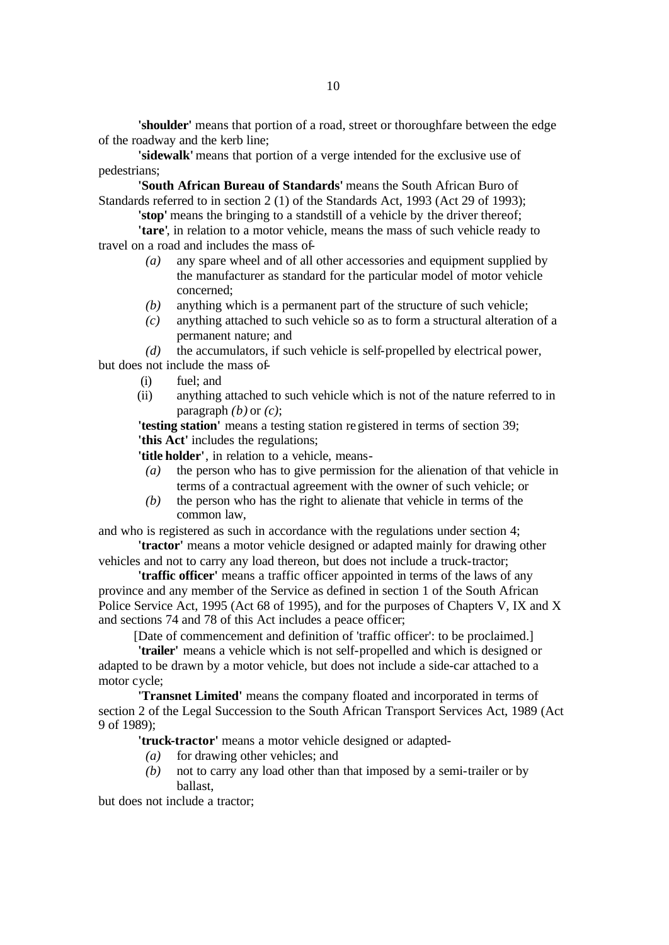**'shoulder'** means that portion of a road, street or thoroughfare between the edge of the roadway and the kerb line;

**'sidewalk'** means that portion of a verge intended for the exclusive use of pedestrians;

**'South African Bureau of Standards'** means the South African Buro of Standards referred to in section 2 (1) of the Standards Act, 1993 (Act 29 of 1993);

**'stop'** means the bringing to a standstill of a vehicle by the driver thereof;

**'tare'**, in relation to a motor vehicle, means the mass of such vehicle ready to travel on a road and includes the mass of-

- *(a)* any spare wheel and of all other accessories and equipment supplied by the manufacturer as standard for the particular model of motor vehicle concerned;
- *(b)* anything which is a permanent part of the structure of such vehicle;
- *(c)* anything attached to such vehicle so as to form a structural alteration of a permanent nature; and

*(d)* the accumulators, if such vehicle is self-propelled by electrical power,

but does not include the mass of-

- (i) fuel; and
- (ii) anything attached to such vehicle which is not of the nature referred to in paragraph *(b)* or *(c)*;

**'testing station'** means a testing station registered in terms of section 39; **'this Act'** includes the regulations;

**'title holder'**, in relation to a vehicle, means-

- *(a)* the person who has to give permission for the alienation of that vehicle in terms of a contractual agreement with the owner of such vehicle; or
- *(b)* the person who has the right to alienate that vehicle in terms of the common law,

and who is registered as such in accordance with the regulations under section 4;

**'tractor'** means a motor vehicle designed or adapted mainly for drawing other vehicles and not to carry any load thereon, but does not include a truck-tractor;

**'traffic officer'** means a traffic officer appointed in terms of the laws of any province and any member of the Service as defined in section 1 of the South African Police Service Act, 1995 (Act 68 of 1995), and for the purposes of Chapters V, IX and X and sections 74 and 78 of this Act includes a peace officer;

[Date of commencement and definition of 'traffic officer': to be proclaimed.]

**'trailer'** means a vehicle which is not self-propelled and which is designed or adapted to be drawn by a motor vehicle, but does not include a side-car attached to a motor cycle;

**'Transnet Limited'** means the company floated and incorporated in terms of section 2 of the Legal Succession to the South African Transport Services Act, 1989 (Act 9 of 1989);

**'truck-tractor'** means a motor vehicle designed or adapted-

- *(a)* for drawing other vehicles; and
- *(b)* not to carry any load other than that imposed by a semi-trailer or by ballast,

but does not include a tractor;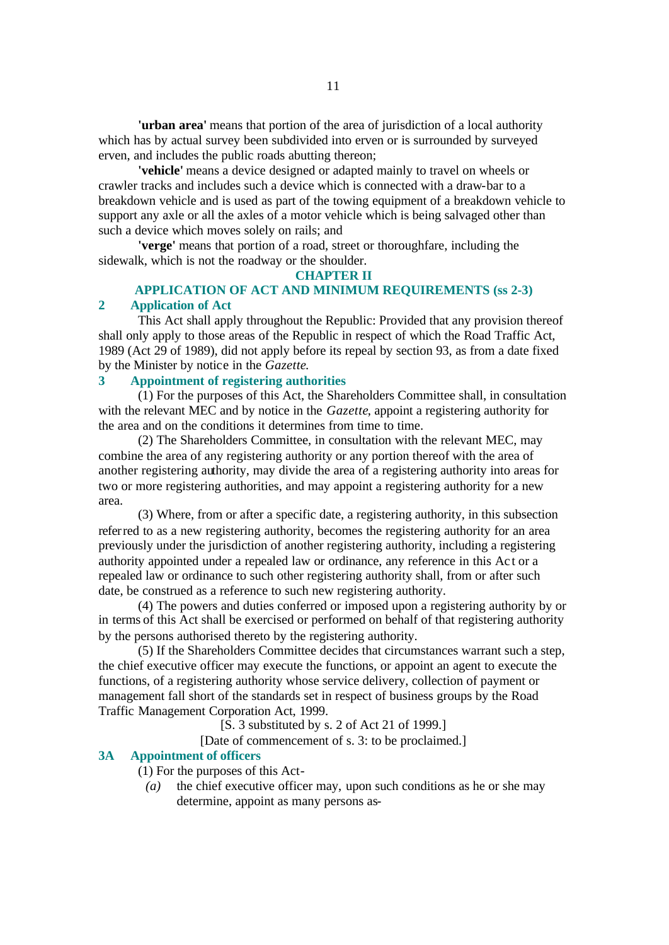**'urban area'** means that portion of the area of jurisdiction of a local authority which has by actual survey been subdivided into erven or is surrounded by surveyed erven, and includes the public roads abutting thereon;

**'vehicle'** means a device designed or adapted mainly to travel on wheels or crawler tracks and includes such a device which is connected with a draw-bar to a breakdown vehicle and is used as part of the towing equipment of a breakdown vehicle to support any axle or all the axles of a motor vehicle which is being salvaged other than such a device which moves solely on rails; and

**'verge'** means that portion of a road, street or thoroughfare, including the sidewalk, which is not the roadway or the shoulder.

### **CHAPTER II**

### **APPLICATION OF ACT AND MINIMUM REQUIREMENTS (ss 2-3) 2 Application of Act**

This Act shall apply throughout the Republic: Provided that any provision thereof shall only apply to those areas of the Republic in respect of which the Road Traffic Act, 1989 (Act 29 of 1989), did not apply before its repeal by section 93, as from a date fixed by the Minister by notice in the *Gazette*.

### **3 Appointment of registering authorities**

(1) For the purposes of this Act, the Shareholders Committee shall, in consultation with the relevant MEC and by notice in the *Gazette*, appoint a registering authority for the area and on the conditions it determines from time to time.

(2) The Shareholders Committee, in consultation with the relevant MEC, may combine the area of any registering authority or any portion thereof with the area of another registering authority, may divide the area of a registering authority into areas for two or more registering authorities, and may appoint a registering authority for a new area.

(3) Where, from or after a specific date, a registering authority, in this subsection referred to as a new registering authority, becomes the registering authority for an area previously under the jurisdiction of another registering authority, including a registering authority appointed under a repealed law or ordinance, any reference in this Act or a repealed law or ordinance to such other registering authority shall, from or after such date, be construed as a reference to such new registering authority.

(4) The powers and duties conferred or imposed upon a registering authority by or in terms of this Act shall be exercised or performed on behalf of that registering authority by the persons authorised thereto by the registering authority.

(5) If the Shareholders Committee decides that circumstances warrant such a step, the chief executive officer may execute the functions, or appoint an agent to execute the functions, of a registering authority whose service delivery, collection of payment or management fall short of the standards set in respect of business groups by the Road Traffic Management Corporation Act, 1999.

 $[\hat{S}$ . 3 substituted by s. 2 of Act 21 of 1999.]

[Date of commencement of s. 3: to be proclaimed.]

### **3A Appointment of officers**

(1) For the purposes of this Act-

*(a)* the chief executive officer may, upon such conditions as he or she may determine, appoint as many persons as-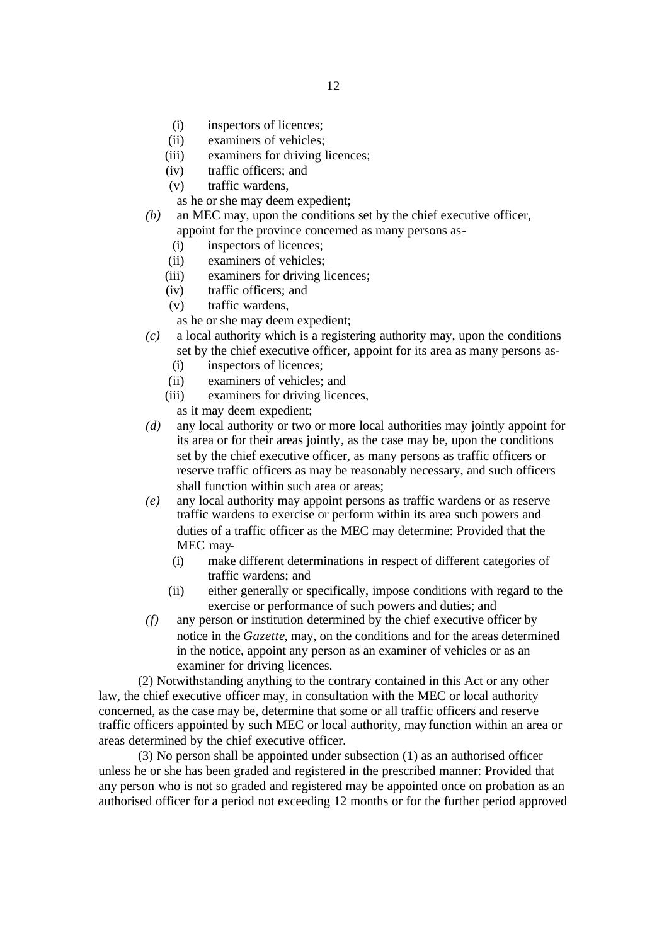- (i) inspectors of licences;
- (ii) examiners of vehicles;
- (iii) examiners for driving licences;
- (iv) traffic officers; and
- (v) traffic wardens,
- as he or she may deem expedient;
- *(b)* an MEC may, upon the conditions set by the chief executive officer, appoint for the province concerned as many persons as-
	- (i) inspectors of licences;
	- (ii) examiners of vehicles;
	- (iii) examiners for driving licences;
	- (iv) traffic officers; and
	- (v) traffic wardens,

as he or she may deem expedient;

- *(c)* a local authority which is a registering authority may, upon the conditions set by the chief executive officer, appoint for its area as many persons as-
	- (i) inspectors of licences;
	- (ii) examiners of vehicles; and
	- (iii) examiners for driving licences,
		- as it may deem expedient;
- *(d)* any local authority or two or more local authorities may jointly appoint for its area or for their areas jointly, as the case may be, upon the conditions set by the chief executive officer, as many persons as traffic officers or reserve traffic officers as may be reasonably necessary, and such officers shall function within such area or areas;
- *(e)* any local authority may appoint persons as traffic wardens or as reserve traffic wardens to exercise or perform within its area such powers and duties of a traffic officer as the MEC may determine: Provided that the MEC may-
	- (i) make different determinations in respect of different categories of traffic wardens; and
	- (ii) either generally or specifically, impose conditions with regard to the exercise or performance of such powers and duties; and
- *(f)* any person or institution determined by the chief executive officer by notice in the *Gazette*, may, on the conditions and for the areas determined in the notice, appoint any person as an examiner of vehicles or as an examiner for driving licences.

(2) Notwithstanding anything to the contrary contained in this Act or any other law, the chief executive officer may, in consultation with the MEC or local authority concerned, as the case may be, determine that some or all traffic officers and reserve traffic officers appointed by such MEC or local authority, may function within an area or areas determined by the chief executive officer.

(3) No person shall be appointed under subsection (1) as an authorised officer unless he or she has been graded and registered in the prescribed manner: Provided that any person who is not so graded and registered may be appointed once on probation as an authorised officer for a period not exceeding 12 months or for the further period approved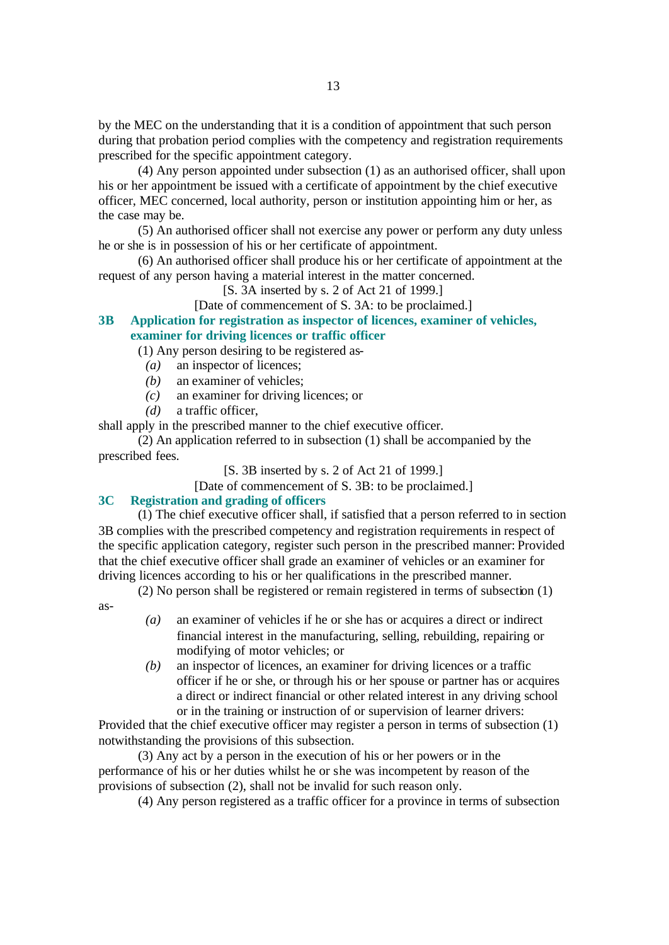by the MEC on the understanding that it is a condition of appointment that such person during that probation period complies with the competency and registration requirements prescribed for the specific appointment category.

(4) Any person appointed under subsection (1) as an authorised officer, shall upon his or her appointment be issued with a certificate of appointment by the chief executive officer, MEC concerned, local authority, person or institution appointing him or her, as the case may be.

(5) An authorised officer shall not exercise any power or perform any duty unless he or she is in possession of his or her certificate of appointment.

(6) An authorised officer shall produce his or her certificate of appointment at the request of any person having a material interest in the matter concerned.

[S. 3A inserted by s. 2 of Act 21 of 1999.]

[Date of commencement of S. 3A: to be proclaimed.]

**3B Application for registration as inspector of licences, examiner of vehicles, examiner for driving licences or traffic officer**

(1) Any person desiring to be registered as-

- *(a)* an inspector of licences;
- *(b)* an examiner of vehicles;
- *(c)* an examiner for driving licences; or
- *(d)* a traffic officer,

shall apply in the prescribed manner to the chief executive officer.

(2) An application referred to in subsection (1) shall be accompanied by the prescribed fees.

[S. 3B inserted by s. 2 of Act 21 of 1999.]

[Date of commencement of S, 3B: to be proclaimed.]

#### **3C Registration and grading of officers**

(1) The chief executive officer shall, if satisfied that a person referred to in section 3B complies with the prescribed competency and registration requirements in respect of the specific application category, register such person in the prescribed manner: Provided that the chief executive officer shall grade an examiner of vehicles or an examiner for driving licences according to his or her qualifications in the prescribed manner.

(2) No person shall be registered or remain registered in terms of subsection (1)

as-

- *(a)* an examiner of vehicles if he or she has or acquires a direct or indirect financial interest in the manufacturing, selling, rebuilding, repairing or modifying of motor vehicles; or
- *(b)* an inspector of licences, an examiner for driving licences or a traffic officer if he or she, or through his or her spouse or partner has or acquires a direct or indirect financial or other related interest in any driving school or in the training or instruction of or supervision of learner drivers:

Provided that the chief executive officer may register a person in terms of subsection (1) notwithstanding the provisions of this subsection.

(3) Any act by a person in the execution of his or her powers or in the performance of his or her duties whilst he or she was incompetent by reason of the provisions of subsection (2), shall not be invalid for such reason only.

(4) Any person registered as a traffic officer for a province in terms of subsection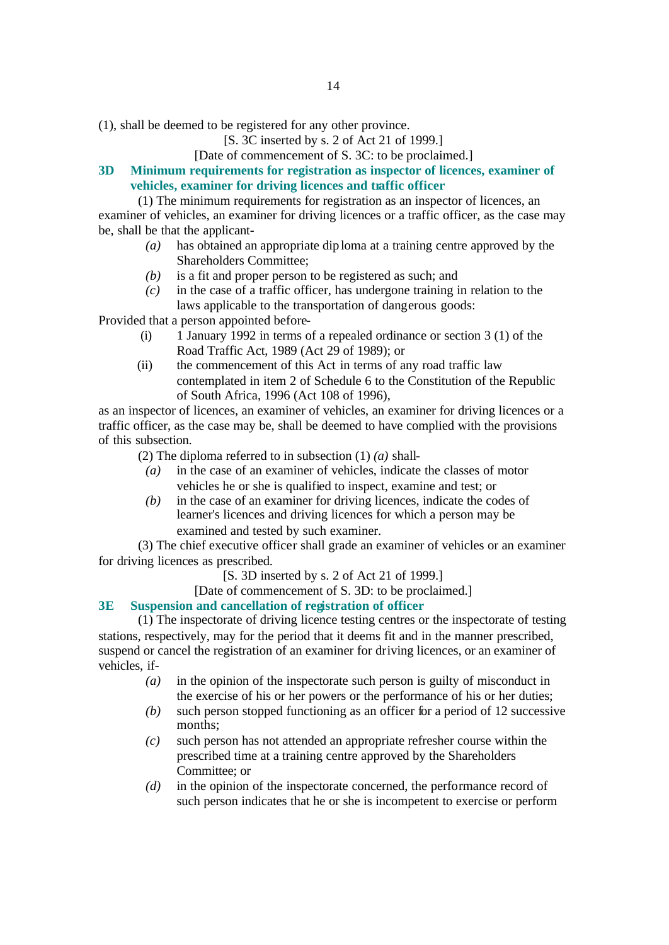(1), shall be deemed to be registered for any other province.

[S. 3C inserted by s. 2 of Act 21 of 1999.]

### [Date of commencement of S. 3C: to be proclaimed.]

**3D Minimum requirements for registration as inspector of licences, examiner of vehicles, examiner for driving licences and traffic officer**

(1) The minimum requirements for registration as an inspector of licences, an examiner of vehicles, an examiner for driving licences or a traffic officer, as the case may be, shall be that the applicant-

- *(a)* has obtained an appropriate dip loma at a training centre approved by the Shareholders Committee;
- *(b)* is a fit and proper person to be registered as such; and
- *(c)* in the case of a traffic officer, has undergone training in relation to the laws applicable to the transportation of dangerous goods:

Provided that a person appointed before-

- (i) 1 January 1992 in terms of a repealed ordinance or section 3 (1) of the Road Traffic Act, 1989 (Act 29 of 1989); or
- (ii) the commencement of this Act in terms of any road traffic law contemplated in item 2 of Schedule 6 to the Constitution of the Republic of South Africa, 1996 (Act 108 of 1996),

as an inspector of licences, an examiner of vehicles, an examiner for driving licences or a traffic officer, as the case may be, shall be deemed to have complied with the provisions of this subsection.

(2) The diploma referred to in subsection (1) *(a)* shall-

- *(a)* in the case of an examiner of vehicles, indicate the classes of motor vehicles he or she is qualified to inspect, examine and test; or
- *(b)* in the case of an examiner for driving licences, indicate the codes of learner's licences and driving licences for which a person may be examined and tested by such examiner.

(3) The chief executive officer shall grade an examiner of vehicles or an examiner for driving licences as prescribed.

[S. 3D inserted by s. 2 of Act 21 of 1999.]

[Date of commencement of S. 3D: to be proclaimed.]

### **3E Suspension and cancellation of registration of officer**

(1) The inspectorate of driving licence testing centres or the inspectorate of testing stations, respectively, may for the period that it deems fit and in the manner prescribed, suspend or cancel the registration of an examiner for driving licences, or an examiner of vehicles, if-

- *(a)* in the opinion of the inspectorate such person is guilty of misconduct in the exercise of his or her powers or the performance of his or her duties;
- *(b)* such person stopped functioning as an officer for a period of 12 successive months;
- *(c)* such person has not attended an appropriate refresher course within the prescribed time at a training centre approved by the Shareholders Committee; or
- *(d)* in the opinion of the inspectorate concerned, the performance record of such person indicates that he or she is incompetent to exercise or perform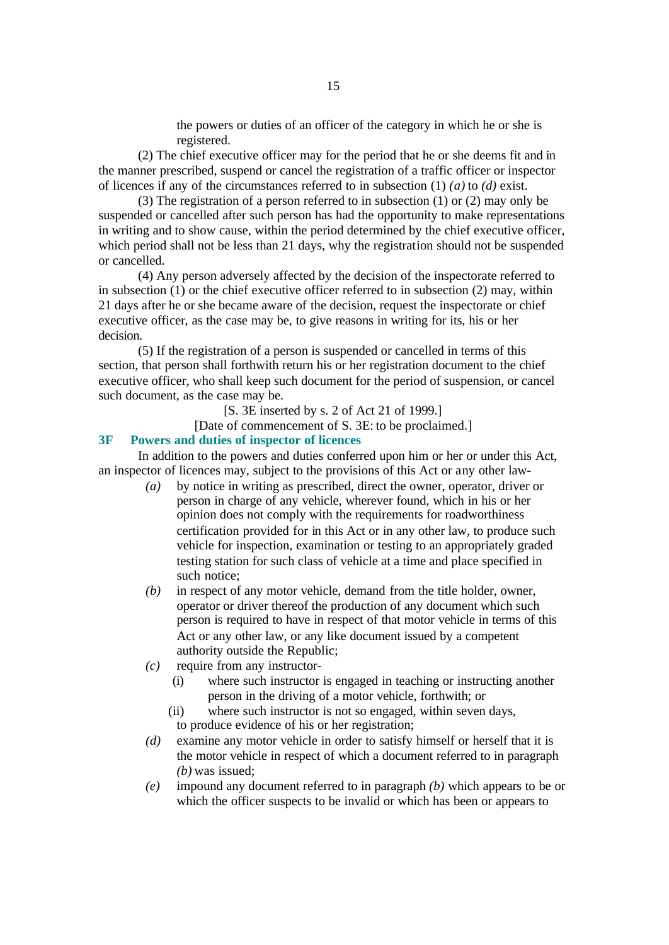the powers or duties of an officer of the category in which he or she is registered.

(2) The chief executive officer may for the period that he or she deems fit and in the manner prescribed, suspend or cancel the registration of a traffic officer or inspector of licences if any of the circumstances referred to in subsection (1) *(a)* to *(d)* exist.

(3) The registration of a person referred to in subsection (1) or (2) may only be suspended or cancelled after such person has had the opportunity to make representations in writing and to show cause, within the period determined by the chief executive officer, which period shall not be less than 21 days, why the registration should not be suspended or cancelled.

(4) Any person adversely affected by the decision of the inspectorate referred to in subsection (1) or the chief executive officer referred to in subsection (2) may, within 21 days after he or she became aware of the decision, request the inspectorate or chief executive officer, as the case may be, to give reasons in writing for its, his or her decision.

(5) If the registration of a person is suspended or cancelled in terms of this section, that person shall forthwith return his or her registration document to the chief executive officer, who shall keep such document for the period of suspension, or cancel such document, as the case may be.

[S. 3E inserted by s. 2 of Act 21 of 1999.]

[Date of commencement of S. 3E: to be proclaimed.]

#### **3F Powers and duties of inspector of licences**

In addition to the powers and duties conferred upon him or her or under this Act, an inspector of licences may, subject to the provisions of this Act or any other law-

- *(a)* by notice in writing as prescribed, direct the owner, operator, driver or person in charge of any vehicle, wherever found, which in his or her opinion does not comply with the requirements for roadworthiness certification provided for in this Act or in any other law, to produce such vehicle for inspection, examination or testing to an appropriately graded testing station for such class of vehicle at a time and place specified in such notice;
- *(b)* in respect of any motor vehicle, demand from the title holder, owner, operator or driver thereof the production of any document which such person is required to have in respect of that motor vehicle in terms of this Act or any other law, or any like document issued by a competent authority outside the Republic;
- *(c)* require from any instructor-
	- (i) where such instructor is engaged in teaching or instructing another person in the driving of a motor vehicle, forthwith; or
	- (ii) where such instructor is not so engaged, within seven days, to produce evidence of his or her registration;
- *(d)* examine any motor vehicle in order to satisfy himself or herself that it is the motor vehicle in respect of which a document referred to in paragraph *(b)* was issued;
- *(e)* impound any document referred to in paragraph *(b)* which appears to be or which the officer suspects to be invalid or which has been or appears to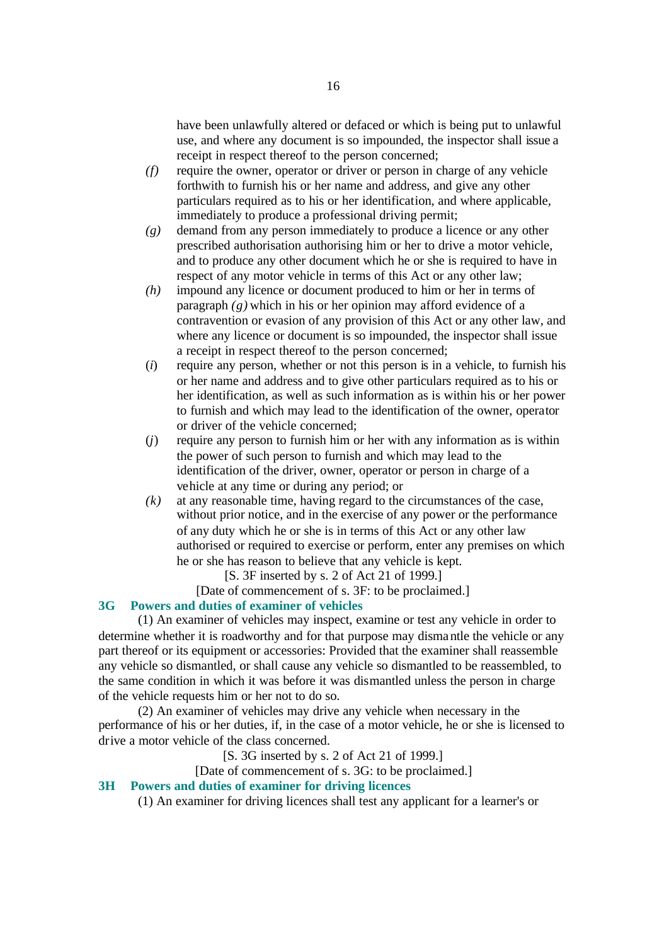have been unlawfully altered or defaced or which is being put to unlawful use, and where any document is so impounded, the inspector shall issue a receipt in respect thereof to the person concerned;

- *(f)* require the owner, operator or driver or person in charge of any vehicle forthwith to furnish his or her name and address, and give any other particulars required as to his or her identification, and where applicable, immediately to produce a professional driving permit;
- *(g)* demand from any person immediately to produce a licence or any other prescribed authorisation authorising him or her to drive a motor vehicle, and to produce any other document which he or she is required to have in respect of any motor vehicle in terms of this Act or any other law;
- *(h)* impound any licence or document produced to him or her in terms of paragraph *(g)* which in his or her opinion may afford evidence of a contravention or evasion of any provision of this Act or any other law, and where any licence or document is so impounded, the inspector shall issue a receipt in respect thereof to the person concerned;
- (*i*) require any person, whether or not this person is in a vehicle, to furnish his or her name and address and to give other particulars required as to his or her identification, as well as such information as is within his or her power to furnish and which may lead to the identification of the owner, operator or driver of the vehicle concerned;
- (*j*) require any person to furnish him or her with any information as is within the power of such person to furnish and which may lead to the identification of the driver, owner, operator or person in charge of a vehicle at any time or during any period; or
- *(k)* at any reasonable time, having regard to the circumstances of the case, without prior notice, and in the exercise of any power or the performance of any duty which he or she is in terms of this Act or any other law authorised or required to exercise or perform, enter any premises on which he or she has reason to believe that any vehicle is kept.

[S. 3F inserted by s. 2 of Act 21 of 1999.]

[Date of commencement of s. 3F: to be proclaimed.]

### **3G Powers and duties of examiner of vehicles**

(1) An examiner of vehicles may inspect, examine or test any vehicle in order to determine whether it is roadworthy and for that purpose may dismantle the vehicle or any part thereof or its equipment or accessories: Provided that the examiner shall reassemble any vehicle so dismantled, or shall cause any vehicle so dismantled to be reassembled, to the same condition in which it was before it was dismantled unless the person in charge of the vehicle requests him or her not to do so.

(2) An examiner of vehicles may drive any vehicle when necessary in the performance of his or her duties, if, in the case of a motor vehicle, he or she is licensed to drive a motor vehicle of the class concerned.

[S. 3G inserted by s. 2 of Act 21 of 1999.]

[Date of commencement of s. 3G: to be proclaimed.]

### **3H Powers and duties of examiner for driving licences**

(1) An examiner for driving licences shall test any applicant for a learner's or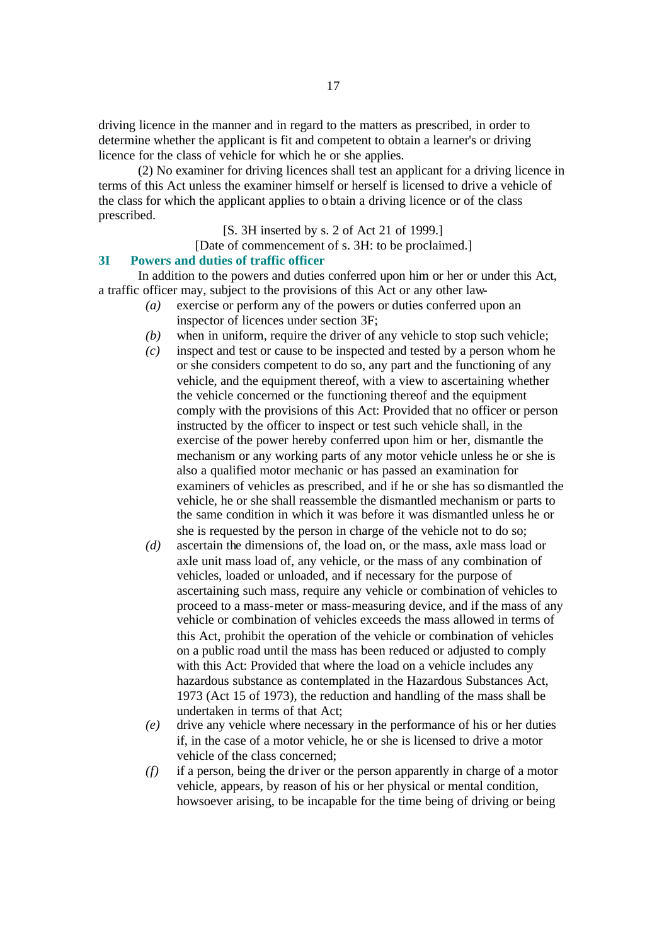driving licence in the manner and in regard to the matters as prescribed, in order to determine whether the applicant is fit and competent to obtain a learner's or driving licence for the class of vehicle for which he or she applies.

(2) No examiner for driving licences shall test an applicant for a driving licence in terms of this Act unless the examiner himself or herself is licensed to drive a vehicle of the class for which the applicant applies to obtain a driving licence or of the class prescribed.

### [S. 3H inserted by s. 2 of Act 21 of 1999.]

#### [Date of commencement of s. 3H: to be proclaimed.]

#### **3I Powers and duties of traffic officer**

In addition to the powers and duties conferred upon him or her or under this Act, a traffic officer may, subject to the provisions of this Act or any other law-

- *(a)* exercise or perform any of the powers or duties conferred upon an inspector of licences under section 3F;
- *(b)* when in uniform, require the driver of any vehicle to stop such vehicle;
- *(c)* inspect and test or cause to be inspected and tested by a person whom he or she considers competent to do so, any part and the functioning of any vehicle, and the equipment thereof, with a view to ascertaining whether the vehicle concerned or the functioning thereof and the equipment comply with the provisions of this Act: Provided that no officer or person instructed by the officer to inspect or test such vehicle shall, in the exercise of the power hereby conferred upon him or her, dismantle the mechanism or any working parts of any motor vehicle unless he or she is also a qualified motor mechanic or has passed an examination for examiners of vehicles as prescribed, and if he or she has so dismantled the vehicle, he or she shall reassemble the dismantled mechanism or parts to the same condition in which it was before it was dismantled unless he or she is requested by the person in charge of the vehicle not to do so;
- *(d)* ascertain the dimensions of, the load on, or the mass, axle mass load or axle unit mass load of, any vehicle, or the mass of any combination of vehicles, loaded or unloaded, and if necessary for the purpose of ascertaining such mass, require any vehicle or combination of vehicles to proceed to a mass-meter or mass-measuring device, and if the mass of any vehicle or combination of vehicles exceeds the mass allowed in terms of this Act, prohibit the operation of the vehicle or combination of vehicles on a public road until the mass has been reduced or adjusted to comply with this Act: Provided that where the load on a vehicle includes any hazardous substance as contemplated in the Hazardous Substances Act, 1973 (Act 15 of 1973), the reduction and handling of the mass shall be undertaken in terms of that Act;
- *(e)* drive any vehicle where necessary in the performance of his or her duties if, in the case of a motor vehicle, he or she is licensed to drive a motor vehicle of the class concerned;
- *(f)* if a person, being the driver or the person apparently in charge of a motor vehicle, appears, by reason of his or her physical or mental condition, howsoever arising, to be incapable for the time being of driving or being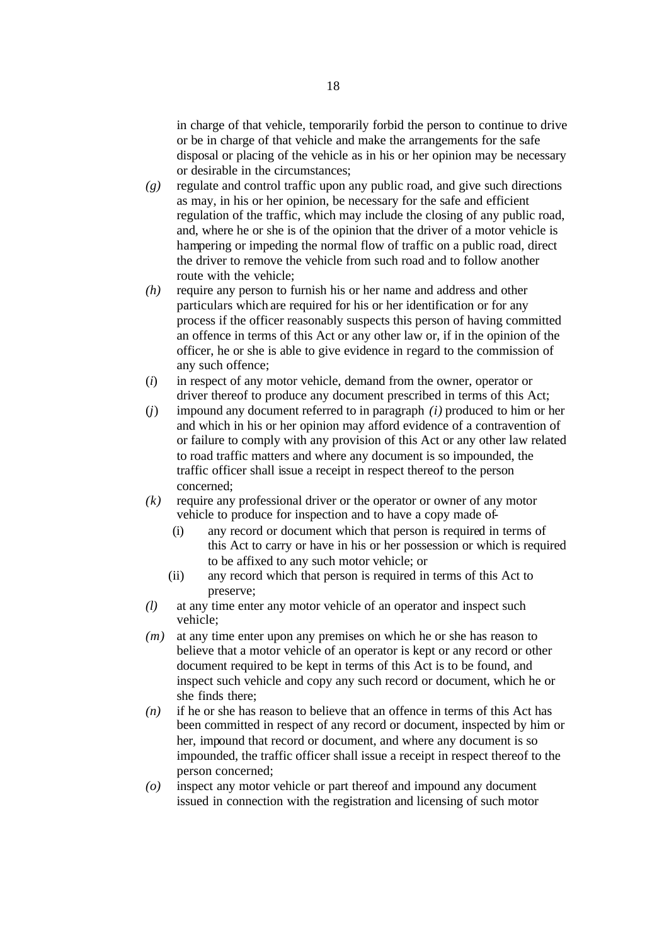in charge of that vehicle, temporarily forbid the person to continue to drive or be in charge of that vehicle and make the arrangements for the safe disposal or placing of the vehicle as in his or her opinion may be necessary or desirable in the circumstances;

- *(g)* regulate and control traffic upon any public road, and give such directions as may, in his or her opinion, be necessary for the safe and efficient regulation of the traffic, which may include the closing of any public road, and, where he or she is of the opinion that the driver of a motor vehicle is hampering or impeding the normal flow of traffic on a public road, direct the driver to remove the vehicle from such road and to follow another route with the vehicle;
- *(h)* require any person to furnish his or her name and address and other particulars which are required for his or her identification or for any process if the officer reasonably suspects this person of having committed an offence in terms of this Act or any other law or, if in the opinion of the officer, he or she is able to give evidence in regard to the commission of any such offence;
- (*i*) in respect of any motor vehicle, demand from the owner, operator or driver thereof to produce any document prescribed in terms of this Act;
- (*j*) impound any document referred to in paragraph *(i)* produced to him or her and which in his or her opinion may afford evidence of a contravention of or failure to comply with any provision of this Act or any other law related to road traffic matters and where any document is so impounded, the traffic officer shall issue a receipt in respect thereof to the person concerned;
- *(k)* require any professional driver or the operator or owner of any motor vehicle to produce for inspection and to have a copy made of-
	- (i) any record or document which that person is required in terms of this Act to carry or have in his or her possession or which is required to be affixed to any such motor vehicle; or
	- (ii) any record which that person is required in terms of this Act to preserve;
- *(l)* at any time enter any motor vehicle of an operator and inspect such vehicle;
- *(m)* at any time enter upon any premises on which he or she has reason to believe that a motor vehicle of an operator is kept or any record or other document required to be kept in terms of this Act is to be found, and inspect such vehicle and copy any such record or document, which he or she finds there;
- *(n)* if he or she has reason to believe that an offence in terms of this Act has been committed in respect of any record or document, inspected by him or her, impound that record or document, and where any document is so impounded, the traffic officer shall issue a receipt in respect thereof to the person concerned;
- *(o)* inspect any motor vehicle or part thereof and impound any document issued in connection with the registration and licensing of such motor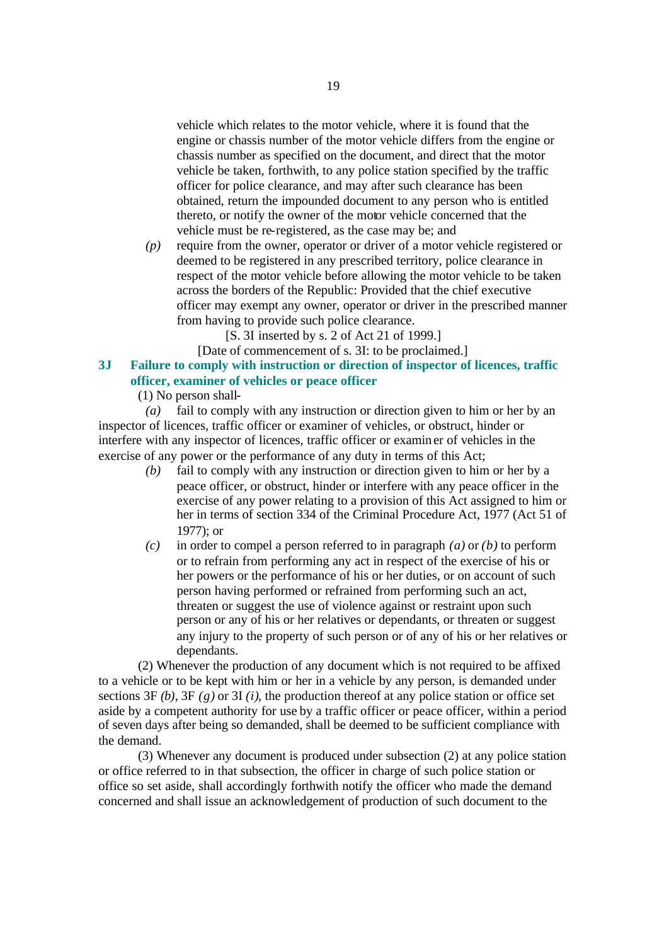vehicle which relates to the motor vehicle, where it is found that the engine or chassis number of the motor vehicle differs from the engine or chassis number as specified on the document, and direct that the motor vehicle be taken, forthwith, to any police station specified by the traffic officer for police clearance, and may after such clearance has been obtained, return the impounded document to any person who is entitled thereto, or notify the owner of the motor vehicle concerned that the vehicle must be re-registered, as the case may be; and

*(p)* require from the owner, operator or driver of a motor vehicle registered or deemed to be registered in any prescribed territory, police clearance in respect of the motor vehicle before allowing the motor vehicle to be taken across the borders of the Republic: Provided that the chief executive officer may exempt any owner, operator or driver in the prescribed manner from having to provide such police clearance.

[S. 3I inserted by s. 2 of Act 21 of 1999.]

[Date of commencement of s. 3I: to be proclaimed.]

# **3J Failure to comply with instruction or direction of inspector of licences, traffic officer, examiner of vehicles or peace officer**

(1) No person shall-

*(a)* fail to comply with any instruction or direction given to him or her by an inspector of licences, traffic officer or examiner of vehicles, or obstruct, hinder or interfere with any inspector of licences, traffic officer or examiner of vehicles in the exercise of any power or the performance of any duty in terms of this Act;

- *(b)* fail to comply with any instruction or direction given to him or her by a peace officer, or obstruct, hinder or interfere with any peace officer in the exercise of any power relating to a provision of this Act assigned to him or her in terms of section 334 of the Criminal Procedure Act, 1977 (Act 51 of 1977); or
- *(c)* in order to compel a person referred to in paragraph *(a)* or *(b)* to perform or to refrain from performing any act in respect of the exercise of his or her powers or the performance of his or her duties, or on account of such person having performed or refrained from performing such an act, threaten or suggest the use of violence against or restraint upon such person or any of his or her relatives or dependants, or threaten or suggest any injury to the property of such person or of any of his or her relatives or dependants.

(2) Whenever the production of any document which is not required to be affixed to a vehicle or to be kept with him or her in a vehicle by any person, is demanded under sections 3F *(b)*, 3F *(g)* or 3I *(i)*, the production thereof at any police station or office set aside by a competent authority for use by a traffic officer or peace officer, within a period of seven days after being so demanded, shall be deemed to be sufficient compliance with the demand.

(3) Whenever any document is produced under subsection (2) at any police station or office referred to in that subsection, the officer in charge of such police station or office so set aside, shall accordingly forthwith notify the officer who made the demand concerned and shall issue an acknowledgement of production of such document to the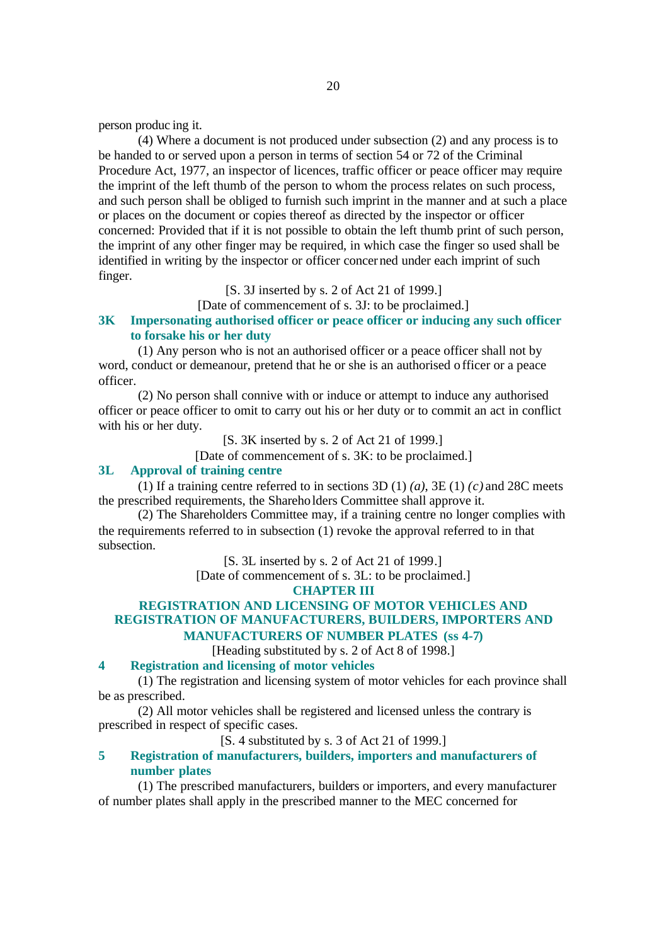person produc ing it.

(4) Where a document is not produced under subsection (2) and any process is to be handed to or served upon a person in terms of section 54 or 72 of the Criminal Procedure Act, 1977, an inspector of licences, traffic officer or peace officer may require the imprint of the left thumb of the person to whom the process relates on such process, and such person shall be obliged to furnish such imprint in the manner and at such a place or places on the document or copies thereof as directed by the inspector or officer concerned: Provided that if it is not possible to obtain the left thumb print of such person, the imprint of any other finger may be required, in which case the finger so used shall be identified in writing by the inspector or officer concerned under each imprint of such finger.

[S. 3J inserted by s. 2 of Act 21 of 1999.]

[Date of commencement of s. 3J: to be proclaimed.]

# **3K Impersonating authorised officer or peace officer or inducing any such officer to forsake his or her duty**

(1) Any person who is not an authorised officer or a peace officer shall not by word, conduct or demeanour, pretend that he or she is an authorised officer or a peace officer.

(2) No person shall connive with or induce or attempt to induce any authorised officer or peace officer to omit to carry out his or her duty or to commit an act in conflict with his or her duty.

[S. 3K inserted by s. 2 of Act 21 of 1999.]

[Date of commencement of s. 3K: to be proclaimed.]

### **3L Approval of training centre**

(1) If a training centre referred to in sections 3D (1) *(a)*, 3E (1) *(c)* and 28C meets the prescribed requirements, the Shareholders Committee shall approve it.

(2) The Shareholders Committee may, if a training centre no longer complies with the requirements referred to in subsection (1) revoke the approval referred to in that subsection.

[S. 3L inserted by s. 2 of Act 21 of 1999.]

[Date of commencement of s. 3L: to be proclaimed.]

### **CHAPTER III**

### **REGISTRATION AND LICENSING OF MOTOR VEHICLES AND REGISTRATION OF MANUFACTURERS, BUILDERS, IMPORTERS AND MANUFACTURERS OF NUMBER PLATES (ss 4-7)**

[Heading substituted by s. 2 of Act 8 of 1998.]

#### **4 Registration and licensing of motor vehicles**

(1) The registration and licensing system of motor vehicles for each province shall be as prescribed.

(2) All motor vehicles shall be registered and licensed unless the contrary is prescribed in respect of specific cases.

### [S. 4 substituted by s. 3 of Act 21 of 1999.]

### **5 Registration of manufacturers, builders, importers and manufacturers of number plates**

(1) The prescribed manufacturers, builders or importers, and every manufacturer of number plates shall apply in the prescribed manner to the MEC concerned for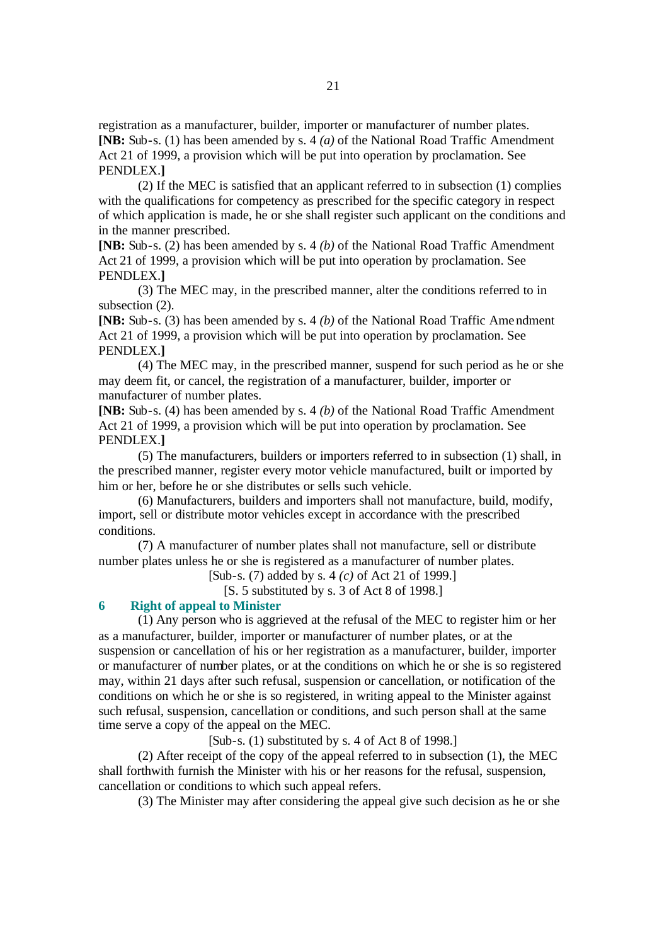registration as a manufacturer, builder, importer or manufacturer of number plates. **[NB:** Sub-s. (1) has been amended by s. 4 *(a)* of the National Road Traffic Amendment Act 21 of 1999, a provision which will be put into operation by proclamation. See PENDLEX.**]**

(2) If the MEC is satisfied that an applicant referred to in subsection (1) complies with the qualifications for competency as prescribed for the specific category in respect of which application is made, he or she shall register such applicant on the conditions and in the manner prescribed.

**[NB:** Sub-s. (2) has been amended by s. 4 *(b)* of the National Road Traffic Amendment Act 21 of 1999, a provision which will be put into operation by proclamation. See PENDLEX.**]**

(3) The MEC may, in the prescribed manner, alter the conditions referred to in subsection (2).

**[NB:** Sub-s. (3) has been amended by s. 4 *(b)* of the National Road Traffic Amendment Act 21 of 1999, a provision which will be put into operation by proclamation. See PENDLEX.**]**

(4) The MEC may, in the prescribed manner, suspend for such period as he or she may deem fit, or cancel, the registration of a manufacturer, builder, importer or manufacturer of number plates.

**[NB:** Sub-s. (4) has been amended by s. 4 *(b)* of the National Road Traffic Amendment Act 21 of 1999, a provision which will be put into operation by proclamation. See PENDLEX.**]**

(5) The manufacturers, builders or importers referred to in subsection (1) shall, in the prescribed manner, register every motor vehicle manufactured, built or imported by him or her, before he or she distributes or sells such vehicle.

(6) Manufacturers, builders and importers shall not manufacture, build, modify, import, sell or distribute motor vehicles except in accordance with the prescribed conditions.

(7) A manufacturer of number plates shall not manufacture, sell or distribute number plates unless he or she is registered as a manufacturer of number plates.

[Sub-s. (7) added by s. 4 *(c)* of Act 21 of 1999.]

[S. 5 substituted by s. 3 of Act 8 of 1998.]

### **6 Right of appeal to Minister**

(1) Any person who is aggrieved at the refusal of the MEC to register him or her as a manufacturer, builder, importer or manufacturer of number plates, or at the suspension or cancellation of his or her registration as a manufacturer, builder, importer or manufacturer of number plates, or at the conditions on which he or she is so registered may, within 21 days after such refusal, suspension or cancellation, or notification of the conditions on which he or she is so registered, in writing appeal to the Minister against such refusal, suspension, cancellation or conditions, and such person shall at the same time serve a copy of the appeal on the MEC.

[Sub-s. (1) substituted by s. 4 of Act 8 of 1998.]

(2) After receipt of the copy of the appeal referred to in subsection (1), the MEC shall forthwith furnish the Minister with his or her reasons for the refusal, suspension, cancellation or conditions to which such appeal refers.

(3) The Minister may after considering the appeal give such decision as he or she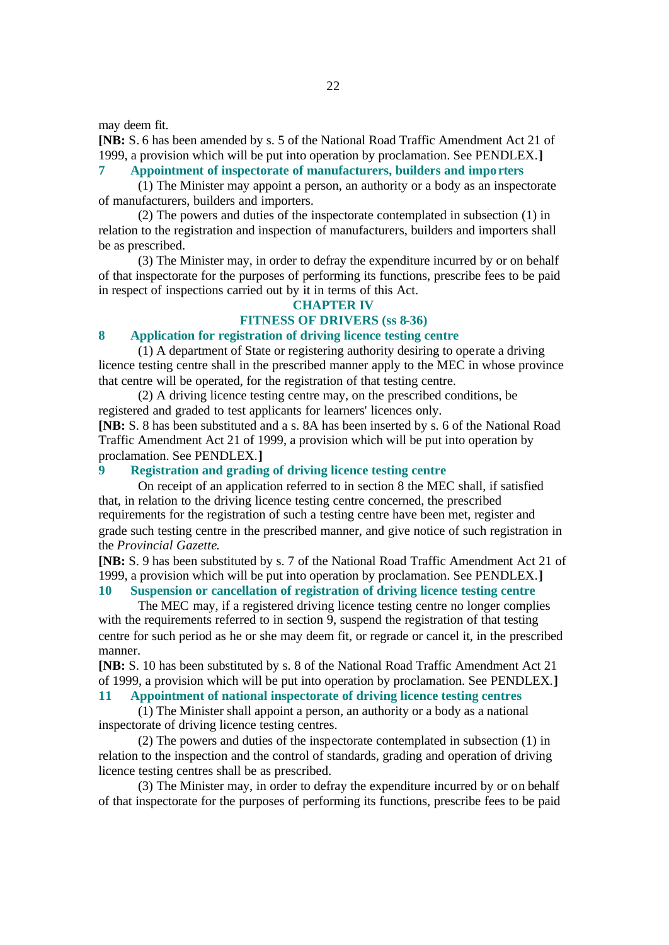may deem fit.

**[NB:** S. 6 has been amended by s. 5 of the National Road Traffic Amendment Act 21 of 1999, a provision which will be put into operation by proclamation. See PENDLEX.**]**

# **7 Appointment of inspectorate of manufacturers, builders and impo rters**

(1) The Minister may appoint a person, an authority or a body as an inspectorate of manufacturers, builders and importers.

(2) The powers and duties of the inspectorate contemplated in subsection (1) in relation to the registration and inspection of manufacturers, builders and importers shall be as prescribed.

(3) The Minister may, in order to defray the expenditure incurred by or on behalf of that inspectorate for the purposes of performing its functions, prescribe fees to be paid in respect of inspections carried out by it in terms of this Act.

#### **CHAPTER IV**

# **FITNESS OF DRIVERS (ss 8-36)**

### **8 Application for registration of driving licence testing centre**

(1) A department of State or registering authority desiring to operate a driving licence testing centre shall in the prescribed manner apply to the MEC in whose province that centre will be operated, for the registration of that testing centre.

(2) A driving licence testing centre may, on the prescribed conditions, be registered and graded to test applicants for learners' licences only.

**[NB:** S. 8 has been substituted and a s. 8A has been inserted by s. 6 of the National Road Traffic Amendment Act 21 of 1999, a provision which will be put into operation by proclamation. See PENDLEX.**]**

### **9 Registration and grading of driving licence testing centre**

On receipt of an application referred to in section 8 the MEC shall, if satisfied that, in relation to the driving licence testing centre concerned, the prescribed requirements for the registration of such a testing centre have been met, register and grade such testing centre in the prescribed manner, and give notice of such registration in the *Provincial Gazette*.

**[NB:** S. 9 has been substituted by s. 7 of the National Road Traffic Amendment Act 21 of 1999, a provision which will be put into operation by proclamation. See PENDLEX.**]**

### **10 Suspension or cancellation of registration of driving licence testing centre**

The MEC may, if a registered driving licence testing centre no longer complies with the requirements referred to in section 9, suspend the registration of that testing centre for such period as he or she may deem fit, or regrade or cancel it, in the prescribed manner.

**[NB:** S. 10 has been substituted by s. 8 of the National Road Traffic Amendment Act 21 of 1999, a provision which will be put into operation by proclamation. See PENDLEX.**]**

### **11 Appointment of national inspectorate of driving licence testing centres**

(1) The Minister shall appoint a person, an authority or a body as a national inspectorate of driving licence testing centres.

(2) The powers and duties of the inspectorate contemplated in subsection (1) in relation to the inspection and the control of standards, grading and operation of driving licence testing centres shall be as prescribed.

(3) The Minister may, in order to defray the expenditure incurred by or on behalf of that inspectorate for the purposes of performing its functions, prescribe fees to be paid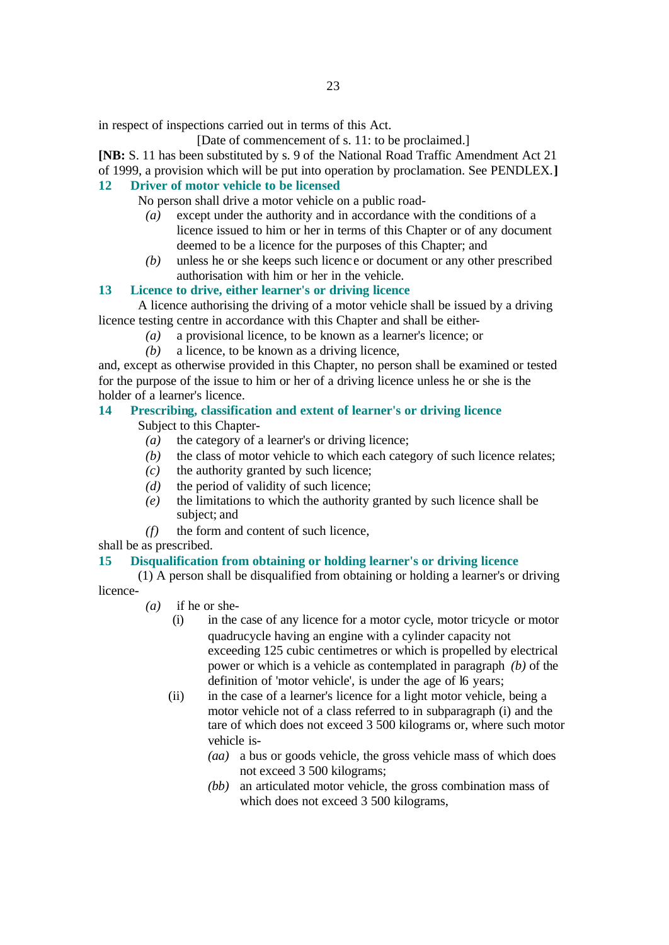in respect of inspections carried out in terms of this Act.

[Date of commencement of s. 11: to be proclaimed.]

**[NB:** S. 11 has been substituted by s. 9 of the National Road Traffic Amendment Act 21 of 1999, a provision which will be put into operation by proclamation. See PENDLEX.**]**

### **12 Driver of motor vehicle to be licensed**

No person shall drive a motor vehicle on a public road-

- *(a)* except under the authority and in accordance with the conditions of a licence issued to him or her in terms of this Chapter or of any document deemed to be a licence for the purposes of this Chapter; and
- *(b)* unless he or she keeps such licenc e or document or any other prescribed authorisation with him or her in the vehicle.

### **13 Licence to drive, either learner's or driving licence**

A licence authorising the driving of a motor vehicle shall be issued by a driving licence testing centre in accordance with this Chapter and shall be either-

- *(a)* a provisional licence, to be known as a learner's licence; or
- *(b)* a licence, to be known as a driving licence,

and, except as otherwise provided in this Chapter, no person shall be examined or tested for the purpose of the issue to him or her of a driving licence unless he or she is the holder of a learner's licence.

# **14 Prescribing, classification and extent of learner's or driving licence**

Subject to this Chapter-

- *(a)* the category of a learner's or driving licence;
- *(b)* the class of motor vehicle to which each category of such licence relates;
- *(c)* the authority granted by such licence;
- *(d)* the period of validity of such licence;
- *(e)* the limitations to which the authority granted by such licence shall be subject; and
- *(f)* the form and content of such licence,

shall be as prescribed.

### **15 Disqualification from obtaining or holding learner's or driving licence**

(1) A person shall be disqualified from obtaining or holding a learner's or driving licence-

- *(a)* if he or she-
	- (i) in the case of any licence for a motor cycle, motor tricycle or motor quadrucycle having an engine with a cylinder capacity not exceeding 125 cubic centimetres or which is propelled by electrical power or which is a vehicle as contemplated in paragraph *(b)* of the definition of 'motor vehicle', is under the age of l6 years;
	- (ii) in the case of a learner's licence for a light motor vehicle, being a motor vehicle not of a class referred to in subparagraph (i) and the tare of which does not exceed 3 500 kilograms or, where such motor vehicle is-
		- *(aa)* a bus or goods vehicle, the gross vehicle mass of which does not exceed 3 500 kilograms;
		- *(bb)* an articulated motor vehicle, the gross combination mass of which does not exceed 3 500 kilograms,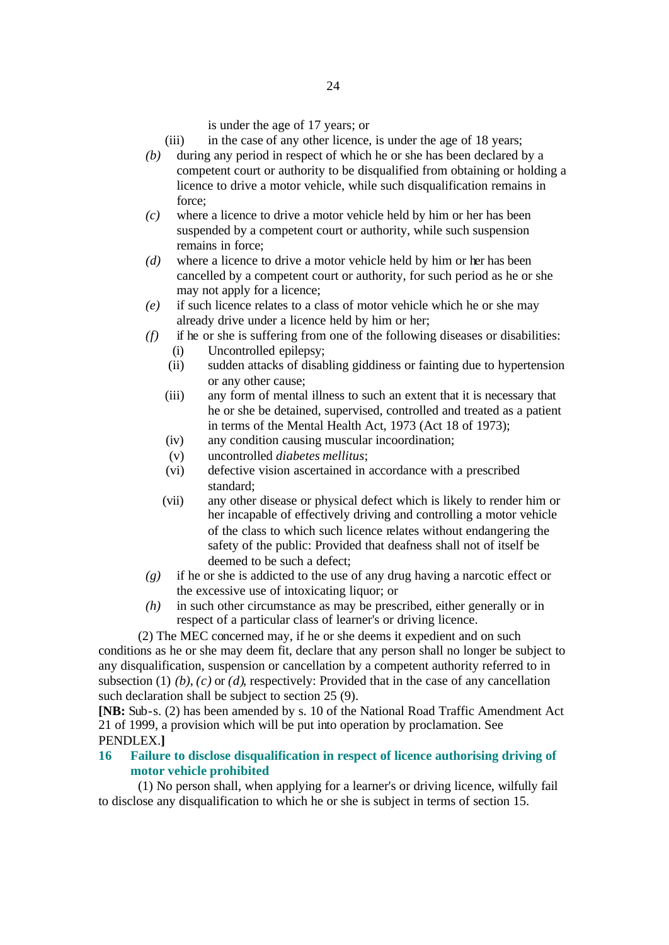is under the age of 17 years; or

- (iii) in the case of any other licence, is under the age of 18 years;
- *(b)* during any period in respect of which he or she has been declared by a competent court or authority to be disqualified from obtaining or holding a licence to drive a motor vehicle, while such disqualification remains in force;
- *(c)* where a licence to drive a motor vehicle held by him or her has been suspended by a competent court or authority, while such suspension remains in force;
- *(d)* where a licence to drive a motor vehicle held by him or her has been cancelled by a competent court or authority, for such period as he or she may not apply for a licence;
- *(e)* if such licence relates to a class of motor vehicle which he or she may already drive under a licence held by him or her;
- *(f)* if he or she is suffering from one of the following diseases or disabilities:
	- (i) Uncontrolled epilepsy;
	- (ii) sudden attacks of disabling giddiness or fainting due to hypertension or any other cause;
	- (iii) any form of mental illness to such an extent that it is necessary that he or she be detained, supervised, controlled and treated as a patient in terms of the Mental Health Act, 1973 (Act 18 of 1973);
	- (iv) any condition causing muscular incoordination;
	- (v) uncontrolled *diabetes mellitus*;
	- (vi) defective vision ascertained in accordance with a prescribed standard;
	- (vii) any other disease or physical defect which is likely to render him or her incapable of effectively driving and controlling a motor vehicle of the class to which such licence relates without endangering the safety of the public: Provided that deafness shall not of itself be deemed to be such a defect;
- *(g)* if he or she is addicted to the use of any drug having a narcotic effect or the excessive use of intoxicating liquor; or
- *(h)* in such other circumstance as may be prescribed, either generally or in respect of a particular class of learner's or driving licence.

(2) The MEC concerned may, if he or she deems it expedient and on such conditions as he or she may deem fit, declare that any person shall no longer be subject to any disqualification, suspension or cancellation by a competent authority referred to in subsection (1)  $(b)$ ,  $(c)$  or  $(d)$ , respectively: Provided that in the case of any cancellation such declaration shall be subject to section 25 (9).

**[NB:** Sub-s. (2) has been amended by s. 10 of the National Road Traffic Amendment Act 21 of 1999, a provision which will be put into operation by proclamation. See PENDLEX.**]**

### **16 Failure to disclose disqualification in respect of licence authorising driving of motor vehicle prohibited**

(1) No person shall, when applying for a learner's or driving licence, wilfully fail to disclose any disqualification to which he or she is subject in terms of section 15.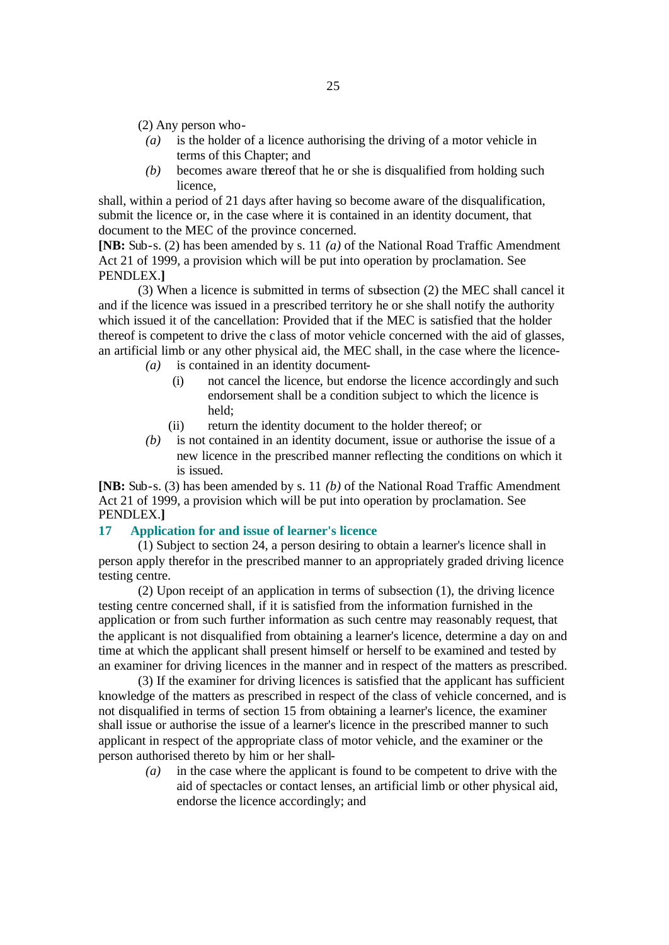(2) Any person who-

- *(a)* is the holder of a licence authorising the driving of a motor vehicle in terms of this Chapter; and
- *(b)* becomes aware thereof that he or she is disqualified from holding such licence,

shall, within a period of 21 days after having so become aware of the disqualification, submit the licence or, in the case where it is contained in an identity document, that document to the MEC of the province concerned.

**[NB:** Sub-s. (2) has been amended by s. 11 *(a)* of the National Road Traffic Amendment Act 21 of 1999, a provision which will be put into operation by proclamation. See PENDLEX.**]**

(3) When a licence is submitted in terms of subsection (2) the MEC shall cancel it and if the licence was issued in a prescribed territory he or she shall notify the authority which issued it of the cancellation: Provided that if the MEC is satisfied that the holder thereof is competent to drive the c lass of motor vehicle concerned with the aid of glasses, an artificial limb or any other physical aid, the MEC shall, in the case where the licence-

- *(a)* is contained in an identity document-
	- (i) not cancel the licence, but endorse the licence accordingly and such endorsement shall be a condition subject to which the licence is held;
	- (ii) return the identity document to the holder thereof; or
- *(b)* is not contained in an identity document, issue or authorise the issue of a new licence in the prescribed manner reflecting the conditions on which it is issued.

**[NB:** Sub-s. (3) has been amended by s. 11 *(b)* of the National Road Traffic Amendment Act 21 of 1999, a provision which will be put into operation by proclamation. See PENDLEX.**]**

#### **17 Application for and issue of learner's licence**

(1) Subject to section 24, a person desiring to obtain a learner's licence shall in person apply therefor in the prescribed manner to an appropriately graded driving licence testing centre.

(2) Upon receipt of an application in terms of subsection (1), the driving licence testing centre concerned shall, if it is satisfied from the information furnished in the application or from such further information as such centre may reasonably request, that the applicant is not disqualified from obtaining a learner's licence, determine a day on and time at which the applicant shall present himself or herself to be examined and tested by an examiner for driving licences in the manner and in respect of the matters as prescribed.

(3) If the examiner for driving licences is satisfied that the applicant has sufficient knowledge of the matters as prescribed in respect of the class of vehicle concerned, and is not disqualified in terms of section 15 from obtaining a learner's licence, the examiner shall issue or authorise the issue of a learner's licence in the prescribed manner to such applicant in respect of the appropriate class of motor vehicle, and the examiner or the person authorised thereto by him or her shall-

*(a)* in the case where the applicant is found to be competent to drive with the aid of spectacles or contact lenses, an artificial limb or other physical aid, endorse the licence accordingly; and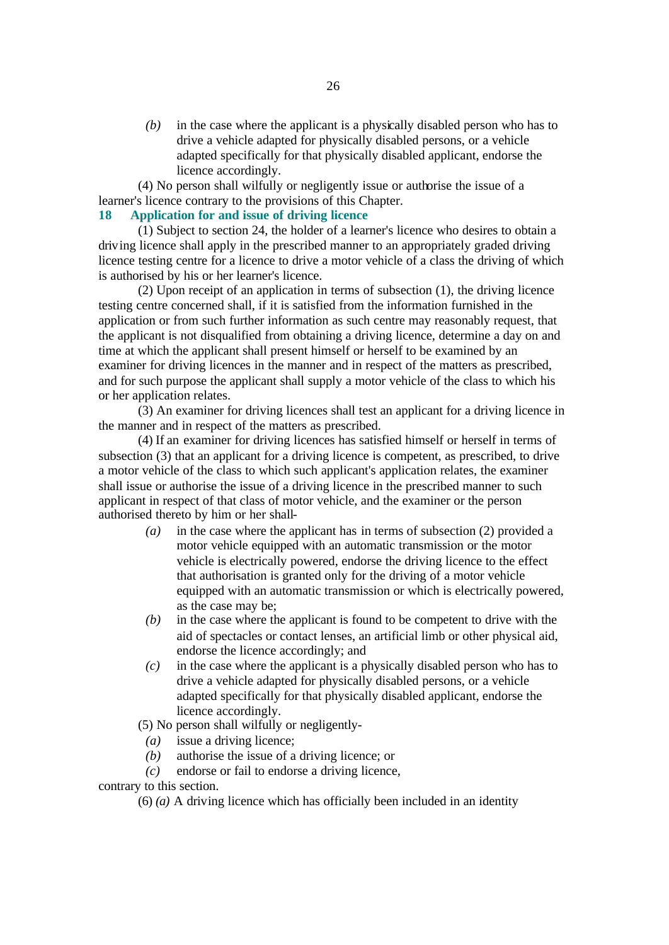*(b)* in the case where the applicant is a physically disabled person who has to drive a vehicle adapted for physically disabled persons, or a vehicle adapted specifically for that physically disabled applicant, endorse the licence accordingly.

(4) No person shall wilfully or negligently issue or authorise the issue of a learner's licence contrary to the provisions of this Chapter.

### **18 Application for and issue of driving licence**

(1) Subject to section 24, the holder of a learner's licence who desires to obtain a driving licence shall apply in the prescribed manner to an appropriately graded driving licence testing centre for a licence to drive a motor vehicle of a class the driving of which is authorised by his or her learner's licence.

(2) Upon receipt of an application in terms of subsection (1), the driving licence testing centre concerned shall, if it is satisfied from the information furnished in the application or from such further information as such centre may reasonably request, that the applicant is not disqualified from obtaining a driving licence, determine a day on and time at which the applicant shall present himself or herself to be examined by an examiner for driving licences in the manner and in respect of the matters as prescribed, and for such purpose the applicant shall supply a motor vehicle of the class to which his or her application relates.

(3) An examiner for driving licences shall test an applicant for a driving licence in the manner and in respect of the matters as prescribed.

(4) If an examiner for driving licences has satisfied himself or herself in terms of subsection (3) that an applicant for a driving licence is competent, as prescribed, to drive a motor vehicle of the class to which such applicant's application relates, the examiner shall issue or authorise the issue of a driving licence in the prescribed manner to such applicant in respect of that class of motor vehicle, and the examiner or the person authorised thereto by him or her shall-

- *(a)* in the case where the applicant has in terms of subsection (2) provided a motor vehicle equipped with an automatic transmission or the motor vehicle is electrically powered, endorse the driving licence to the effect that authorisation is granted only for the driving of a motor vehicle equipped with an automatic transmission or which is electrically powered, as the case may be;
- *(b)* in the case where the applicant is found to be competent to drive with the aid of spectacles or contact lenses, an artificial limb or other physical aid, endorse the licence accordingly; and
- *(c)* in the case where the applicant is a physically disabled person who has to drive a vehicle adapted for physically disabled persons, or a vehicle adapted specifically for that physically disabled applicant, endorse the licence accordingly.

(5) No person shall wilfully or negligently-

- *(a)* issue a driving licence;
- *(b)* authorise the issue of a driving licence; or
- *(c)* endorse or fail to endorse a driving licence,

contrary to this section.

(6) *(a)* A driving licence which has officially been included in an identity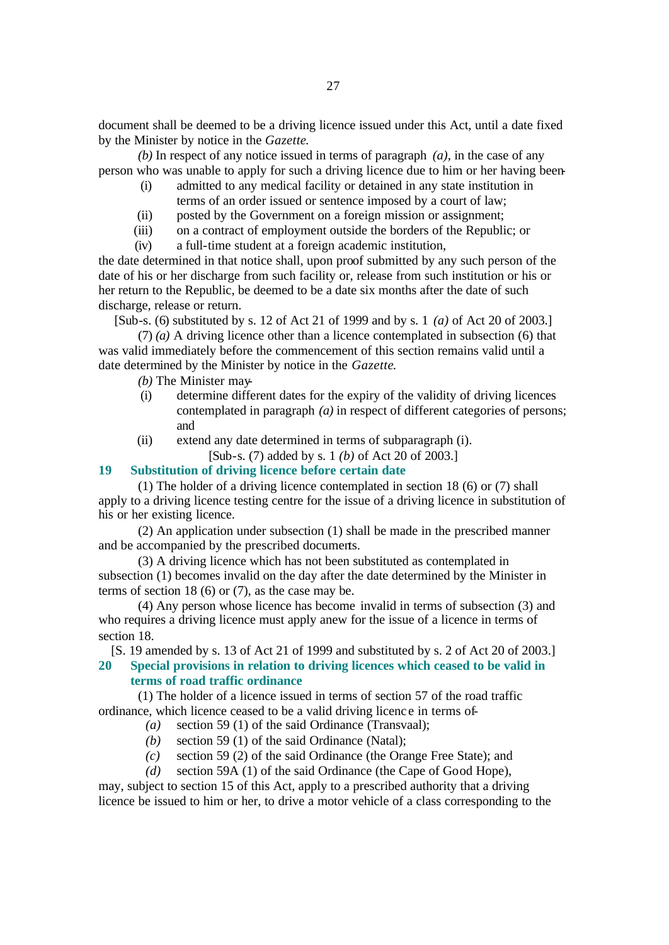document shall be deemed to be a driving licence issued under this Act, until a date fixed by the Minister by notice in the *Gazette*.

*(b)* In respect of any notice issued in terms of paragraph *(a)*, in the case of any person who was unable to apply for such a driving licence due to him or her having been-

- (i) admitted to any medical facility or detained in any state institution in terms of an order issued or sentence imposed by a court of law;
- (ii) posted by the Government on a foreign mission or assignment;
- (iii) on a contract of employment outside the borders of the Republic; or

(iv) a full-time student at a foreign academic institution,

the date determined in that notice shall, upon proof submitted by any such person of the date of his or her discharge from such facility or, release from such institution or his or her return to the Republic, be deemed to be a date six months after the date of such discharge, release or return.

[Sub-s. (6) substituted by s. 12 of Act 21 of 1999 and by s. 1 *(a)* of Act 20 of 2003.]

(7) *(a)* A driving licence other than a licence contemplated in subsection (6) that was valid immediately before the commencement of this section remains valid until a date determined by the Minister by notice in the *Gazette*.

*(b)* The Minister may-

- (i) determine different dates for the expiry of the validity of driving licences contemplated in paragraph *(a)* in respect of different categories of persons; and
- (ii) extend any date determined in terms of subparagraph (i).

[Sub-s. (7) added by s. 1 *(b)* of Act 20 of 2003.]

### **19 Substitution of driving licence before certain date**

(1) The holder of a driving licence contemplated in section 18 (6) or (7) shall apply to a driving licence testing centre for the issue of a driving licence in substitution of his or her existing licence.

(2) An application under subsection (1) shall be made in the prescribed manner and be accompanied by the prescribed documents.

(3) A driving licence which has not been substituted as contemplated in subsection (1) becomes invalid on the day after the date determined by the Minister in terms of section 18 (6) or (7), as the case may be.

(4) Any person whose licence has become invalid in terms of subsection (3) and who requires a driving licence must apply anew for the issue of a licence in terms of section 18.

[S. 19 amended by s. 13 of Act 21 of 1999 and substituted by s. 2 of Act 20 of 2003.]

# **20 Special provisions in relation to driving licences which ceased to be valid in terms of road traffic ordinance**

(1) The holder of a licence issued in terms of section 57 of the road traffic ordinance, which licence ceased to be a valid driving licenc e in terms of-

- *(a)* section 59 (1) of the said Ordinance (Transvaal);
- *(b)* section 59 (1) of the said Ordinance (Natal);
- *(c)* section 59 (2) of the said Ordinance (the Orange Free State); and
- *(d)* section 59A (1) of the said Ordinance (the Cape of Good Hope),

may, subject to section 15 of this Act, apply to a prescribed authority that a driving licence be issued to him or her, to drive a motor vehicle of a class corresponding to the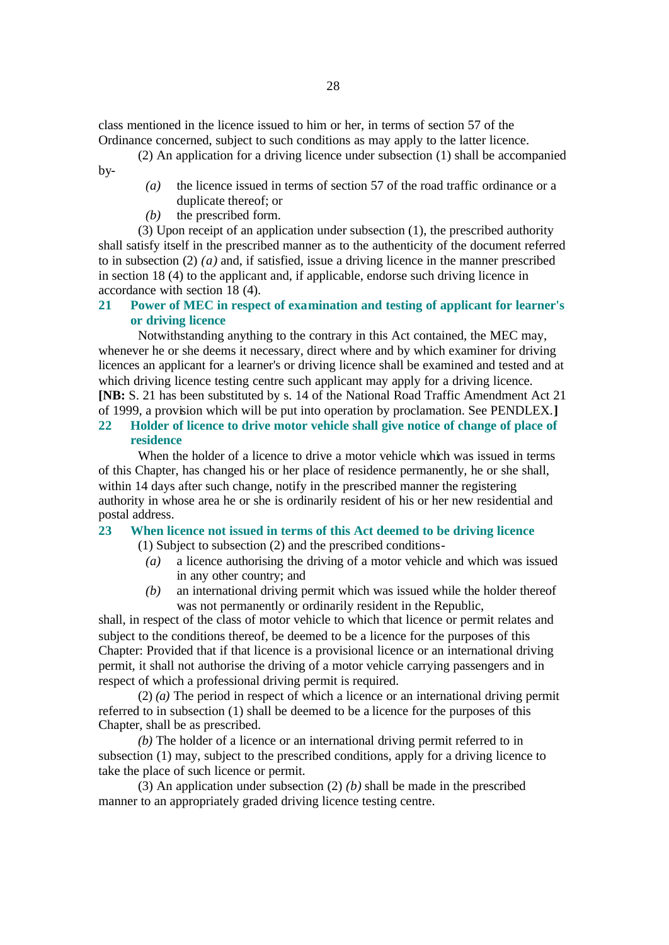class mentioned in the licence issued to him or her, in terms of section 57 of the Ordinance concerned, subject to such conditions as may apply to the latter licence.

- (2) An application for a driving licence under subsection (1) shall be accompanied by-
	- *(a)* the licence issued in terms of section 57 of the road traffic ordinance or a duplicate thereof; or
	- *(b)* the prescribed form.

(3) Upon receipt of an application under subsection (1), the prescribed authority shall satisfy itself in the prescribed manner as to the authenticity of the document referred to in subsection  $(2)$   $(a)$  and, if satisfied, issue a driving licence in the manner prescribed in section 18 (4) to the applicant and, if applicable, endorse such driving licence in accordance with section 18 (4).

### **21 Power of MEC in respect of examination and testing of applicant for learner's or driving licence**

Notwithstanding anything to the contrary in this Act contained, the MEC may, whenever he or she deems it necessary, direct where and by which examiner for driving licences an applicant for a learner's or driving licence shall be examined and tested and at which driving licence testing centre such applicant may apply for a driving licence. **[NB:** S. 21 has been substituted by s. 14 of the National Road Traffic Amendment Act 21 of 1999, a provision which will be put into operation by proclamation. See PENDLEX.**]**

# **22 Holder of licence to drive motor vehicle shall give notice of change of place of residence**

When the holder of a licence to drive a motor vehicle which was issued in terms of this Chapter, has changed his or her place of residence permanently, he or she shall, within 14 days after such change, notify in the prescribed manner the registering authority in whose area he or she is ordinarily resident of his or her new residential and postal address.

### **23 When licence not issued in terms of this Act deemed to be driving licence**

- (1) Subject to subsection (2) and the prescribed conditions-
	- *(a)* a licence authorising the driving of a motor vehicle and which was issued in any other country; and
	- *(b)* an international driving permit which was issued while the holder thereof was not permanently or ordinarily resident in the Republic,

shall, in respect of the class of motor vehicle to which that licence or permit relates and subject to the conditions thereof, be deemed to be a licence for the purposes of this Chapter: Provided that if that licence is a provisional licence or an international driving permit, it shall not authorise the driving of a motor vehicle carrying passengers and in respect of which a professional driving permit is required.

(2) *(a)* The period in respect of which a licence or an international driving permit referred to in subsection (1) shall be deemed to be a licence for the purposes of this Chapter, shall be as prescribed.

*(b)* The holder of a licence or an international driving permit referred to in subsection (1) may, subject to the prescribed conditions, apply for a driving licence to take the place of such licence or permit.

(3) An application under subsection (2) *(b)* shall be made in the prescribed manner to an appropriately graded driving licence testing centre.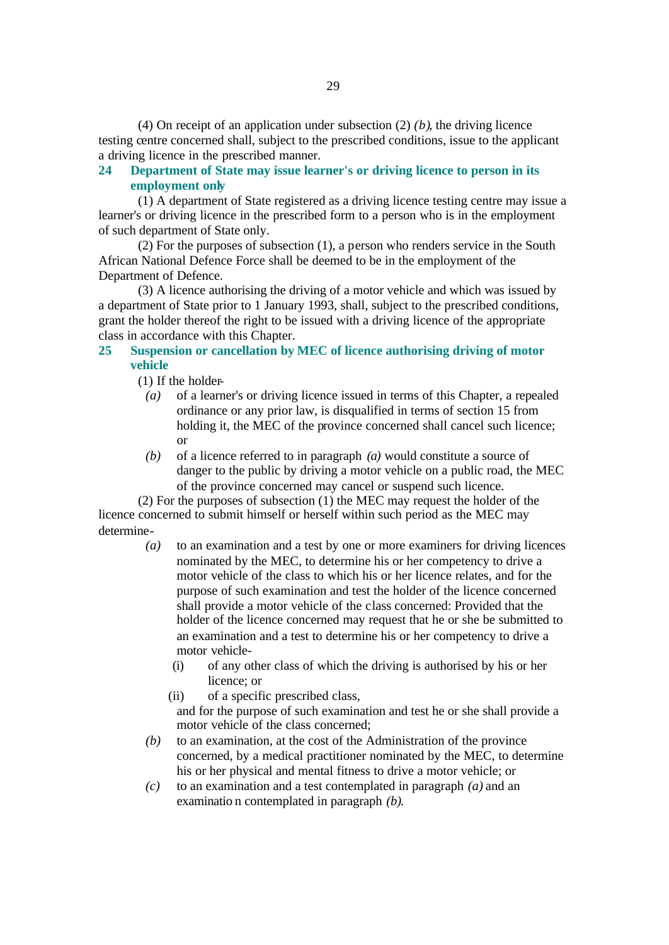(4) On receipt of an application under subsection (2) *(b)*, the driving licence testing centre concerned shall, subject to the prescribed conditions, issue to the applicant a driving licence in the prescribed manner.

### **24 Department of State may issue learner's or driving licence to person in its employment only**

(1) A department of State registered as a driving licence testing centre may issue a learner's or driving licence in the prescribed form to a person who is in the employment of such department of State only.

(2) For the purposes of subsection (1), a person who renders service in the South African National Defence Force shall be deemed to be in the employment of the Department of Defence.

(3) A licence authorising the driving of a motor vehicle and which was issued by a department of State prior to 1 January 1993, shall, subject to the prescribed conditions, grant the holder thereof the right to be issued with a driving licence of the appropriate class in accordance with this Chapter.

### **25 Suspension or cancellation by MEC of licence authorising driving of motor vehicle**

(1) If the holder-

- *(a)* of a learner's or driving licence issued in terms of this Chapter, a repealed ordinance or any prior law, is disqualified in terms of section 15 from holding it, the MEC of the province concerned shall cancel such licence; or
- *(b)* of a licence referred to in paragraph *(a)* would constitute a source of danger to the public by driving a motor vehicle on a public road, the MEC of the province concerned may cancel or suspend such licence.

(2) For the purposes of subsection (1) the MEC may request the holder of the licence concerned to submit himself or herself within such period as the MEC may determine-

- *(a)* to an examination and a test by one or more examiners for driving licences nominated by the MEC, to determine his or her competency to drive a motor vehicle of the class to which his or her licence relates, and for the purpose of such examination and test the holder of the licence concerned shall provide a motor vehicle of the class concerned: Provided that the holder of the licence concerned may request that he or she be submitted to an examination and a test to determine his or her competency to drive a motor vehicle-
	- (i) of any other class of which the driving is authorised by his or her licence; or
	- (ii) of a specific prescribed class, and for the purpose of such examination and test he or she shall provide a motor vehicle of the class concerned;
- *(b)* to an examination, at the cost of the Administration of the province concerned, by a medical practitioner nominated by the MEC, to determine his or her physical and mental fitness to drive a motor vehicle; or
- *(c)* to an examination and a test contemplated in paragraph *(a)* and an examinatio n contemplated in paragraph *(b)*.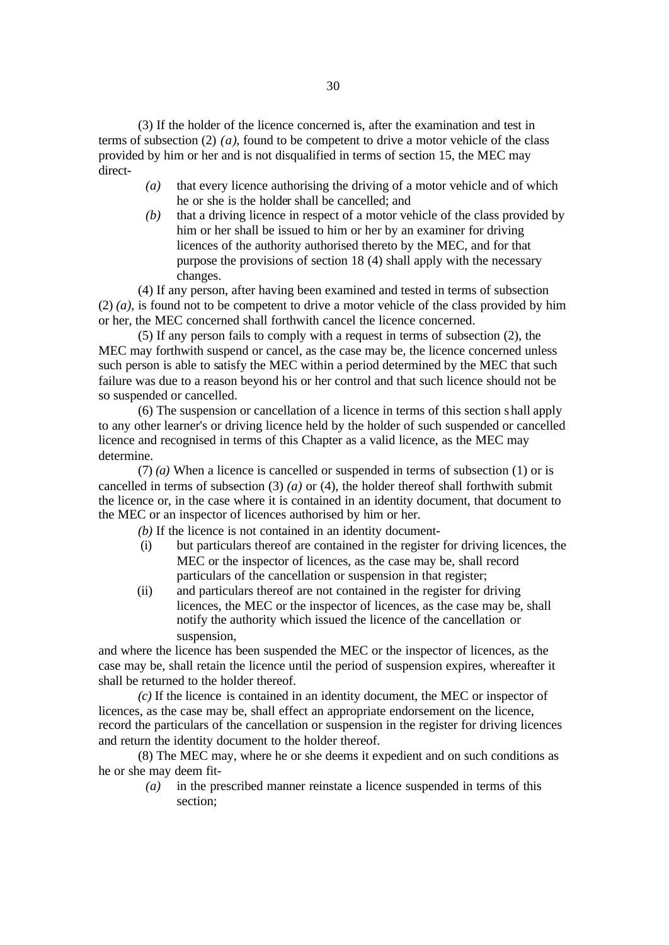(3) If the holder of the licence concerned is, after the examination and test in terms of subsection (2) *(a)*, found to be competent to drive a motor vehicle of the class provided by him or her and is not disqualified in terms of section 15, the MEC may direct-

- *(a)* that every licence authorising the driving of a motor vehicle and of which he or she is the holder shall be cancelled; and
- *(b)* that a driving licence in respect of a motor vehicle of the class provided by him or her shall be issued to him or her by an examiner for driving licences of the authority authorised thereto by the MEC, and for that purpose the provisions of section 18 (4) shall apply with the necessary changes.

(4) If any person, after having been examined and tested in terms of subsection (2) *(a)*, is found not to be competent to drive a motor vehicle of the class provided by him or her, the MEC concerned shall forthwith cancel the licence concerned.

(5) If any person fails to comply with a request in terms of subsection (2), the MEC may forthwith suspend or cancel, as the case may be, the licence concerned unless such person is able to satisfy the MEC within a period determined by the MEC that such failure was due to a reason beyond his or her control and that such licence should not be so suspended or cancelled.

(6) The suspension or cancellation of a licence in terms of this section shall apply to any other learner's or driving licence held by the holder of such suspended or cancelled licence and recognised in terms of this Chapter as a valid licence, as the MEC may determine.

(7) *(a)* When a licence is cancelled or suspended in terms of subsection (1) or is cancelled in terms of subsection (3) *(a)* or (4), the holder thereof shall forthwith submit the licence or, in the case where it is contained in an identity document, that document to the MEC or an inspector of licences authorised by him or her.

*(b)* If the licence is not contained in an identity document-

- (i) but particulars thereof are contained in the register for driving licences, the MEC or the inspector of licences, as the case may be, shall record particulars of the cancellation or suspension in that register;
- (ii) and particulars thereof are not contained in the register for driving licences, the MEC or the inspector of licences, as the case may be, shall notify the authority which issued the licence of the cancellation or suspension,

and where the licence has been suspended the MEC or the inspector of licences, as the case may be, shall retain the licence until the period of suspension expires, whereafter it shall be returned to the holder thereof.

*(c)* If the licence is contained in an identity document, the MEC or inspector of licences, as the case may be, shall effect an appropriate endorsement on the licence, record the particulars of the cancellation or suspension in the register for driving licences and return the identity document to the holder thereof.

(8) The MEC may, where he or she deems it expedient and on such conditions as he or she may deem fit-

*(a)* in the prescribed manner reinstate a licence suspended in terms of this section;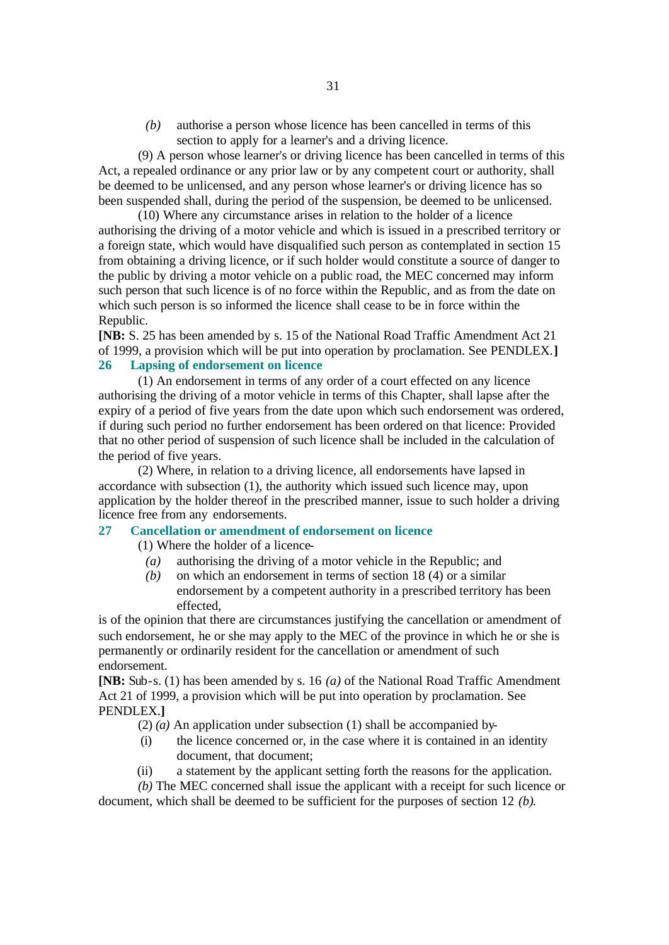*(b)* authorise a person whose licence has been cancelled in terms of this section to apply for a learner's and a driving licence.

(9) A person whose learner's or driving licence has been cancelled in terms of this Act, a repealed ordinance or any prior law or by any competent court or authority, shall be deemed to be unlicensed, and any person whose learner's or driving licence has so been suspended shall, during the period of the suspension, be deemed to be unlicensed.

(10) Where any circumstance arises in relation to the holder of a licence authorising the driving of a motor vehicle and which is issued in a prescribed territory or a foreign state, which would have disqualified such person as contemplated in section 15 from obtaining a driving licence, or if such holder would constitute a source of danger to the public by driving a motor vehicle on a public road, the MEC concerned may inform such person that such licence is of no force within the Republic, and as from the date on which such person is so informed the licence shall cease to be in force within the Republic.

**[NB:** S. 25 has been amended by s. 15 of the National Road Traffic Amendment Act 21 of 1999, a provision which will be put into operation by proclamation. See PENDLEX.**] 26 Lapsing of endorsement on licence**

(1) An endorsement in terms of any order of a court effected on any licence authorising the driving of a motor vehicle in terms of this Chapter, shall lapse after the expiry of a period of five years from the date upon which such endorsement was ordered, if during such period no further endorsement has been ordered on that licence: Provided that no other period of suspension of such licence shall be included in the calculation of the period of five years.

(2) Where, in relation to a driving licence, all endorsements have lapsed in accordance with subsection (1), the authority which issued such licence may, upon application by the holder thereof in the prescribed manner, issue to such holder a driving licence free from any endorsements.

### **27 Cancellation or amendment of endorsement on licence**

(1) Where the holder of a licence-

- *(a)* authorising the driving of a motor vehicle in the Republic; and
- *(b)* on which an endorsement in terms of section 18 (4) or a similar endorsement by a competent authority in a prescribed territory has been effected,

is of the opinion that there are circumstances justifying the cancellation or amendment of such endorsement, he or she may apply to the MEC of the province in which he or she is permanently or ordinarily resident for the cancellation or amendment of such endorsement.

**[NB:** Sub-s. (1) has been amended by s. 16 *(a)* of the National Road Traffic Amendment Act 21 of 1999, a provision which will be put into operation by proclamation. See PENDLEX.**]**

- (2) *(a)* An application under subsection (1) shall be accompanied by-
- (i) the licence concerned or, in the case where it is contained in an identity document, that document;
- (ii) a statement by the applicant setting forth the reasons for the application.

*(b)* The MEC concerned shall issue the applicant with a receipt for such licence or document, which shall be deemed to be sufficient for the purposes of section 12 *(b)*.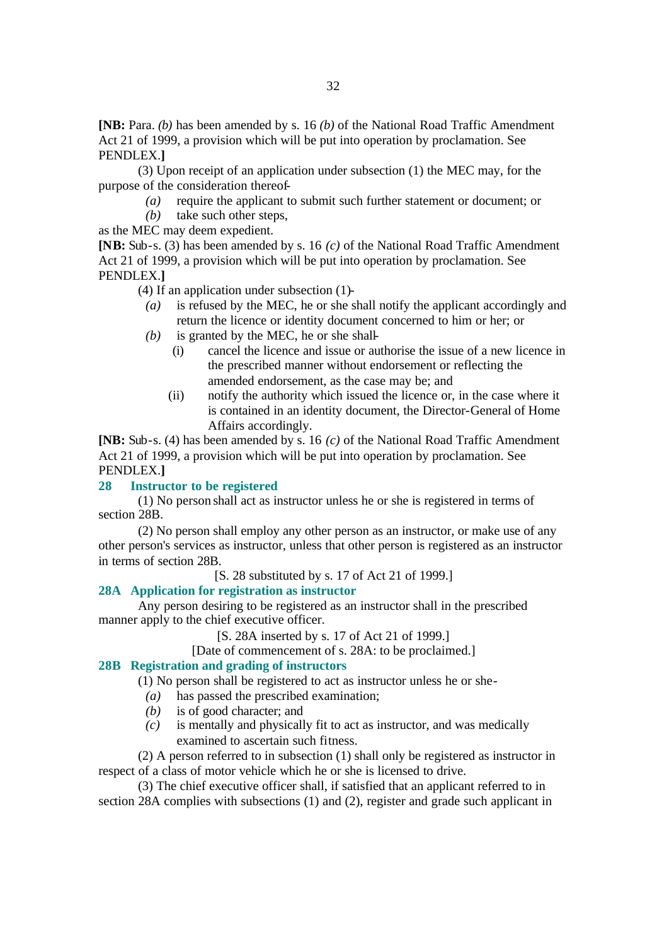**[NB:** Para. *(b)* has been amended by s. 16 *(b)* of the National Road Traffic Amendment Act 21 of 1999, a provision which will be put into operation by proclamation. See PENDLEX.**]**

(3) Upon receipt of an application under subsection (1) the MEC may, for the purpose of the consideration thereof-

- *(a)* require the applicant to submit such further statement or document; or
- *(b)* take such other steps,

as the MEC may deem expedient.

**[NB:** Sub-s. (3) has been amended by s. 16 *(c)* of the National Road Traffic Amendment Act 21 of 1999, a provision which will be put into operation by proclamation. See PENDLEX.**]**

(4) If an application under subsection (1)-

- *(a)* is refused by the MEC, he or she shall notify the applicant accordingly and return the licence or identity document concerned to him or her; or
- *(b)* is granted by the MEC, he or she shall-
	- (i) cancel the licence and issue or authorise the issue of a new licence in the prescribed manner without endorsement or reflecting the amended endorsement, as the case may be; and
	- (ii) notify the authority which issued the licence or, in the case where it is contained in an identity document, the Director-General of Home Affairs accordingly.

**[NB:** Sub-s. (4) has been amended by s. 16 *(c)* of the National Road Traffic Amendment Act 21 of 1999, a provision which will be put into operation by proclamation. See PENDLEX.**]**

### **28 Instructor to be registered**

(1) No person shall act as instructor unless he or she is registered in terms of section 28B.

(2) No person shall employ any other person as an instructor, or make use of any other person's services as instructor, unless that other person is registered as an instructor in terms of section 28B.

[S. 28 substituted by s. 17 of Act 21 of 1999.]

### **28A Application for registration as instructor**

Any person desiring to be registered as an instructor shall in the prescribed manner apply to the chief executive officer.

[S. 28A inserted by s. 17 of Act 21 of 1999.]

[Date of commencement of s. 28A: to be proclaimed.]

### **28B Registration and grading of instructors**

(1) No person shall be registered to act as instructor unless he or she-

- *(a)* has passed the prescribed examination;
- *(b)* is of good character; and
- *(c)* is mentally and physically fit to act as instructor, and was medically examined to ascertain such fitness.

(2) A person referred to in subsection (1) shall only be registered as instructor in respect of a class of motor vehicle which he or she is licensed to drive.

(3) The chief executive officer shall, if satisfied that an applicant referred to in section 28A complies with subsections (1) and (2), register and grade such applicant in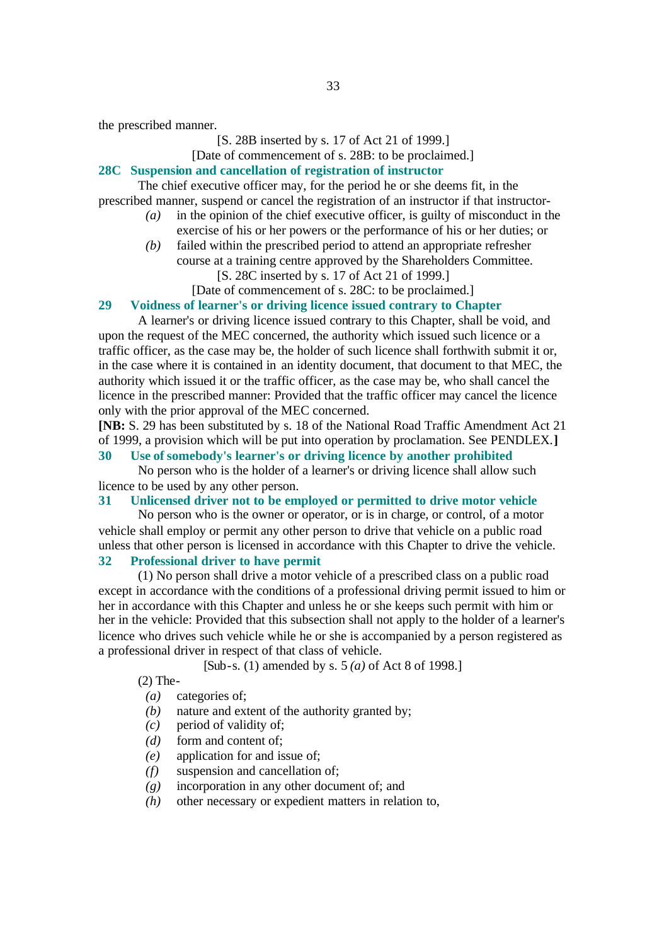the prescribed manner.

### [S. 28B inserted by s. 17 of Act 21 of 1999.]

### [Date of commencement of s. 28B: to be proclaimed.]

### **28C Suspension and cancellation of registration of instructor**

The chief executive officer may, for the period he or she deems fit, in the prescribed manner, suspend or cancel the registration of an instructor if that instructor-

- *(a)* in the opinion of the chief executive officer, is guilty of misconduct in the exercise of his or her powers or the performance of his or her duties; or
- *(b)* failed within the prescribed period to attend an appropriate refresher course at a training centre approved by the Shareholders Committee. [S. 28C inserted by s. 17 of Act 21 of 1999.]
	- [Date of commencement of s. 28C: to be proclaimed.]

#### **29 Voidness of learner's or driving licence issued contrary to Chapter**

A learner's or driving licence issued contrary to this Chapter, shall be void, and upon the request of the MEC concerned, the authority which issued such licence or a traffic officer, as the case may be, the holder of such licence shall forthwith submit it or, in the case where it is contained in an identity document, that document to that MEC, the authority which issued it or the traffic officer, as the case may be, who shall cancel the licence in the prescribed manner: Provided that the traffic officer may cancel the licence only with the prior approval of the MEC concerned.

**[NB:** S. 29 has been substituted by s. 18 of the National Road Traffic Amendment Act 21 of 1999, a provision which will be put into operation by proclamation. See PENDLEX.**]**

### **30 Use of somebody's learner's or driving licence by another prohibited**

No person who is the holder of a learner's or driving licence shall allow such licence to be used by any other person.

#### **31 Unlicensed driver not to be employed or permitted to drive motor vehicle**

No person who is the owner or operator, or is in charge, or control, of a motor vehicle shall employ or permit any other person to drive that vehicle on a public road unless that other person is licensed in accordance with this Chapter to drive the vehicle.

### **32 Professional driver to have permit**

(1) No person shall drive a motor vehicle of a prescribed class on a public road except in accordance with the conditions of a professional driving permit issued to him or her in accordance with this Chapter and unless he or she keeps such permit with him or her in the vehicle: Provided that this subsection shall not apply to the holder of a learner's licence who drives such vehicle while he or she is accompanied by a person registered as a professional driver in respect of that class of vehicle.

[Sub-s. (1) amended by s. 5 *(a)* of Act 8 of 1998.]

(2) The-

- *(a)* categories of;
- *(b)* nature and extent of the authority granted by;
- *(c)* period of validity of;
- *(d)* form and content of;
- *(e)* application for and issue of;
- *(f)* suspension and cancellation of;
- *(g)* incorporation in any other document of; and
- *(h)* other necessary or expedient matters in relation to,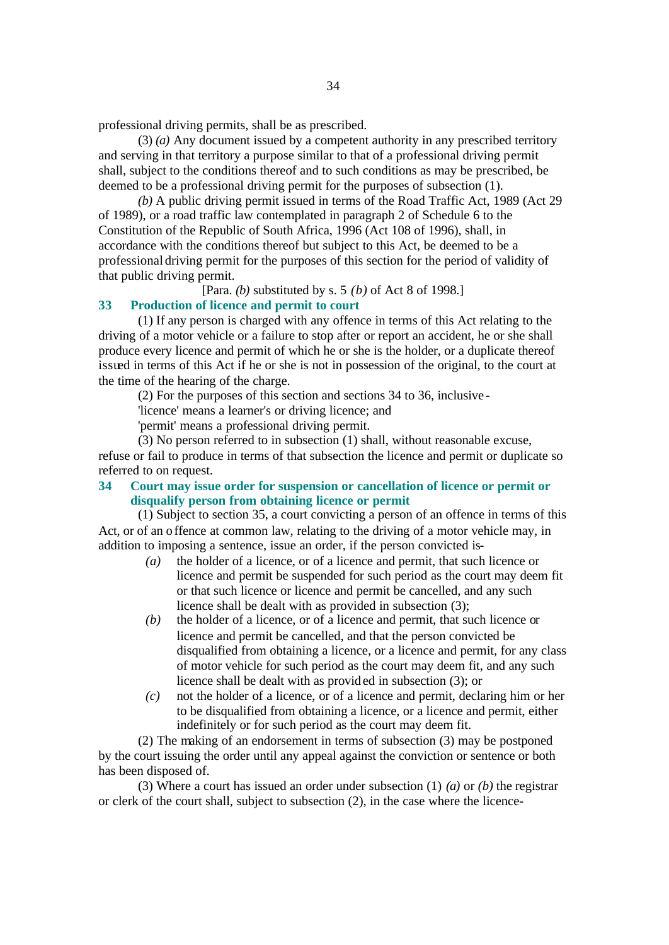professional driving permits, shall be as prescribed.

(3) *(a)* Any document issued by a competent authority in any prescribed territory and serving in that territory a purpose similar to that of a professional driving permit shall, subject to the conditions thereof and to such conditions as may be prescribed, be deemed to be a professional driving permit for the purposes of subsection (1).

*(b)* A public driving permit issued in terms of the Road Traffic Act, 1989 (Act 29 of 1989), or a road traffic law contemplated in paragraph 2 of Schedule 6 to the Constitution of the Republic of South Africa, 1996 (Act 108 of 1996), shall, in accordance with the conditions thereof but subject to this Act, be deemed to be a professional driving permit for the purposes of this section for the period of validity of that public driving permit.

[Para. *(b)* substituted by s. 5 *(b)* of Act 8 of 1998.]

#### **33 Production of licence and permit to court**

(1) If any person is charged with any offence in terms of this Act relating to the driving of a motor vehicle or a failure to stop after or report an accident, he or she shall produce every licence and permit of which he or she is the holder, or a duplicate thereof issued in terms of this Act if he or she is not in possession of the original, to the court at the time of the hearing of the charge.

(2) For the purposes of this section and sections 34 to 36, inclusive -

'licence' means a learner's or driving licence; and

'permit' means a professional driving permit.

(3) No person referred to in subsection (1) shall, without reasonable excuse, refuse or fail to produce in terms of that subsection the licence and permit or duplicate so referred to on request.

**34 Court may issue order for suspension or cancellation of licence or permit or disqualify person from obtaining licence or permit**

(1) Subject to section 35, a court convicting a person of an offence in terms of this Act, or of an offence at common law, relating to the driving of a motor vehicle may, in addition to imposing a sentence, issue an order, if the person convicted is-

- *(a)* the holder of a licence, or of a licence and permit, that such licence or licence and permit be suspended for such period as the court may deem fit or that such licence or licence and permit be cancelled, and any such licence shall be dealt with as provided in subsection (3);
- *(b)* the holder of a licence, or of a licence and permit, that such licence or licence and permit be cancelled, and that the person convicted be disqualified from obtaining a licence, or a licence and permit, for any class of motor vehicle for such period as the court may deem fit, and any such licence shall be dealt with as provided in subsection (3); or
- *(c)* not the holder of a licence, or of a licence and permit, declaring him or her to be disqualified from obtaining a licence, or a licence and permit, either indefinitely or for such period as the court may deem fit.

(2) The making of an endorsement in terms of subsection (3) may be postponed by the court issuing the order until any appeal against the conviction or sentence or both has been disposed of.

(3) Where a court has issued an order under subsection (1) *(a)* or *(b)* the registrar or clerk of the court shall, subject to subsection (2), in the case where the licence-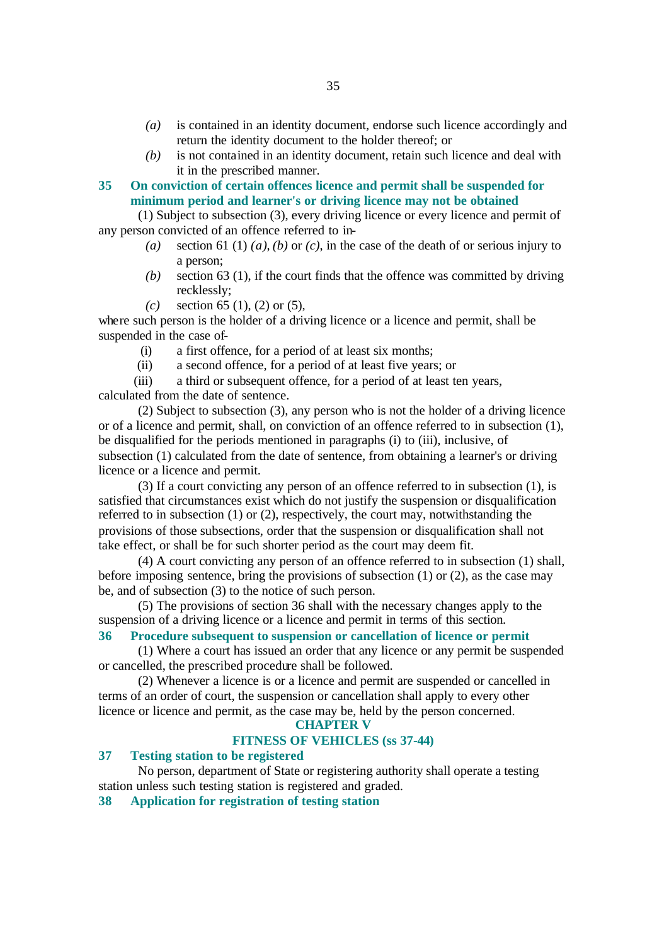- *(a)* is contained in an identity document, endorse such licence accordingly and return the identity document to the holder thereof; or
- *(b)* is not contained in an identity document, retain such licence and deal with it in the prescribed manner.

**35 On conviction of certain offences licence and permit shall be suspended for minimum period and learner's or driving licence may not be obtained**

(1) Subject to subsection (3), every driving licence or every licence and permit of any person convicted of an offence referred to in-

- *(a)* section 61 (1) *(a)*, *(b)* or *(c)*, in the case of the death of or serious injury to a person;
- *(b)* section 63 (1), if the court finds that the offence was committed by driving recklessly;
- *(c)* section 65 (1), (2) or (5),

where such person is the holder of a driving licence or a licence and permit, shall be suspended in the case of-

- (i) a first offence, for a period of at least six months;
- (ii) a second offence, for a period of at least five years; or

(iii) a third or subsequent offence, for a period of at least ten years, calculated from the date of sentence.

(2) Subject to subsection (3), any person who is not the holder of a driving licence or of a licence and permit, shall, on conviction of an offence referred to in subsection (1), be disqualified for the periods mentioned in paragraphs (i) to (iii), inclusive, of subsection (1) calculated from the date of sentence, from obtaining a learner's or driving licence or a licence and permit.

(3) If a court convicting any person of an offence referred to in subsection (1), is satisfied that circumstances exist which do not justify the suspension or disqualification referred to in subsection (1) or (2), respectively, the court may, notwithstanding the provisions of those subsections, order that the suspension or disqualification shall not take effect, or shall be for such shorter period as the court may deem fit.

(4) A court convicting any person of an offence referred to in subsection (1) shall, before imposing sentence, bring the provisions of subsection (1) or (2), as the case may be, and of subsection (3) to the notice of such person.

(5) The provisions of section 36 shall with the necessary changes apply to the suspension of a driving licence or a licence and permit in terms of this section.

### **36 Procedure subsequent to suspension or cancellation of licence or permit**

(1) Where a court has issued an order that any licence or any permit be suspended or cancelled, the prescribed procedure shall be followed.

(2) Whenever a licence is or a licence and permit are suspended or cancelled in terms of an order of court, the suspension or cancellation shall apply to every other licence or licence and permit, as the case may be, held by the person concerned.

### **CHAPTER V**

### **FITNESS OF VEHICLES (ss 37-44)**

### **37 Testing station to be registered**

No person, department of State or registering authority shall operate a testing station unless such testing station is registered and graded.

**38 Application for registration of testing station**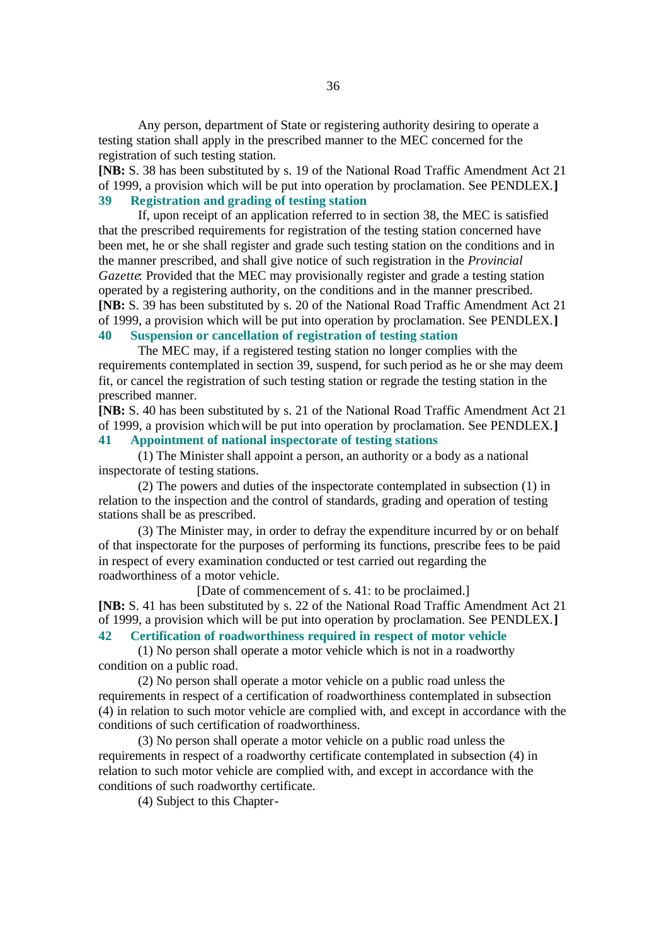Any person, department of State or registering authority desiring to operate a testing station shall apply in the prescribed manner to the MEC concerned for the registration of such testing station.

**[NB:** S. 38 has been substituted by s. 19 of the National Road Traffic Amendment Act 21 of 1999, a provision which will be put into operation by proclamation. See PENDLEX.**] 39 Registration and grading of testing station**

If, upon receipt of an application referred to in section 38, the MEC is satisfied that the prescribed requirements for registration of the testing station concerned have been met, he or she shall register and grade such testing station on the conditions and in the manner prescribed, and shall give notice of such registration in the *Provincial Gazette*: Provided that the MEC may provisionally register and grade a testing station operated by a registering authority, on the conditions and in the manner prescribed. **[NB:** S. 39 has been substituted by s. 20 of the National Road Traffic Amendment Act 21 of 1999, a provision which will be put into operation by proclamation. See PENDLEX.**] 40 Suspension or cancellation of registration of testing station**

The MEC may, if a registered testing station no longer complies with the requirements contemplated in section 39, suspend, for such period as he or she may deem fit, or cancel the registration of such testing station or regrade the testing station in the prescribed manner.

**[NB:** S. 40 has been substituted by s. 21 of the National Road Traffic Amendment Act 21 of 1999, a provision which will be put into operation by proclamation. See PENDLEX.**] 41 Appointment of national inspectorate of testing stations**

(1) The Minister shall appoint a person, an authority or a body as a national inspectorate of testing stations.

(2) The powers and duties of the inspectorate contemplated in subsection (1) in relation to the inspection and the control of standards, grading and operation of testing stations shall be as prescribed.

(3) The Minister may, in order to defray the expenditure incurred by or on behalf of that inspectorate for the purposes of performing its functions, prescribe fees to be paid in respect of every examination conducted or test carried out regarding the roadworthiness of a motor vehicle.

[Date of commencement of s. 41: to be proclaimed.]

**[NB:** S. 41 has been substituted by s. 22 of the National Road Traffic Amendment Act 21 of 1999, a provision which will be put into operation by proclamation. See PENDLEX.**]**

# **42 Certification of roadworthiness required in respect of motor vehicle**

(1) No person shall operate a motor vehicle which is not in a roadworthy condition on a public road.

(2) No person shall operate a motor vehicle on a public road unless the requirements in respect of a certification of roadworthiness contemplated in subsection (4) in relation to such motor vehicle are complied with, and except in accordance with the conditions of such certification of roadworthiness.

(3) No person shall operate a motor vehicle on a public road unless the requirements in respect of a roadworthy certificate contemplated in subsection (4) in relation to such motor vehicle are complied with, and except in accordance with the conditions of such roadworthy certificate.

(4) Subject to this Chapter-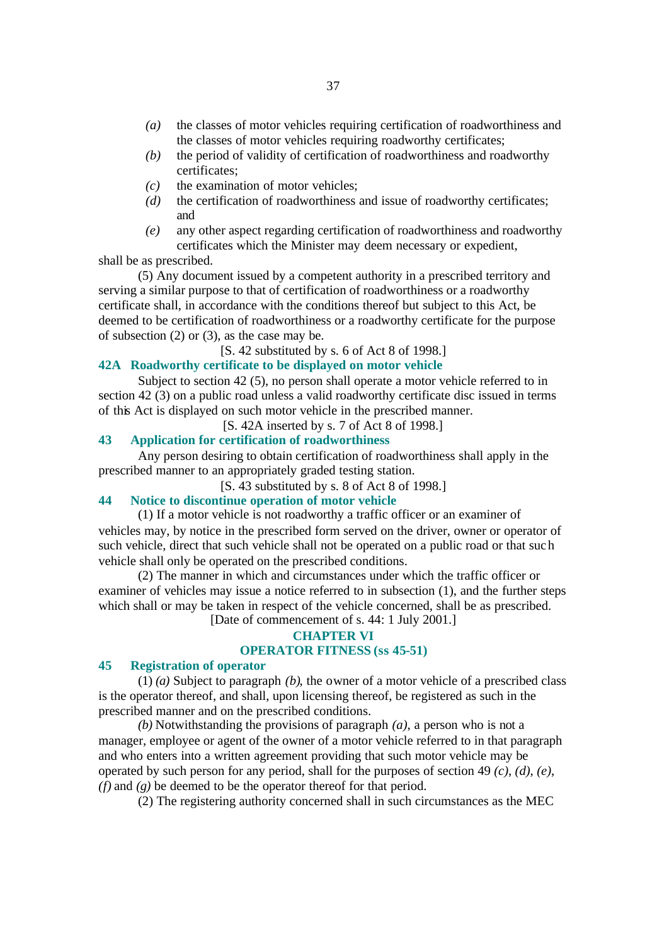- *(a)* the classes of motor vehicles requiring certification of roadworthiness and the classes of motor vehicles requiring roadworthy certificates;
- *(b)* the period of validity of certification of roadworthiness and roadworthy certificates;
- *(c)* the examination of motor vehicles;
- *(d)* the certification of roadworthiness and issue of roadworthy certificates; and
- *(e)* any other aspect regarding certification of roadworthiness and roadworthy certificates which the Minister may deem necessary or expedient,

shall be as prescribed.

(5) Any document issued by a competent authority in a prescribed territory and serving a similar purpose to that of certification of roadworthiness or a roadworthy certificate shall, in accordance with the conditions thereof but subject to this Act, be deemed to be certification of roadworthiness or a roadworthy certificate for the purpose of subsection (2) or (3), as the case may be.

[S. 42 substituted by s. 6 of Act 8 of 1998.]

### **42A Roadworthy certificate to be displayed on motor vehicle**

Subject to section 42 (5), no person shall operate a motor vehicle referred to in section 42 (3) on a public road unless a valid roadworthy certificate disc issued in terms of this Act is displayed on such motor vehicle in the prescribed manner.

[S. 42A inserted by s. 7 of Act 8 of 1998.]

## **43 Application for certification of roadworthiness**

Any person desiring to obtain certification of roadworthiness shall apply in the prescribed manner to an appropriately graded testing station.

[S. 43 substituted by s. 8 of Act 8 of 1998.]

#### **44 Notice to discontinue operation of motor vehicle**

(1) If a motor vehicle is not roadworthy a traffic officer or an examiner of vehicles may, by notice in the prescribed form served on the driver, owner or operator of such vehicle, direct that such vehicle shall not be operated on a public road or that such vehicle shall only be operated on the prescribed conditions.

(2) The manner in which and circumstances under which the traffic officer or examiner of vehicles may issue a notice referred to in subsection (1), and the further steps which shall or may be taken in respect of the vehicle concerned, shall be as prescribed. [Date of commencement of s. 44: 1 July 2001.]

# **CHAPTER VI**

## **OPERATOR FITNESS (ss 45-51)**

## **45 Registration of operator**

(1) *(a)* Subject to paragraph *(b)*, the owner of a motor vehicle of a prescribed class is the operator thereof, and shall, upon licensing thereof, be registered as such in the prescribed manner and on the prescribed conditions.

*(b)* Notwithstanding the provisions of paragraph *(a)*, a person who is not a manager, employee or agent of the owner of a motor vehicle referred to in that paragraph and who enters into a written agreement providing that such motor vehicle may be operated by such person for any period, shall for the purposes of section 49 *(c)*, *(d)*, *(e)*, *(f)* and *(g)* be deemed to be the operator thereof for that period.

(2) The registering authority concerned shall in such circumstances as the MEC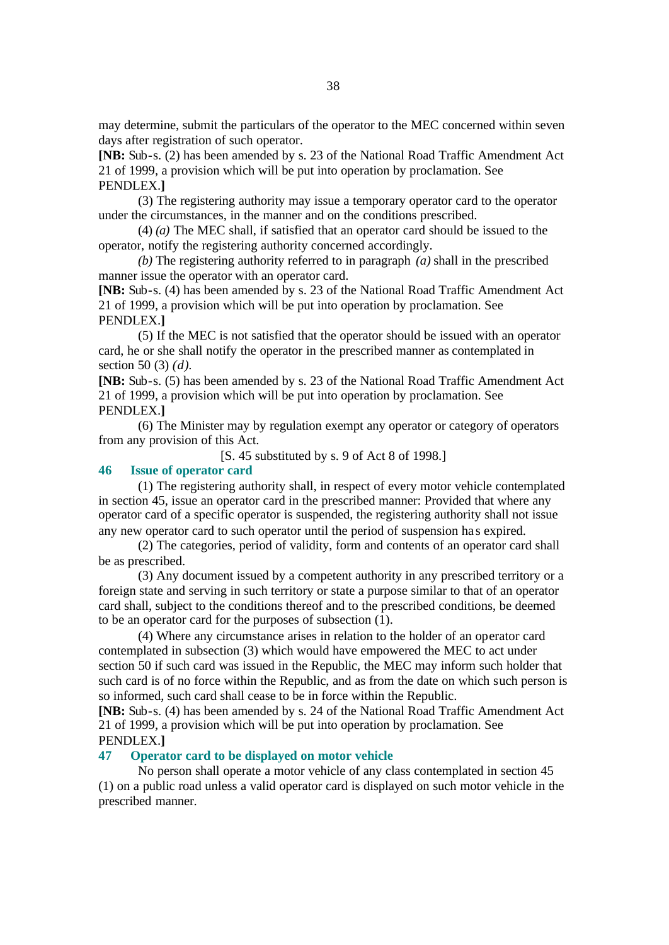may determine, submit the particulars of the operator to the MEC concerned within seven days after registration of such operator.

**[NB:** Sub-s. (2) has been amended by s. 23 of the National Road Traffic Amendment Act 21 of 1999, a provision which will be put into operation by proclamation. See PENDLEX.**]**

(3) The registering authority may issue a temporary operator card to the operator under the circumstances, in the manner and on the conditions prescribed.

(4) *(a)* The MEC shall, if satisfied that an operator card should be issued to the operator, notify the registering authority concerned accordingly.

*(b)* The registering authority referred to in paragraph *(a)* shall in the prescribed manner issue the operator with an operator card.

**[NB:** Sub-s. (4) has been amended by s. 23 of the National Road Traffic Amendment Act 21 of 1999, a provision which will be put into operation by proclamation. See PENDLEX.**]**

(5) If the MEC is not satisfied that the operator should be issued with an operator card, he or she shall notify the operator in the prescribed manner as contemplated in section 50 (3) *(d)*.

**[NB:** Sub-s. (5) has been amended by s. 23 of the National Road Traffic Amendment Act 21 of 1999, a provision which will be put into operation by proclamation. See PENDLEX.**]**

(6) The Minister may by regulation exempt any operator or category of operators from any provision of this Act.

[S. 45 substituted by s. 9 of Act 8 of 1998.]

#### **46 Issue of operator card**

(1) The registering authority shall, in respect of every motor vehicle contemplated in section 45, issue an operator card in the prescribed manner: Provided that where any operator card of a specific operator is suspended, the registering authority shall not issue any new operator card to such operator until the period of suspension ha s expired.

(2) The categories, period of validity, form and contents of an operator card shall be as prescribed.

(3) Any document issued by a competent authority in any prescribed territory or a foreign state and serving in such territory or state a purpose similar to that of an operator card shall, subject to the conditions thereof and to the prescribed conditions, be deemed to be an operator card for the purposes of subsection (1).

(4) Where any circumstance arises in relation to the holder of an operator card contemplated in subsection (3) which would have empowered the MEC to act under section 50 if such card was issued in the Republic, the MEC may inform such holder that such card is of no force within the Republic, and as from the date on which such person is so informed, such card shall cease to be in force within the Republic.

**[NB:** Sub-s. (4) has been amended by s. 24 of the National Road Traffic Amendment Act 21 of 1999, a provision which will be put into operation by proclamation. See PENDLEX.**]**

#### **47 Operator card to be displayed on motor vehicle**

No person shall operate a motor vehicle of any class contemplated in section 45 (1) on a public road unless a valid operator card is displayed on such motor vehicle in the prescribed manner.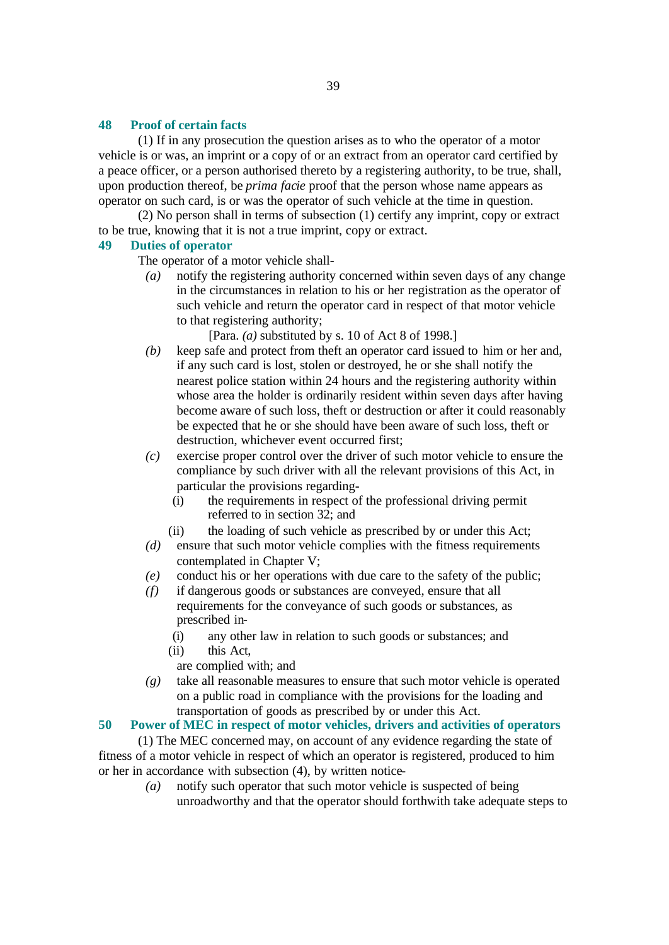#### **48 Proof of certain facts**

(1) If in any prosecution the question arises as to who the operator of a motor vehicle is or was, an imprint or a copy of or an extract from an operator card certified by a peace officer, or a person authorised thereto by a registering authority, to be true, shall, upon production thereof, be *prima facie* proof that the person whose name appears as operator on such card, is or was the operator of such vehicle at the time in question.

(2) No person shall in terms of subsection (1) certify any imprint, copy or extract to be true, knowing that it is not a true imprint, copy or extract.

#### **49 Duties of operator**

The operator of a motor vehicle shall-

*(a)* notify the registering authority concerned within seven days of any change in the circumstances in relation to his or her registration as the operator of such vehicle and return the operator card in respect of that motor vehicle to that registering authority;

[Para. *(a)* substituted by s. 10 of Act 8 of 1998.]

- *(b)* keep safe and protect from theft an operator card issued to him or her and, if any such card is lost, stolen or destroyed, he or she shall notify the nearest police station within 24 hours and the registering authority within whose area the holder is ordinarily resident within seven days after having become aware of such loss, theft or destruction or after it could reasonably be expected that he or she should have been aware of such loss, theft or destruction, whichever event occurred first;
- *(c)* exercise proper control over the driver of such motor vehicle to ensure the compliance by such driver with all the relevant provisions of this Act, in particular the provisions regarding-
	- (i) the requirements in respect of the professional driving permit referred to in section 32; and
	- (ii) the loading of such vehicle as prescribed by or under this Act;
- *(d)* ensure that such motor vehicle complies with the fitness requirements contemplated in Chapter V;
- *(e)* conduct his or her operations with due care to the safety of the public;
- *(f)* if dangerous goods or substances are conveyed, ensure that all requirements for the conveyance of such goods or substances, as prescribed in-
	- (i) any other law in relation to such goods or substances; and (ii) this Act,
	- are complied with; and
- *(g)* take all reasonable measures to ensure that such motor vehicle is operated on a public road in compliance with the provisions for the loading and transportation of goods as prescribed by or under this Act.

#### **50 Power of MEC in respect of motor vehicles, drivers and activities of operators**

(1) The MEC concerned may, on account of any evidence regarding the state of fitness of a motor vehicle in respect of which an operator is registered, produced to him or her in accordance with subsection (4), by written notice-

> *(a)* notify such operator that such motor vehicle is suspected of being unroadworthy and that the operator should forthwith take adequate steps to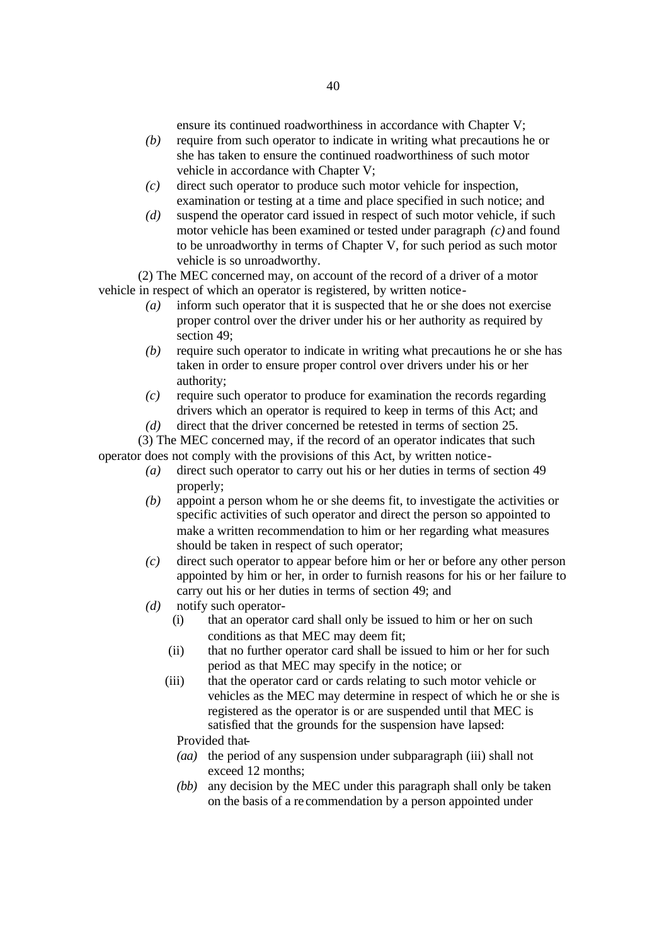ensure its continued roadworthiness in accordance with Chapter V;

- *(b)* require from such operator to indicate in writing what precautions he or she has taken to ensure the continued roadworthiness of such motor vehicle in accordance with Chapter V;
- *(c)* direct such operator to produce such motor vehicle for inspection, examination or testing at a time and place specified in such notice; and
- *(d)* suspend the operator card issued in respect of such motor vehicle, if such motor vehicle has been examined or tested under paragraph *(c)* and found to be unroadworthy in terms of Chapter V, for such period as such motor vehicle is so unroadworthy.

(2) The MEC concerned may, on account of the record of a driver of a motor vehicle in respect of which an operator is registered, by written notice-

- *(a)* inform such operator that it is suspected that he or she does not exercise proper control over the driver under his or her authority as required by section 49;
- *(b)* require such operator to indicate in writing what precautions he or she has taken in order to ensure proper control over drivers under his or her authority;
- *(c)* require such operator to produce for examination the records regarding drivers which an operator is required to keep in terms of this Act; and
- *(d)* direct that the driver concerned be retested in terms of section 25.

(3) The MEC concerned may, if the record of an operator indicates that such operator does not comply with the provisions of this Act, by written notice-

- *(a)* direct such operator to carry out his or her duties in terms of section 49 properly;
- *(b)* appoint a person whom he or she deems fit, to investigate the activities or specific activities of such operator and direct the person so appointed to make a written recommendation to him or her regarding what measures should be taken in respect of such operator;
- *(c)* direct such operator to appear before him or her or before any other person appointed by him or her, in order to furnish reasons for his or her failure to carry out his or her duties in terms of section 49; and
- *(d)* notify such operator-
	- (i) that an operator card shall only be issued to him or her on such conditions as that MEC may deem fit;
	- (ii) that no further operator card shall be issued to him or her for such period as that MEC may specify in the notice; or
	- (iii) that the operator card or cards relating to such motor vehicle or vehicles as the MEC may determine in respect of which he or she is registered as the operator is or are suspended until that MEC is satisfied that the grounds for the suspension have lapsed: Provided that-
		- *(aa)* the period of any suspension under subparagraph (iii) shall not exceed 12 months;
		- *(bb)* any decision by the MEC under this paragraph shall only be taken on the basis of a re commendation by a person appointed under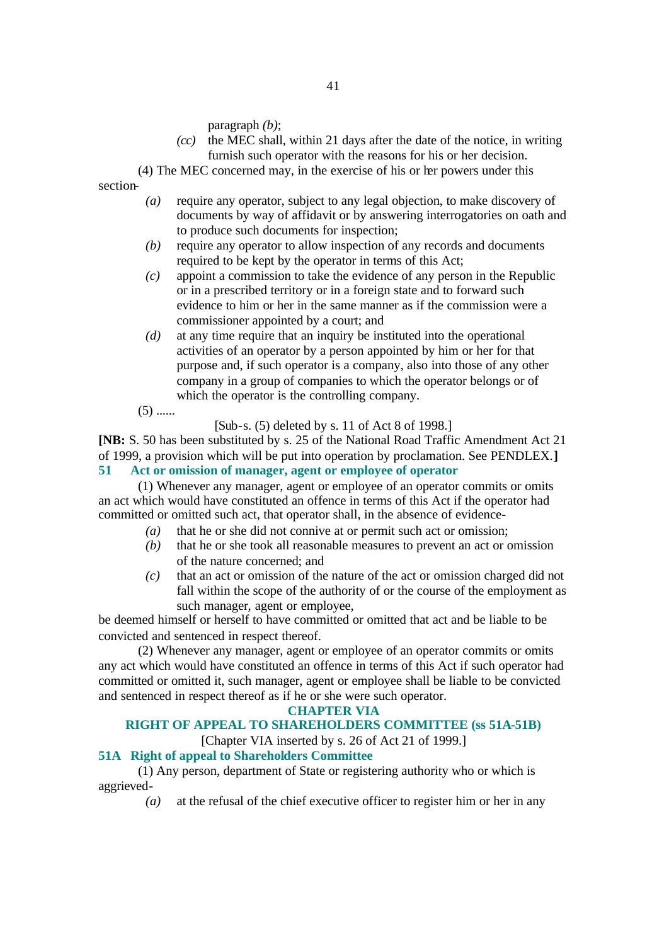paragraph *(b)*;

- *(cc)* the MEC shall, within 21 days after the date of the notice, in writing furnish such operator with the reasons for his or her decision.
- (4) The MEC concerned may, in the exercise of his or her powers under this

41

section-

- *(a)* require any operator, subject to any legal objection, to make discovery of documents by way of affidavit or by answering interrogatories on oath and to produce such documents for inspection;
- *(b)* require any operator to allow inspection of any records and documents required to be kept by the operator in terms of this Act;
- *(c)* appoint a commission to take the evidence of any person in the Republic or in a prescribed territory or in a foreign state and to forward such evidence to him or her in the same manner as if the commission were a commissioner appointed by a court; and
- *(d)* at any time require that an inquiry be instituted into the operational activities of an operator by a person appointed by him or her for that purpose and, if such operator is a company, also into those of any other company in a group of companies to which the operator belongs or of which the operator is the controlling company.
- $(5)$  ......

[Sub-s. (5) deleted by s. 11 of Act 8 of 1998.]

**[NB:** S. 50 has been substituted by s. 25 of the National Road Traffic Amendment Act 21 of 1999, a provision which will be put into operation by proclamation. See PENDLEX.**] 51 Act or omission of manager, agent or employee of operator**

(1) Whenever any manager, agent or employee of an operator commits or omits an act which would have constituted an offence in terms of this Act if the operator had committed or omitted such act, that operator shall, in the absence of evidence-

- *(a)* that he or she did not connive at or permit such act or omission;
- *(b)* that he or she took all reasonable measures to prevent an act or omission of the nature concerned; and
- *(c)* that an act or omission of the nature of the act or omission charged did not fall within the scope of the authority of or the course of the employment as such manager, agent or employee,

be deemed himself or herself to have committed or omitted that act and be liable to be convicted and sentenced in respect thereof.

(2) Whenever any manager, agent or employee of an operator commits or omits any act which would have constituted an offence in terms of this Act if such operator had committed or omitted it, such manager, agent or employee shall be liable to be convicted and sentenced in respect thereof as if he or she were such operator.

## **CHAPTER VIA**

## **RIGHT OF APPEAL TO SHAREHOLDERS COMMITTEE (ss 51A-51B)**

[Chapter VIA inserted by s. 26 of Act 21 of 1999.]

## **51A Right of appeal to Shareholders Committee**

(1) Any person, department of State or registering authority who or which is aggrieved-

*(a)* at the refusal of the chief executive officer to register him or her in any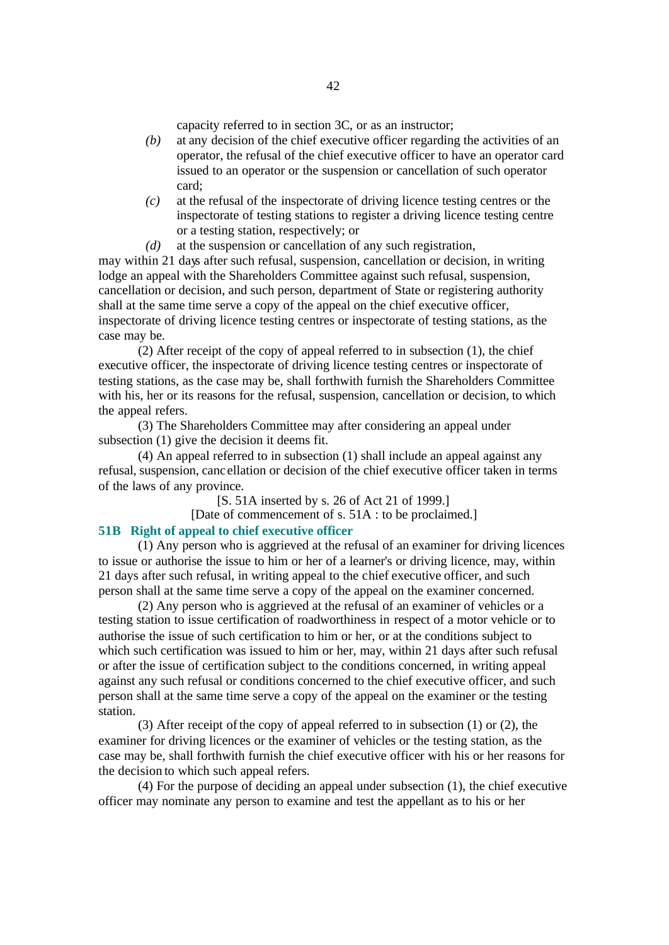capacity referred to in section 3C, or as an instructor;

- *(b)* at any decision of the chief executive officer regarding the activities of an operator, the refusal of the chief executive officer to have an operator card issued to an operator or the suspension or cancellation of such operator card;
- *(c)* at the refusal of the inspectorate of driving licence testing centres or the inspectorate of testing stations to register a driving licence testing centre or a testing station, respectively; or
- *(d)* at the suspension or cancellation of any such registration,

may within 21 days after such refusal, suspension, cancellation or decision, in writing lodge an appeal with the Shareholders Committee against such refusal, suspension, cancellation or decision, and such person, department of State or registering authority shall at the same time serve a copy of the appeal on the chief executive officer, inspectorate of driving licence testing centres or inspectorate of testing stations, as the case may be.

(2) After receipt of the copy of appeal referred to in subsection (1), the chief executive officer, the inspectorate of driving licence testing centres or inspectorate of testing stations, as the case may be, shall forthwith furnish the Shareholders Committee with his, her or its reasons for the refusal, suspension, cancellation or decision, to which the appeal refers.

(3) The Shareholders Committee may after considering an appeal under subsection (1) give the decision it deems fit.

(4) An appeal referred to in subsection (1) shall include an appeal against any refusal, suspension, canc ellation or decision of the chief executive officer taken in terms of the laws of any province.

[S. 51A inserted by s. 26 of Act 21 of 1999.]

[Date of commencement of s. 51A : to be proclaimed.]

#### **51B Right of appeal to chief executive officer**

(1) Any person who is aggrieved at the refusal of an examiner for driving licences to issue or authorise the issue to him or her of a learner's or driving licence, may, within 21 days after such refusal, in writing appeal to the chief executive officer, and such person shall at the same time serve a copy of the appeal on the examiner concerned.

(2) Any person who is aggrieved at the refusal of an examiner of vehicles or a testing station to issue certification of roadworthiness in respect of a motor vehicle or to authorise the issue of such certification to him or her, or at the conditions subject to which such certification was issued to him or her, may, within 21 days after such refusal or after the issue of certification subject to the conditions concerned, in writing appeal against any such refusal or conditions concerned to the chief executive officer, and such person shall at the same time serve a copy of the appeal on the examiner or the testing station.

(3) After receipt of the copy of appeal referred to in subsection (1) or (2), the examiner for driving licences or the examiner of vehicles or the testing station, as the case may be, shall forthwith furnish the chief executive officer with his or her reasons for the decision to which such appeal refers.

(4) For the purpose of deciding an appeal under subsection (1), the chief executive officer may nominate any person to examine and test the appellant as to his or her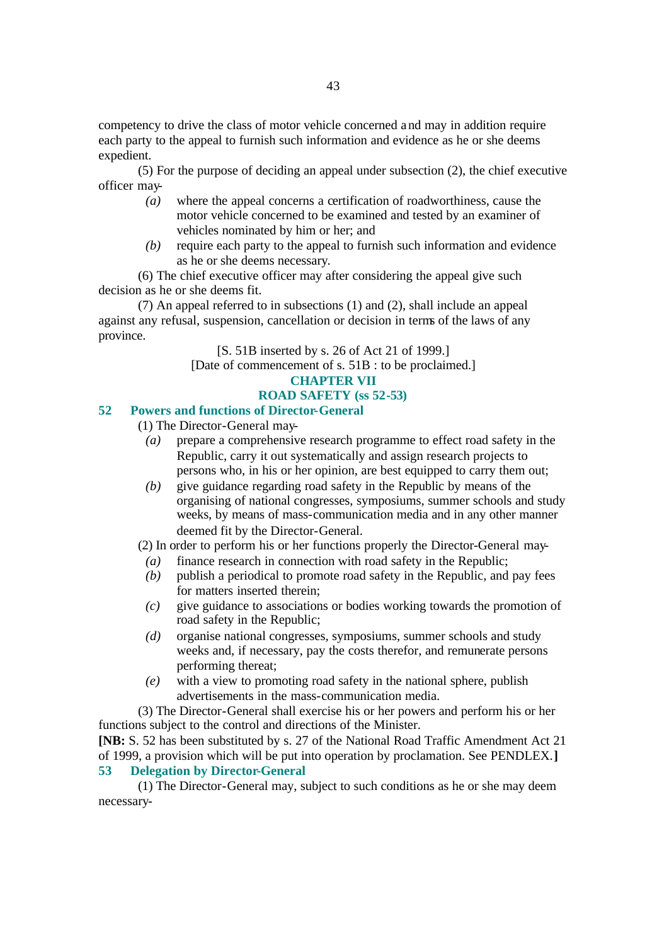competency to drive the class of motor vehicle concerned and may in addition require each party to the appeal to furnish such information and evidence as he or she deems expedient.

(5) For the purpose of deciding an appeal under subsection (2), the chief executive officer may-

- *(a)* where the appeal concerns a certification of roadworthiness, cause the motor vehicle concerned to be examined and tested by an examiner of vehicles nominated by him or her; and
- *(b)* require each party to the appeal to furnish such information and evidence as he or she deems necessary.

(6) The chief executive officer may after considering the appeal give such decision as he or she deems fit.

(7) An appeal referred to in subsections (1) and (2), shall include an appeal against any refusal, suspension, cancellation or decision in terms of the laws of any province.

[S. 51B inserted by s. 26 of Act 21 of 1999.]

[Date of commencement of s. 51B : to be proclaimed.]

## **CHAPTER VII**

## **ROAD SAFETY (ss 52-53)**

## **52 Powers and functions of Director-General**

- (1) The Director-General may-
	- *(a)* prepare a comprehensive research programme to effect road safety in the Republic, carry it out systematically and assign research projects to persons who, in his or her opinion, are best equipped to carry them out;
	- *(b)* give guidance regarding road safety in the Republic by means of the organising of national congresses, symposiums, summer schools and study weeks, by means of mass-communication media and in any other manner deemed fit by the Director-General.

(2) In order to perform his or her functions properly the Director-General may-

- *(a)* finance research in connection with road safety in the Republic;
- *(b)* publish a periodical to promote road safety in the Republic, and pay fees for matters inserted therein;
- *(c)* give guidance to associations or bodies working towards the promotion of road safety in the Republic;
- *(d)* organise national congresses, symposiums, summer schools and study weeks and, if necessary, pay the costs therefor, and remunerate persons performing thereat;
- *(e)* with a view to promoting road safety in the national sphere, publish advertisements in the mass-communication media.

(3) The Director-General shall exercise his or her powers and perform his or her functions subject to the control and directions of the Minister. **[NB:** S. 52 has been substituted by s. 27 of the National Road Traffic Amendment Act 21 of 1999, a provision which will be put into operation by proclamation. See PENDLEX.**]**

## **53 Delegation by Director-General**

(1) The Director-General may, subject to such conditions as he or she may deem necessary-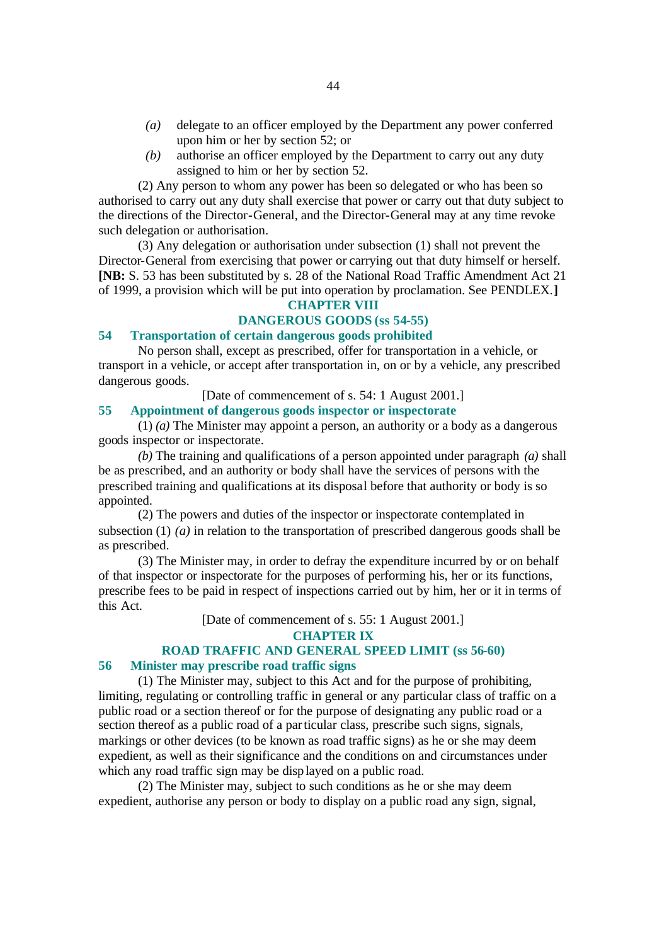- *(a)* delegate to an officer employed by the Department any power conferred upon him or her by section 52; or
- *(b)* authorise an officer employed by the Department to carry out any duty assigned to him or her by section 52.

(2) Any person to whom any power has been so delegated or who has been so authorised to carry out any duty shall exercise that power or carry out that duty subject to the directions of the Director-General, and the Director-General may at any time revoke such delegation or authorisation.

(3) Any delegation or authorisation under subsection (1) shall not prevent the Director-General from exercising that power or carrying out that duty himself or herself. **[NB:** S. 53 has been substituted by s. 28 of the National Road Traffic Amendment Act 21 of 1999, a provision which will be put into operation by proclamation. See PENDLEX.**]**

### **CHAPTER VIII**

## **DANGEROUS GOODS (ss 54-55)**

## **54 Transportation of certain dangerous goods prohibited**

No person shall, except as prescribed, offer for transportation in a vehicle, or transport in a vehicle, or accept after transportation in, on or by a vehicle, any prescribed dangerous goods.

[Date of commencement of s. 54: 1 August 2001.]

#### **55 Appointment of dangerous goods inspector or inspectorate**

(1) *(a)* The Minister may appoint a person, an authority or a body as a dangerous goods inspector or inspectorate.

*(b)* The training and qualifications of a person appointed under paragraph *(a)* shall be as prescribed, and an authority or body shall have the services of persons with the prescribed training and qualifications at its disposal before that authority or body is so appointed.

(2) The powers and duties of the inspector or inspectorate contemplated in subsection (1) *(a)* in relation to the transportation of prescribed dangerous goods shall be as prescribed.

(3) The Minister may, in order to defray the expenditure incurred by or on behalf of that inspector or inspectorate for the purposes of performing his, her or its functions, prescribe fees to be paid in respect of inspections carried out by him, her or it in terms of this Act.

[Date of commencement of s. 55: 1 August 2001.]

**CHAPTER IX**

## **ROAD TRAFFIC AND GENERAL SPEED LIMIT (ss 56-60)**

#### **56 Minister may prescribe road traffic signs**

(1) The Minister may, subject to this Act and for the purpose of prohibiting, limiting, regulating or controlling traffic in general or any particular class of traffic on a public road or a section thereof or for the purpose of designating any public road or a section thereof as a public road of a particular class, prescribe such signs, signals, markings or other devices (to be known as road traffic signs) as he or she may deem expedient, as well as their significance and the conditions on and circumstances under which any road traffic sign may be displayed on a public road.

(2) The Minister may, subject to such conditions as he or she may deem expedient, authorise any person or body to display on a public road any sign, signal,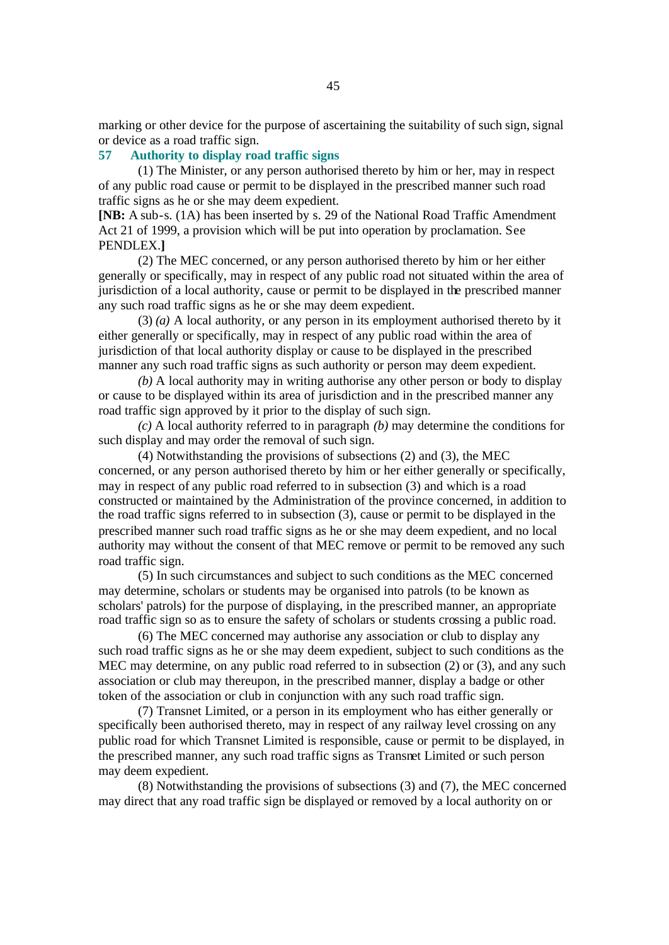marking or other device for the purpose of ascertaining the suitability of such sign, signal or device as a road traffic sign.

## **57 Authority to display road traffic signs**

(1) The Minister, or any person authorised thereto by him or her, may in respect of any public road cause or permit to be displayed in the prescribed manner such road traffic signs as he or she may deem expedient.

**[NB:** A sub-s. (1A) has been inserted by s. 29 of the National Road Traffic Amendment Act 21 of 1999, a provision which will be put into operation by proclamation. See PENDLEX.**]**

(2) The MEC concerned, or any person authorised thereto by him or her either generally or specifically, may in respect of any public road not situated within the area of jurisdiction of a local authority, cause or permit to be displayed in the prescribed manner any such road traffic signs as he or she may deem expedient.

(3) *(a)* A local authority, or any person in its employment authorised thereto by it either generally or specifically, may in respect of any public road within the area of jurisdiction of that local authority display or cause to be displayed in the prescribed manner any such road traffic signs as such authority or person may deem expedient.

*(b)* A local authority may in writing authorise any other person or body to display or cause to be displayed within its area of jurisdiction and in the prescribed manner any road traffic sign approved by it prior to the display of such sign.

*(c)* A local authority referred to in paragraph *(b)* may determine the conditions for such display and may order the removal of such sign.

(4) Notwithstanding the provisions of subsections (2) and (3), the MEC concerned, or any person authorised thereto by him or her either generally or specifically, may in respect of any public road referred to in subsection (3) and which is a road constructed or maintained by the Administration of the province concerned, in addition to the road traffic signs referred to in subsection (3), cause or permit to be displayed in the prescribed manner such road traffic signs as he or she may deem expedient, and no local authority may without the consent of that MEC remove or permit to be removed any such road traffic sign.

(5) In such circumstances and subject to such conditions as the MEC concerned may determine, scholars or students may be organised into patrols (to be known as scholars' patrols) for the purpose of displaying, in the prescribed manner, an appropriate road traffic sign so as to ensure the safety of scholars or students crossing a public road.

(6) The MEC concerned may authorise any association or club to display any such road traffic signs as he or she may deem expedient, subject to such conditions as the MEC may determine, on any public road referred to in subsection (2) or (3), and any such association or club may thereupon, in the prescribed manner, display a badge or other token of the association or club in conjunction with any such road traffic sign.

(7) Transnet Limited, or a person in its employment who has either generally or specifically been authorised thereto, may in respect of any railway level crossing on any public road for which Transnet Limited is responsible, cause or permit to be displayed, in the prescribed manner, any such road traffic signs as Transnet Limited or such person may deem expedient.

(8) Notwithstanding the provisions of subsections (3) and (7), the MEC concerned may direct that any road traffic sign be displayed or removed by a local authority on or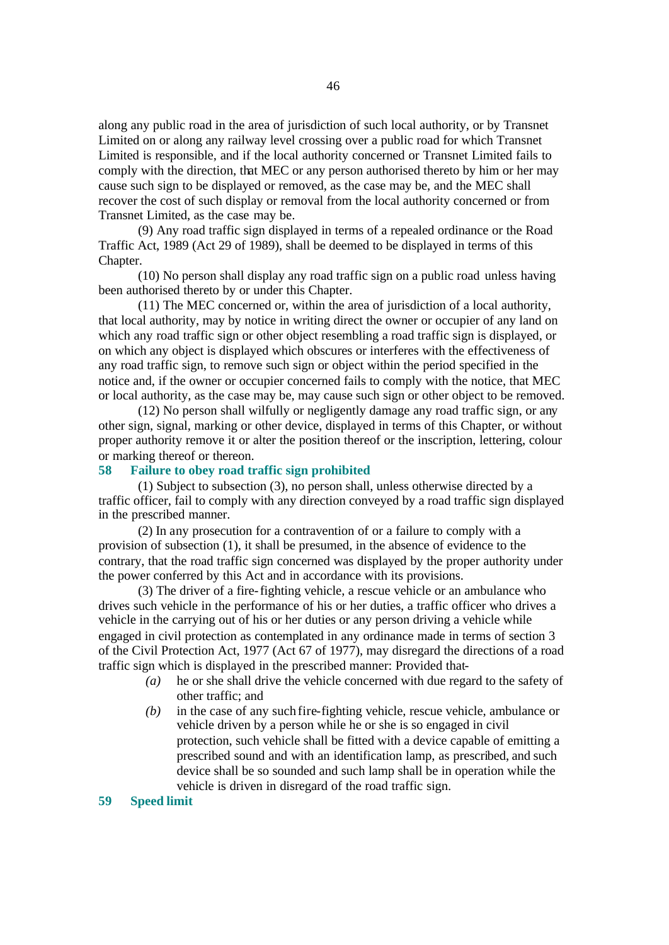along any public road in the area of jurisdiction of such local authority, or by Transnet Limited on or along any railway level crossing over a public road for which Transnet Limited is responsible, and if the local authority concerned or Transnet Limited fails to comply with the direction, that MEC or any person authorised thereto by him or her may cause such sign to be displayed or removed, as the case may be, and the MEC shall recover the cost of such display or removal from the local authority concerned or from Transnet Limited, as the case may be.

(9) Any road traffic sign displayed in terms of a repealed ordinance or the Road Traffic Act, 1989 (Act 29 of 1989), shall be deemed to be displayed in terms of this Chapter.

(10) No person shall display any road traffic sign on a public road unless having been authorised thereto by or under this Chapter.

(11) The MEC concerned or, within the area of jurisdiction of a local authority, that local authority, may by notice in writing direct the owner or occupier of any land on which any road traffic sign or other object resembling a road traffic sign is displayed, or on which any object is displayed which obscures or interferes with the effectiveness of any road traffic sign, to remove such sign or object within the period specified in the notice and, if the owner or occupier concerned fails to comply with the notice, that MEC or local authority, as the case may be, may cause such sign or other object to be removed.

(12) No person shall wilfully or negligently damage any road traffic sign, or any other sign, signal, marking or other device, displayed in terms of this Chapter, or without proper authority remove it or alter the position thereof or the inscription, lettering, colour or marking thereof or thereon.

#### **58 Failure to obey road traffic sign prohibited**

(1) Subject to subsection (3), no person shall, unless otherwise directed by a traffic officer, fail to comply with any direction conveyed by a road traffic sign displayed in the prescribed manner.

(2) In any prosecution for a contravention of or a failure to comply with a provision of subsection (1), it shall be presumed, in the absence of evidence to the contrary, that the road traffic sign concerned was displayed by the proper authority under the power conferred by this Act and in accordance with its provisions.

(3) The driver of a fire-fighting vehicle, a rescue vehicle or an ambulance who drives such vehicle in the performance of his or her duties, a traffic officer who drives a vehicle in the carrying out of his or her duties or any person driving a vehicle while engaged in civil protection as contemplated in any ordinance made in terms of section 3 of the Civil Protection Act, 1977 (Act 67 of 1977), may disregard the directions of a road traffic sign which is displayed in the prescribed manner: Provided that-

- *(a)* he or she shall drive the vehicle concerned with due regard to the safety of other traffic; and
- *(b)* in the case of any such fire-fighting vehicle, rescue vehicle, ambulance or vehicle driven by a person while he or she is so engaged in civil protection, such vehicle shall be fitted with a device capable of emitting a prescribed sound and with an identification lamp, as prescribed, and such device shall be so sounded and such lamp shall be in operation while the vehicle is driven in disregard of the road traffic sign.

#### **59 Speed limit**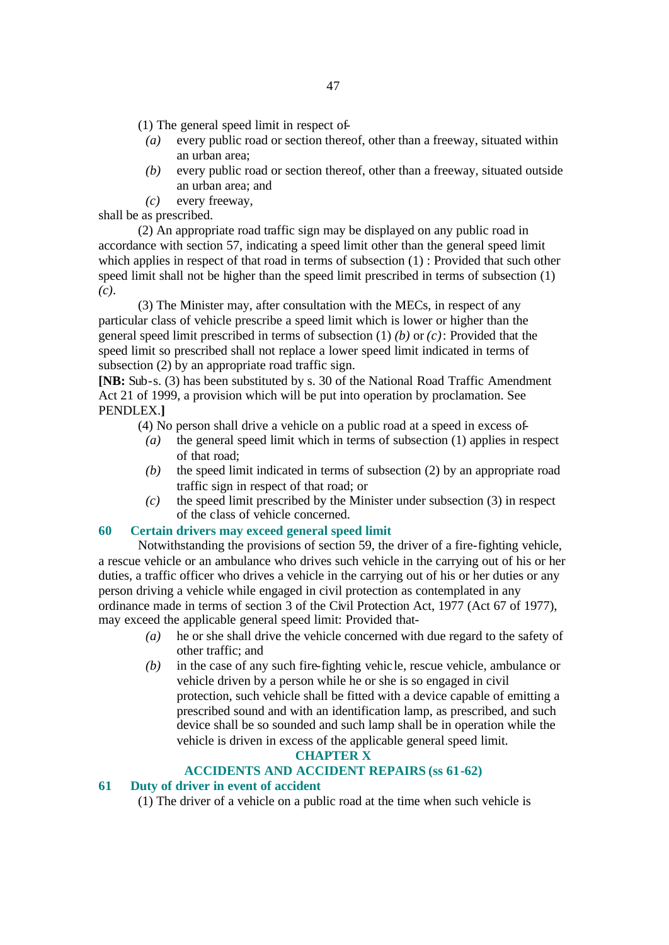- (1) The general speed limit in respect of-
	- *(a)* every public road or section thereof, other than a freeway, situated within an urban area;
	- *(b)* every public road or section thereof, other than a freeway, situated outside an urban area; and
	- *(c)* every freeway,

shall be as prescribed.

(2) An appropriate road traffic sign may be displayed on any public road in accordance with section 57, indicating a speed limit other than the general speed limit which applies in respect of that road in terms of subsection (1) : Provided that such other speed limit shall not be higher than the speed limit prescribed in terms of subsection (1) *(c)*.

(3) The Minister may, after consultation with the MECs, in respect of any particular class of vehicle prescribe a speed limit which is lower or higher than the general speed limit prescribed in terms of subsection (1) *(b)* or *(c)*: Provided that the speed limit so prescribed shall not replace a lower speed limit indicated in terms of subsection (2) by an appropriate road traffic sign.

**[NB:** Sub-s. (3) has been substituted by s. 30 of the National Road Traffic Amendment Act 21 of 1999, a provision which will be put into operation by proclamation. See PENDLEX.**]**

- (4) No person shall drive a vehicle on a public road at a speed in excess of-
	- *(a)* the general speed limit which in terms of subsection (1) applies in respect of that road;
	- *(b)* the speed limit indicated in terms of subsection (2) by an appropriate road traffic sign in respect of that road; or
	- *(c)* the speed limit prescribed by the Minister under subsection (3) in respect of the class of vehicle concerned.

#### **60 Certain drivers may exceed general speed limit**

Notwithstanding the provisions of section 59, the driver of a fire-fighting vehicle, a rescue vehicle or an ambulance who drives such vehicle in the carrying out of his or her duties, a traffic officer who drives a vehicle in the carrying out of his or her duties or any person driving a vehicle while engaged in civil protection as contemplated in any ordinance made in terms of section 3 of the Civil Protection Act, 1977 (Act 67 of 1977), may exceed the applicable general speed limit: Provided that-

- *(a)* he or she shall drive the vehicle concerned with due regard to the safety of other traffic; and
- *(b)* in the case of any such fire-fighting vehicle, rescue vehicle, ambulance or vehicle driven by a person while he or she is so engaged in civil protection, such vehicle shall be fitted with a device capable of emitting a prescribed sound and with an identification lamp, as prescribed, and such device shall be so sounded and such lamp shall be in operation while the vehicle is driven in excess of the applicable general speed limit.

## **CHAPTER X**

#### **ACCIDENTS AND ACCIDENT REPAIRS (ss 61-62)**

## **61 Duty of driver in event of accident**

(1) The driver of a vehicle on a public road at the time when such vehicle is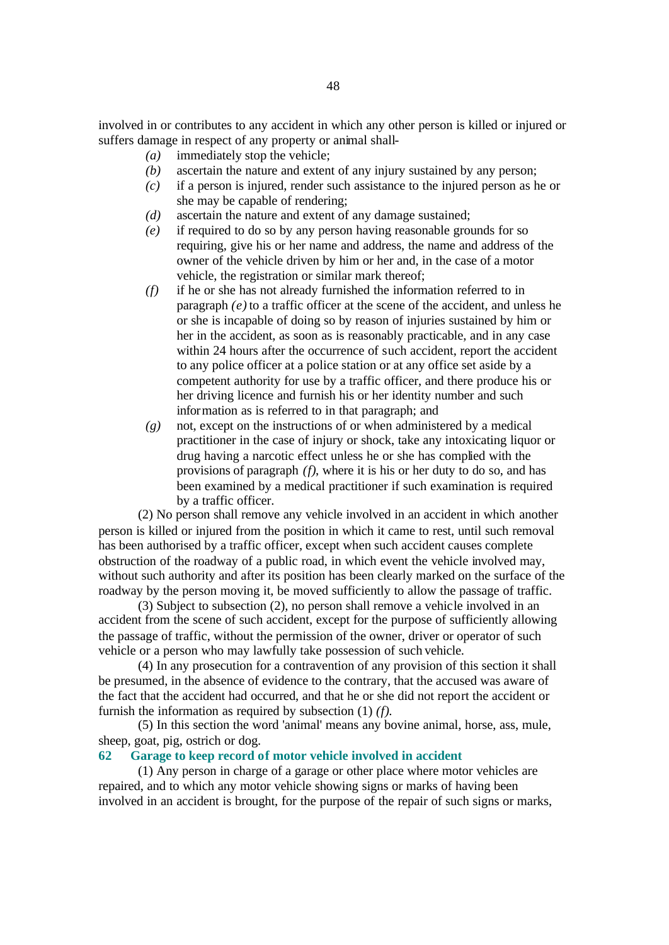involved in or contributes to any accident in which any other person is killed or injured or suffers damage in respect of any property or animal shall-

- *(a)* immediately stop the vehicle;
- *(b)* ascertain the nature and extent of any injury sustained by any person;
- *(c)* if a person is injured, render such assistance to the injured person as he or she may be capable of rendering;
- *(d)* ascertain the nature and extent of any damage sustained;
- *(e)* if required to do so by any person having reasonable grounds for so requiring, give his or her name and address, the name and address of the owner of the vehicle driven by him or her and, in the case of a motor vehicle, the registration or similar mark thereof;
- *(f)* if he or she has not already furnished the information referred to in paragraph *(e)* to a traffic officer at the scene of the accident, and unless he or she is incapable of doing so by reason of injuries sustained by him or her in the accident, as soon as is reasonably practicable, and in any case within 24 hours after the occurrence of such accident, report the accident to any police officer at a police station or at any office set aside by a competent authority for use by a traffic officer, and there produce his or her driving licence and furnish his or her identity number and such information as is referred to in that paragraph; and
- *(g)* not, except on the instructions of or when administered by a medical practitioner in the case of injury or shock, take any intoxicating liquor or drug having a narcotic effect unless he or she has complied with the provisions of paragraph *(f)*, where it is his or her duty to do so, and has been examined by a medical practitioner if such examination is required by a traffic officer.

(2) No person shall remove any vehicle involved in an accident in which another person is killed or injured from the position in which it came to rest, until such removal has been authorised by a traffic officer, except when such accident causes complete obstruction of the roadway of a public road, in which event the vehicle involved may, without such authority and after its position has been clearly marked on the surface of the roadway by the person moving it, be moved sufficiently to allow the passage of traffic.

(3) Subject to subsection (2), no person shall remove a vehicle involved in an accident from the scene of such accident, except for the purpose of sufficiently allowing the passage of traffic, without the permission of the owner, driver or operator of such vehicle or a person who may lawfully take possession of such vehicle.

(4) In any prosecution for a contravention of any provision of this section it shall be presumed, in the absence of evidence to the contrary, that the accused was aware of the fact that the accident had occurred, and that he or she did not report the accident or furnish the information as required by subsection (1) *(f)*.

(5) In this section the word 'animal' means any bovine animal, horse, ass, mule, sheep, goat, pig, ostrich or dog.

## **62 Garage to keep record of motor vehicle involved in accident**

(1) Any person in charge of a garage or other place where motor vehicles are repaired, and to which any motor vehicle showing signs or marks of having been involved in an accident is brought, for the purpose of the repair of such signs or marks,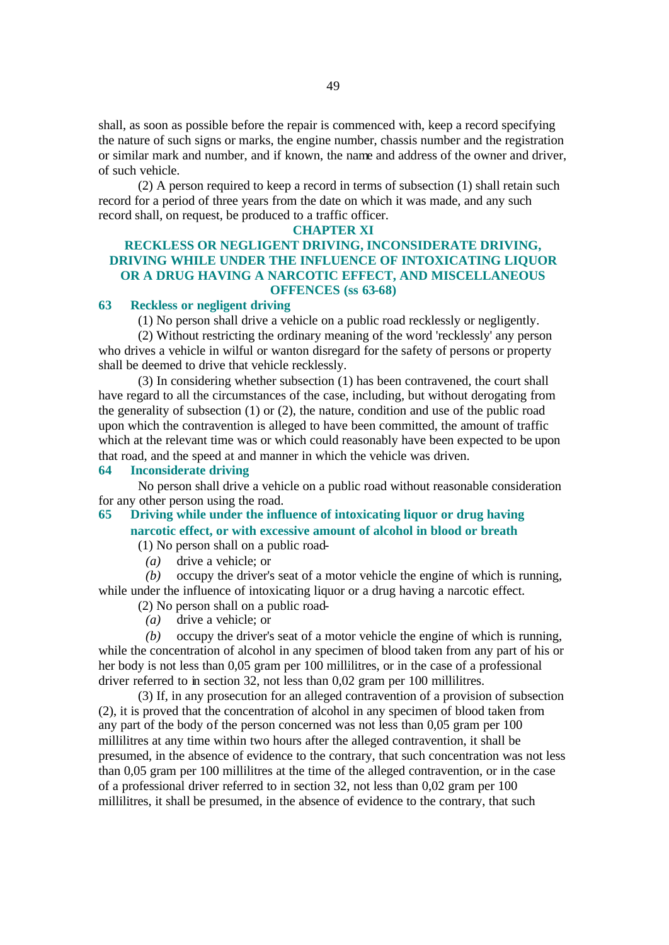shall, as soon as possible before the repair is commenced with, keep a record specifying the nature of such signs or marks, the engine number, chassis number and the registration or similar mark and number, and if known, the name and address of the owner and driver, of such vehicle.

(2) A person required to keep a record in terms of subsection (1) shall retain such record for a period of three years from the date on which it was made, and any such record shall, on request, be produced to a traffic officer.

#### **CHAPTER XI**

### **RECKLESS OR NEGLIGENT DRIVING, INCONSIDERATE DRIVING, DRIVING WHILE UNDER THE INFLUENCE OF INTOXICATING LIQUOR OR A DRUG HAVING A NARCOTIC EFFECT, AND MISCELLANEOUS OFFENCES (ss 63-68)**

### **63 Reckless or negligent driving**

(1) No person shall drive a vehicle on a public road recklessly or negligently.

(2) Without restricting the ordinary meaning of the word 'recklessly' any person who drives a vehicle in wilful or wanton disregard for the safety of persons or property shall be deemed to drive that vehicle recklessly.

(3) In considering whether subsection (1) has been contravened, the court shall have regard to all the circumstances of the case, including, but without derogating from the generality of subsection (1) or (2), the nature, condition and use of the public road upon which the contravention is alleged to have been committed, the amount of traffic which at the relevant time was or which could reasonably have been expected to be upon that road, and the speed at and manner in which the vehicle was driven.

## **64 Inconsiderate driving**

No person shall drive a vehicle on a public road without reasonable consideration for any other person using the road.

## **65 Driving while under the influence of intoxicating liquor or drug having narcotic effect, or with excessive amount of alcohol in blood or breath**

(1) No person shall on a public road-

*(a)* drive a vehicle; or

*(b)* occupy the driver's seat of a motor vehicle the engine of which is running, while under the influence of intoxicating liquor or a drug having a narcotic effect.

- (2) No person shall on a public road-
- *(a)* drive a vehicle; or

*(b)* occupy the driver's seat of a motor vehicle the engine of which is running, while the concentration of alcohol in any specimen of blood taken from any part of his or her body is not less than 0,05 gram per 100 millilitres, or in the case of a professional driver referred to in section 32, not less than 0,02 gram per 100 millilitres.

(3) If, in any prosecution for an alleged contravention of a provision of subsection (2), it is proved that the concentration of alcohol in any specimen of blood taken from any part of the body of the person concerned was not less than 0,05 gram per 100 millilitres at any time within two hours after the alleged contravention, it shall be presumed, in the absence of evidence to the contrary, that such concentration was not less than 0,05 gram per 100 millilitres at the time of the alleged contravention, or in the case of a professional driver referred to in section 32, not less than 0,02 gram per 100 millilitres, it shall be presumed, in the absence of evidence to the contrary, that such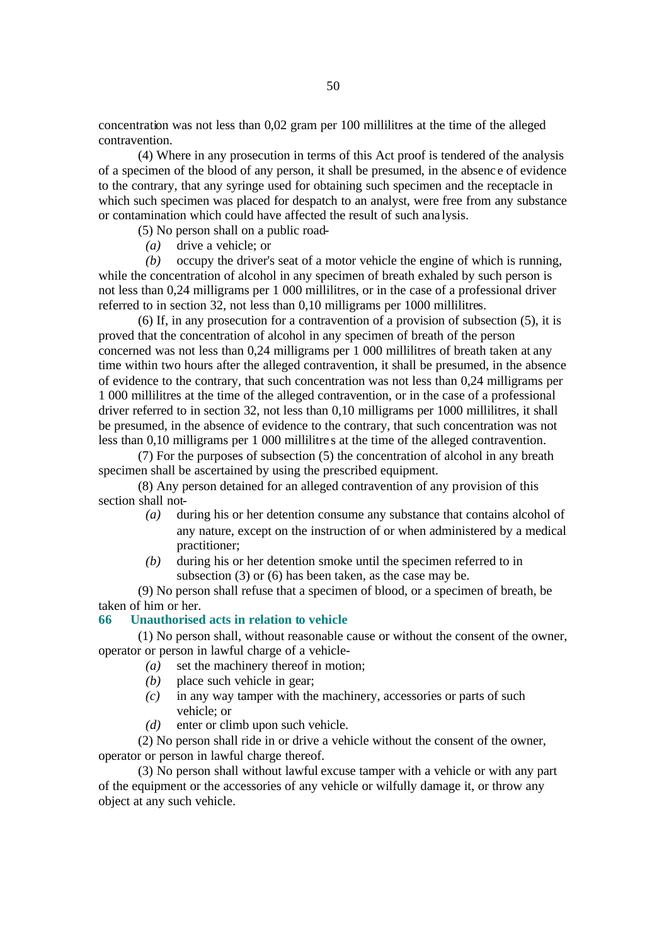concentration was not less than 0,02 gram per 100 millilitres at the time of the alleged contravention.

(4) Where in any prosecution in terms of this Act proof is tendered of the analysis of a specimen of the blood of any person, it shall be presumed, in the absenc e of evidence to the contrary, that any syringe used for obtaining such specimen and the receptacle in which such specimen was placed for despatch to an analyst, were free from any substance or contamination which could have affected the result of such ana lysis.

(5) No person shall on a public road-

*(a)* drive a vehicle; or

*(b)* occupy the driver's seat of a motor vehicle the engine of which is running, while the concentration of alcohol in any specimen of breath exhaled by such person is not less than 0,24 milligrams per 1 000 millilitres, or in the case of a professional driver referred to in section 32, not less than 0,10 milligrams per 1000 millilitres.

(6) If, in any prosecution for a contravention of a provision of subsection (5), it is proved that the concentration of alcohol in any specimen of breath of the person concerned was not less than 0,24 milligrams per 1 000 millilitres of breath taken at any time within two hours after the alleged contravention, it shall be presumed, in the absence of evidence to the contrary, that such concentration was not less than 0,24 milligrams per 1 000 millilitres at the time of the alleged contravention, or in the case of a professional driver referred to in section 32, not less than 0,10 milligrams per 1000 millilitres, it shall be presumed, in the absence of evidence to the contrary, that such concentration was not less than 0,10 milligrams per 1 000 millilitre s at the time of the alleged contravention.

(7) For the purposes of subsection (5) the concentration of alcohol in any breath specimen shall be ascertained by using the prescribed equipment.

(8) Any person detained for an alleged contravention of any provision of this section shall not-

- *(a)* during his or her detention consume any substance that contains alcohol of any nature, except on the instruction of or when administered by a medical practitioner;
- *(b)* during his or her detention smoke until the specimen referred to in subsection (3) or (6) has been taken, as the case may be.

(9) No person shall refuse that a specimen of blood, or a specimen of breath, be taken of him or her.

## **66 Unauthorised acts in relation to vehicle**

(1) No person shall, without reasonable cause or without the consent of the owner, operator or person in lawful charge of a vehicle-

- *(a)* set the machinery thereof in motion;
- *(b)* place such vehicle in gear;
- *(c)* in any way tamper with the machinery, accessories or parts of such vehicle; or
- *(d)* enter or climb upon such vehicle.

(2) No person shall ride in or drive a vehicle without the consent of the owner, operator or person in lawful charge thereof.

(3) No person shall without lawful excuse tamper with a vehicle or with any part of the equipment or the accessories of any vehicle or wilfully damage it, or throw any object at any such vehicle.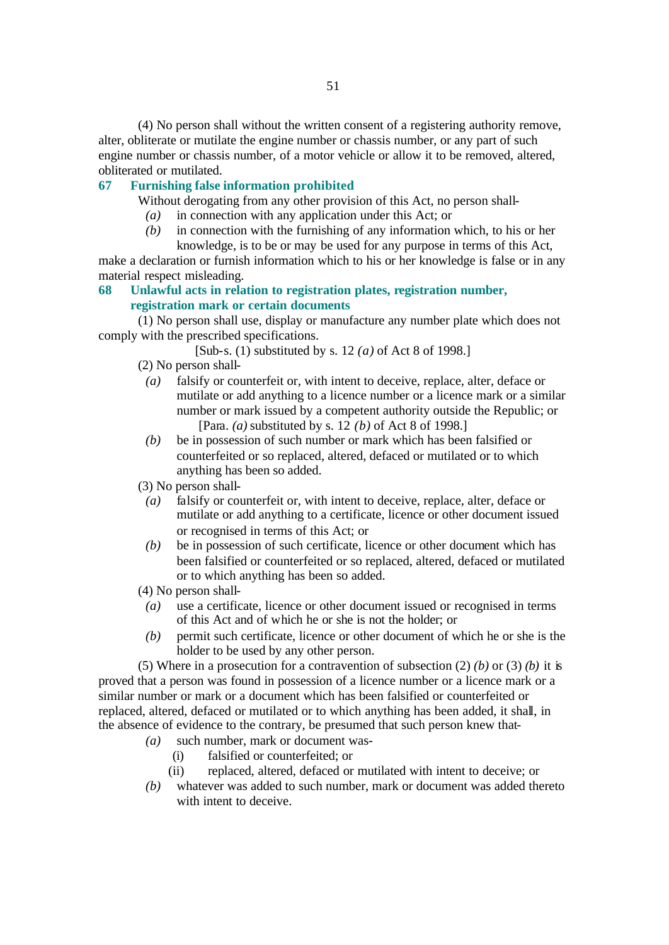(4) No person shall without the written consent of a registering authority remove, alter, obliterate or mutilate the engine number or chassis number, or any part of such engine number or chassis number, of a motor vehicle or allow it to be removed, altered, obliterated or mutilated.

#### **67 Furnishing false information prohibited**

Without derogating from any other provision of this Act, no person shall-

- *(a)* in connection with any application under this Act; or
- *(b)* in connection with the furnishing of any information which, to his or her knowledge, is to be or may be used for any purpose in terms of this Act,

make a declaration or furnish information which to his or her knowledge is false or in any material respect misleading.

## **68 Unlawful acts in relation to registration plates, registration number, registration mark or certain documents**

(1) No person shall use, display or manufacture any number plate which does not comply with the prescribed specifications.

[Sub-s. (1) substituted by s. 12 *(a)* of Act 8 of 1998.]

(2) No person shall-

- *(a)* falsify or counterfeit or, with intent to deceive, replace, alter, deface or mutilate or add anything to a licence number or a licence mark or a similar number or mark issued by a competent authority outside the Republic; or [Para. *(a)* substituted by s. 12 *(b)* of Act 8 of 1998.]
- *(b)* be in possession of such number or mark which has been falsified or counterfeited or so replaced, altered, defaced or mutilated or to which anything has been so added.

(3) No person shall-

- *(a)* falsify or counterfeit or, with intent to deceive, replace, alter, deface or mutilate or add anything to a certificate, licence or other document issued or recognised in terms of this Act; or
- *(b)* be in possession of such certificate, licence or other document which has been falsified or counterfeited or so replaced, altered, defaced or mutilated or to which anything has been so added.

(4) No person shall-

- *(a)* use a certificate, licence or other document issued or recognised in terms of this Act and of which he or she is not the holder; or
- *(b)* permit such certificate, licence or other document of which he or she is the holder to be used by any other person.

(5) Where in a prosecution for a contravention of subsection (2) *(b)* or (3) *(b)* it is proved that a person was found in possession of a licence number or a licence mark or a similar number or mark or a document which has been falsified or counterfeited or replaced, altered, defaced or mutilated or to which anything has been added, it shall, in the absence of evidence to the contrary, be presumed that such person knew that-

- *(a)* such number, mark or document was-
	- (i) falsified or counterfeited; or
	- (ii) replaced, altered, defaced or mutilated with intent to deceive; or
- *(b)* whatever was added to such number, mark or document was added thereto with intent to deceive.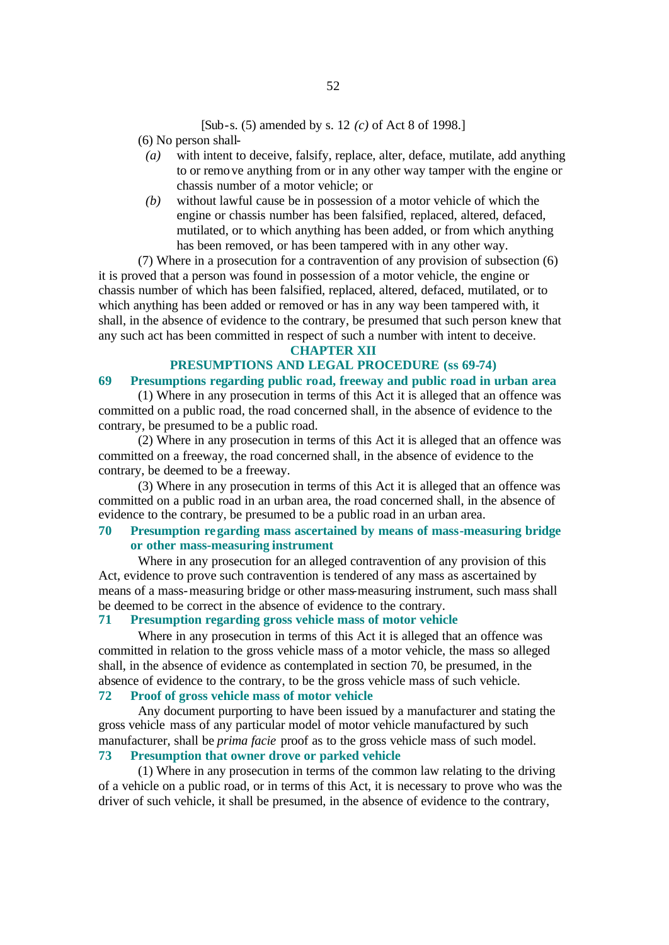#### [Sub-s. (5) amended by s. 12 *(c)* of Act 8 of 1998.]

(6) No person shall-

- *(a)* with intent to deceive, falsify, replace, alter, deface, mutilate, add anything to or remove anything from or in any other way tamper with the engine or chassis number of a motor vehicle; or
- *(b)* without lawful cause be in possession of a motor vehicle of which the engine or chassis number has been falsified, replaced, altered, defaced, mutilated, or to which anything has been added, or from which anything has been removed, or has been tampered with in any other way.

(7) Where in a prosecution for a contravention of any provision of subsection (6) it is proved that a person was found in possession of a motor vehicle, the engine or chassis number of which has been falsified, replaced, altered, defaced, mutilated, or to which anything has been added or removed or has in any way been tampered with, it shall, in the absence of evidence to the contrary, be presumed that such person knew that any such act has been committed in respect of such a number with intent to deceive.

#### **CHAPTER XII**

## **PRESUMPTIONS AND LEGAL PROCEDURE (ss 69-74)**

## **69 Presumptions regarding public road, freeway and public road in urban area**

(1) Where in any prosecution in terms of this Act it is alleged that an offence was committed on a public road, the road concerned shall, in the absence of evidence to the contrary, be presumed to be a public road.

(2) Where in any prosecution in terms of this Act it is alleged that an offence was committed on a freeway, the road concerned shall, in the absence of evidence to the contrary, be deemed to be a freeway.

(3) Where in any prosecution in terms of this Act it is alleged that an offence was committed on a public road in an urban area, the road concerned shall, in the absence of evidence to the contrary, be presumed to be a public road in an urban area.

## **70 Presumption regarding mass ascertained by means of mass-measuring bridge or other mass-measuring instrument**

Where in any prosecution for an alleged contravention of any provision of this Act, evidence to prove such contravention is tendered of any mass as ascertained by means of a mass-measuring bridge or other mass-measuring instrument, such mass shall be deemed to be correct in the absence of evidence to the contrary.

#### **71 Presumption regarding gross vehicle mass of motor vehicle**

Where in any prosecution in terms of this Act it is alleged that an offence was committed in relation to the gross vehicle mass of a motor vehicle, the mass so alleged shall, in the absence of evidence as contemplated in section 70, be presumed, in the absence of evidence to the contrary, to be the gross vehicle mass of such vehicle.

## **72 Proof of gross vehicle mass of motor vehicle**

Any document purporting to have been issued by a manufacturer and stating the gross vehicle mass of any particular model of motor vehicle manufactured by such manufacturer, shall be *prima facie* proof as to the gross vehicle mass of such model. **73 Presumption that owner drove or parked vehicle**

(1) Where in any prosecution in terms of the common law relating to the driving of a vehicle on a public road, or in terms of this Act, it is necessary to prove who was the driver of such vehicle, it shall be presumed, in the absence of evidence to the contrary,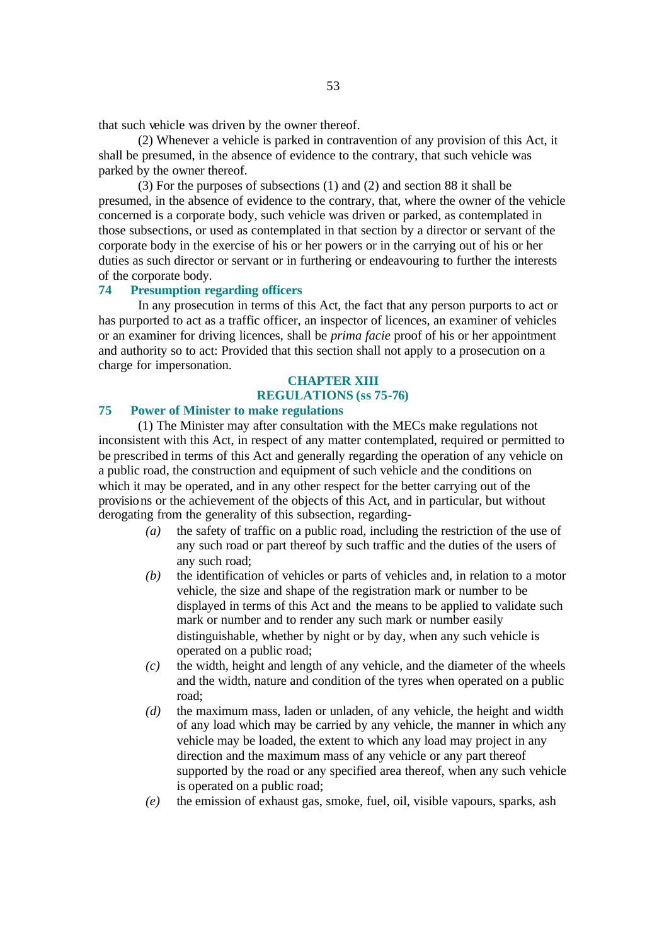that such vehicle was driven by the owner thereof.

(2) Whenever a vehicle is parked in contravention of any provision of this Act, it shall be presumed, in the absence of evidence to the contrary, that such vehicle was parked by the owner thereof.

(3) For the purposes of subsections (1) and (2) and section 88 it shall be presumed, in the absence of evidence to the contrary, that, where the owner of the vehicle concerned is a corporate body, such vehicle was driven or parked, as contemplated in those subsections, or used as contemplated in that section by a director or servant of the corporate body in the exercise of his or her powers or in the carrying out of his or her duties as such director or servant or in furthering or endeavouring to further the interests of the corporate body.

## **74 Presumption regarding officers**

In any prosecution in terms of this Act, the fact that any person purports to act or has purported to act as a traffic officer, an inspector of licences, an examiner of vehicles or an examiner for driving licences, shall be *prima facie* proof of his or her appointment and authority so to act: Provided that this section shall not apply to a prosecution on a charge for impersonation.

## **CHAPTER XIII REGULATIONS (ss 75-76)**

## **75 Power of Minister to make regulations**

(1) The Minister may after consultation with the MECs make regulations not inconsistent with this Act, in respect of any matter contemplated, required or permitted to be prescribed in terms of this Act and generally regarding the operation of any vehicle on a public road, the construction and equipment of such vehicle and the conditions on which it may be operated, and in any other respect for the better carrying out of the provisions or the achievement of the objects of this Act, and in particular, but without derogating from the generality of this subsection, regarding-

- *(a)* the safety of traffic on a public road, including the restriction of the use of any such road or part thereof by such traffic and the duties of the users of any such road;
- *(b)* the identification of vehicles or parts of vehicles and, in relation to a motor vehicle, the size and shape of the registration mark or number to be displayed in terms of this Act and the means to be applied to validate such mark or number and to render any such mark or number easily distinguishable, whether by night or by day, when any such vehicle is operated on a public road;
- *(c)* the width, height and length of any vehicle, and the diameter of the wheels and the width, nature and condition of the tyres when operated on a public road;
- *(d)* the maximum mass, laden or unladen, of any vehicle, the height and width of any load which may be carried by any vehicle, the manner in which any vehicle may be loaded, the extent to which any load may project in any direction and the maximum mass of any vehicle or any part thereof supported by the road or any specified area thereof, when any such vehicle is operated on a public road;
- *(e)* the emission of exhaust gas, smoke, fuel, oil, visible vapours, sparks, ash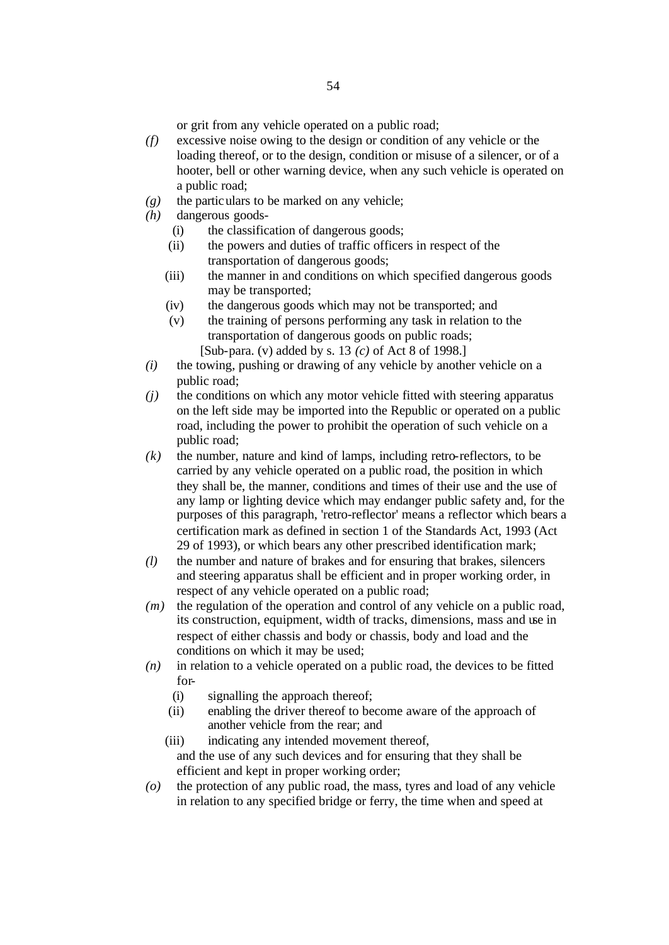or grit from any vehicle operated on a public road;

- *(f)* excessive noise owing to the design or condition of any vehicle or the loading thereof, or to the design, condition or misuse of a silencer, or of a hooter, bell or other warning device, when any such vehicle is operated on a public road;
- *(g)* the particulars to be marked on any vehicle;
- *(h)* dangerous goods-
	- (i) the classification of dangerous goods;
	- (ii) the powers and duties of traffic officers in respect of the transportation of dangerous goods;
	- (iii) the manner in and conditions on which specified dangerous goods may be transported;
	- (iv) the dangerous goods which may not be transported; and
	- (v) the training of persons performing any task in relation to the transportation of dangerous goods on public roads; [Sub-para. (v) added by s. 13 *(c)* of Act 8 of 1998.]
- *(i)* the towing, pushing or drawing of any vehicle by another vehicle on a public road;
- *(j)* the conditions on which any motor vehicle fitted with steering apparatus on the left side may be imported into the Republic or operated on a public road, including the power to prohibit the operation of such vehicle on a public road;
- *(k)* the number, nature and kind of lamps, including retro-reflectors, to be carried by any vehicle operated on a public road, the position in which they shall be, the manner, conditions and times of their use and the use of any lamp or lighting device which may endanger public safety and, for the purposes of this paragraph, 'retro-reflector' means a reflector which bears a certification mark as defined in section 1 of the Standards Act, 1993 (Act 29 of 1993), or which bears any other prescribed identification mark;
- *(l)* the number and nature of brakes and for ensuring that brakes, silencers and steering apparatus shall be efficient and in proper working order, in respect of any vehicle operated on a public road;
- *(m)* the regulation of the operation and control of any vehicle on a public road, its construction, equipment, width of tracks, dimensions, mass and use in respect of either chassis and body or chassis, body and load and the conditions on which it may be used;
- *(n)* in relation to a vehicle operated on a public road, the devices to be fitted for-
	- (i) signalling the approach thereof;
	- (ii) enabling the driver thereof to become aware of the approach of another vehicle from the rear; and
	- (iii) indicating any intended movement thereof, and the use of any such devices and for ensuring that they shall be efficient and kept in proper working order;
- *(o)* the protection of any public road, the mass, tyres and load of any vehicle in relation to any specified bridge or ferry, the time when and speed at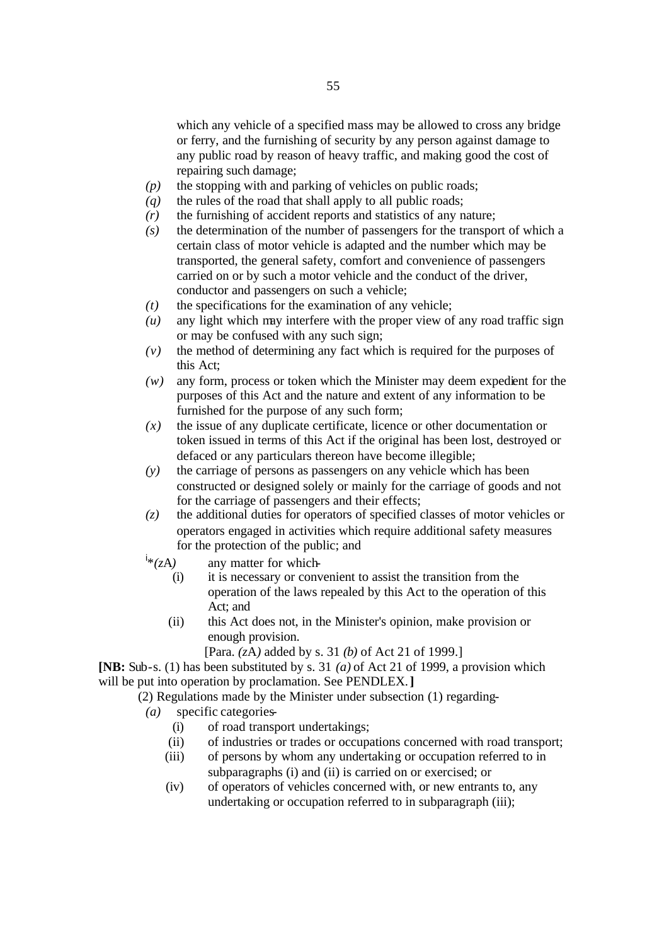which any vehicle of a specified mass may be allowed to cross any bridge or ferry, and the furnishing of security by any person against damage to any public road by reason of heavy traffic, and making good the cost of repairing such damage;

- *(p)* the stopping with and parking of vehicles on public roads;
- *(q)* the rules of the road that shall apply to all public roads;
- *(r)* the furnishing of accident reports and statistics of any nature;
- *(s)* the determination of the number of passengers for the transport of which a certain class of motor vehicle is adapted and the number which may be transported, the general safety, comfort and convenience of passengers carried on or by such a motor vehicle and the conduct of the driver, conductor and passengers on such a vehicle;
- *(t)* the specifications for the examination of any vehicle;
- *(u)* any light which may interfere with the proper view of any road traffic sign or may be confused with any such sign;
- *(v)* the method of determining any fact which is required for the purposes of this Act;
- *(w)* any form, process or token which the Minister may deem expedient for the purposes of this Act and the nature and extent of any information to be furnished for the purpose of any such form;
- *(x)* the issue of any duplicate certificate, licence or other documentation or token issued in terms of this Act if the original has been lost, destroyed or defaced or any particulars thereon have become illegible;
- *(y)* the carriage of persons as passengers on any vehicle which has been constructed or designed solely or mainly for the carriage of goods and not for the carriage of passengers and their effects;
- *(z)* the additional duties for operators of specified classes of motor vehicles or operators engaged in activities which require additional safety measures for the protection of the public; and
- $i*(zA)$ any matter for which-
	- (i) it is necessary or convenient to assist the transition from the operation of the laws repealed by this Act to the operation of this Act; and
	- (ii) this Act does not, in the Minister's opinion, make provision or enough provision.

[Para. *(z*A*)* added by s. 31 *(b)* of Act 21 of 1999.]

**[NB:** Sub-s. (1) has been substituted by s. 31 *(a)* of Act 21 of 1999, a provision which will be put into operation by proclamation. See PENDLEX.**]**

(2) Regulations made by the Minister under subsection (1) regarding-

- *(a)* specific categories-
	- (i) of road transport undertakings;
	- (ii) of industries or trades or occupations concerned with road transport;
	- (iii) of persons by whom any undertaking or occupation referred to in subparagraphs (i) and (ii) is carried on or exercised; or
	- (iv) of operators of vehicles concerned with, or new entrants to, any undertaking or occupation referred to in subparagraph (iii);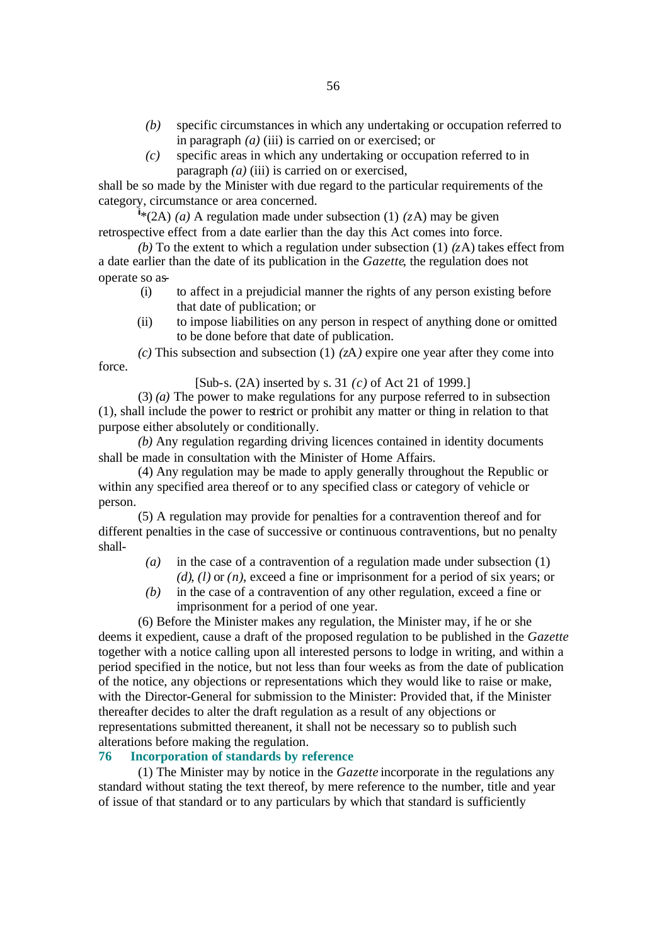- *(b)* specific circumstances in which any undertaking or occupation referred to in paragraph *(a)* (iii) is carried on or exercised; or
- *(c)* specific areas in which any undertaking or occupation referred to in paragraph *(a)* (iii) is carried on or exercised,

shall be so made by the Minister with due regard to the particular requirements of the category, circumstance or area concerned.

 $\hat{I}*(2A)$  *(a)* A regulation made under subsection (1) *(zA)* may be given retrospective effect from a date earlier than the day this Act comes into force.

*(b)* To the extent to which a regulation under subsection (1) *(z*A) takes effect from a date earlier than the date of its publication in the *Gazette*, the regulation does not operate so as-

- (i) to affect in a prejudicial manner the rights of any person existing before that date of publication; or
- (ii) to impose liabilities on any person in respect of anything done or omitted to be done before that date of publication.

*(c)* This subsection and subsection (1) *(z*A*)* expire one year after they come into force.

[Sub-s. (2A) inserted by s. 31 *(c)* of Act 21 of 1999.]

(3) *(a)* The power to make regulations for any purpose referred to in subsection (1), shall include the power to restrict or prohibit any matter or thing in relation to that purpose either absolutely or conditionally.

*(b)* Any regulation regarding driving licences contained in identity documents shall be made in consultation with the Minister of Home Affairs.

(4) Any regulation may be made to apply generally throughout the Republic or within any specified area thereof or to any specified class or category of vehicle or person.

(5) A regulation may provide for penalties for a contravention thereof and for different penalties in the case of successive or continuous contraventions, but no penalty shall-

- *(a)* in the case of a contravention of a regulation made under subsection (1) *(d)*, *(l)* or *(n)*, exceed a fine or imprisonment for a period of six years; or
- *(b)* in the case of a contravention of any other regulation, exceed a fine or imprisonment for a period of one year.

(6) Before the Minister makes any regulation, the Minister may, if he or she deems it expedient, cause a draft of the proposed regulation to be published in the *Gazette* together with a notice calling upon all interested persons to lodge in writing, and within a period specified in the notice, but not less than four weeks as from the date of publication of the notice, any objections or representations which they would like to raise or make, with the Director-General for submission to the Minister: Provided that, if the Minister thereafter decides to alter the draft regulation as a result of any objections or representations submitted thereanent, it shall not be necessary so to publish such alterations before making the regulation.

#### **76 Incorporation of standards by reference**

(1) The Minister may by notice in the *Gazette* incorporate in the regulations any standard without stating the text thereof, by mere reference to the number, title and year of issue of that standard or to any particulars by which that standard is sufficiently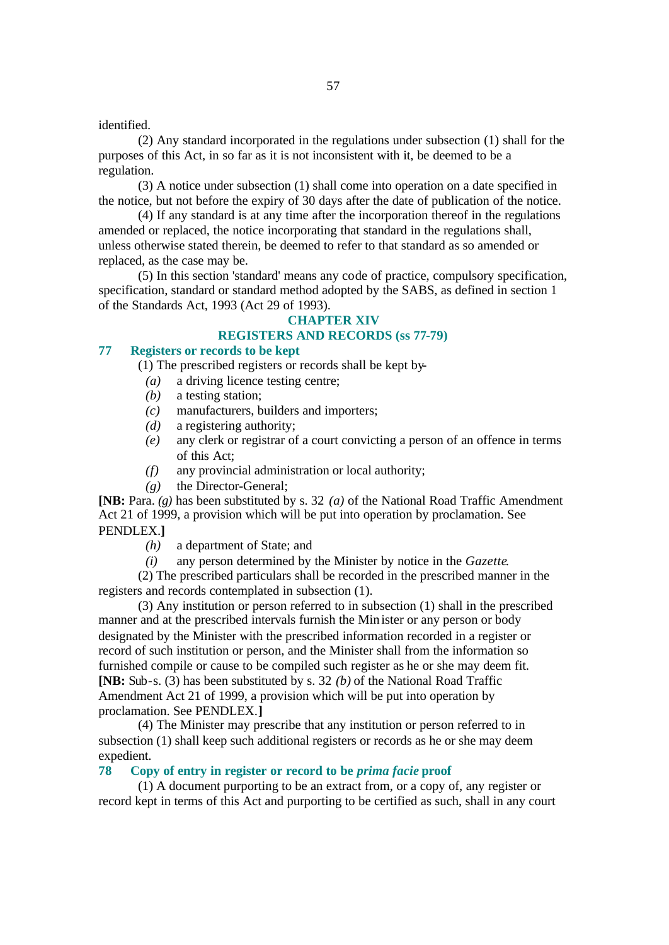#### identified.

(2) Any standard incorporated in the regulations under subsection (1) shall for the purposes of this Act, in so far as it is not inconsistent with it, be deemed to be a regulation.

(3) A notice under subsection (1) shall come into operation on a date specified in the notice, but not before the expiry of 30 days after the date of publication of the notice.

(4) If any standard is at any time after the incorporation thereof in the regulations amended or replaced, the notice incorporating that standard in the regulations shall, unless otherwise stated therein, be deemed to refer to that standard as so amended or replaced, as the case may be.

(5) In this section 'standard' means any code of practice, compulsory specification, specification, standard or standard method adopted by the SABS, as defined in section 1 of the Standards Act, 1993 (Act 29 of 1993).

#### **CHAPTER XIV**

## **REGISTERS AND RECORDS (ss 77-79)**

## **77 Registers or records to be kept**

(1) The prescribed registers or records shall be kept by-

- *(a)* a driving licence testing centre;
- *(b)* a testing station;
- *(c)* manufacturers, builders and importers;
- *(d)* a registering authority;
- *(e)* any clerk or registrar of a court convicting a person of an offence in terms of this Act;
- *(f)* any provincial administration or local authority;
- *(g)* the Director-General;

**[NB:** Para. *(g)* has been substituted by s. 32 *(a)* of the National Road Traffic Amendment Act 21 of 1999, a provision which will be put into operation by proclamation. See PENDLEX.**]**

- *(h)* a department of State; and
- *(i)* any person determined by the Minister by notice in the *Gazette*.

(2) The prescribed particulars shall be recorded in the prescribed manner in the registers and records contemplated in subsection (1).

(3) Any institution or person referred to in subsection (1) shall in the prescribed manner and at the prescribed intervals furnish the Minister or any person or body designated by the Minister with the prescribed information recorded in a register or record of such institution or person, and the Minister shall from the information so furnished compile or cause to be compiled such register as he or she may deem fit. **[NB:** Sub-s. (3) has been substituted by s. 32 *(b)* of the National Road Traffic Amendment Act 21 of 1999, a provision which will be put into operation by proclamation. See PENDLEX.**]**

(4) The Minister may prescribe that any institution or person referred to in subsection (1) shall keep such additional registers or records as he or she may deem expedient.

#### **78 Copy of entry in register or record to be** *prima facie* **proof**

(1) A document purporting to be an extract from, or a copy of, any register or record kept in terms of this Act and purporting to be certified as such, shall in any court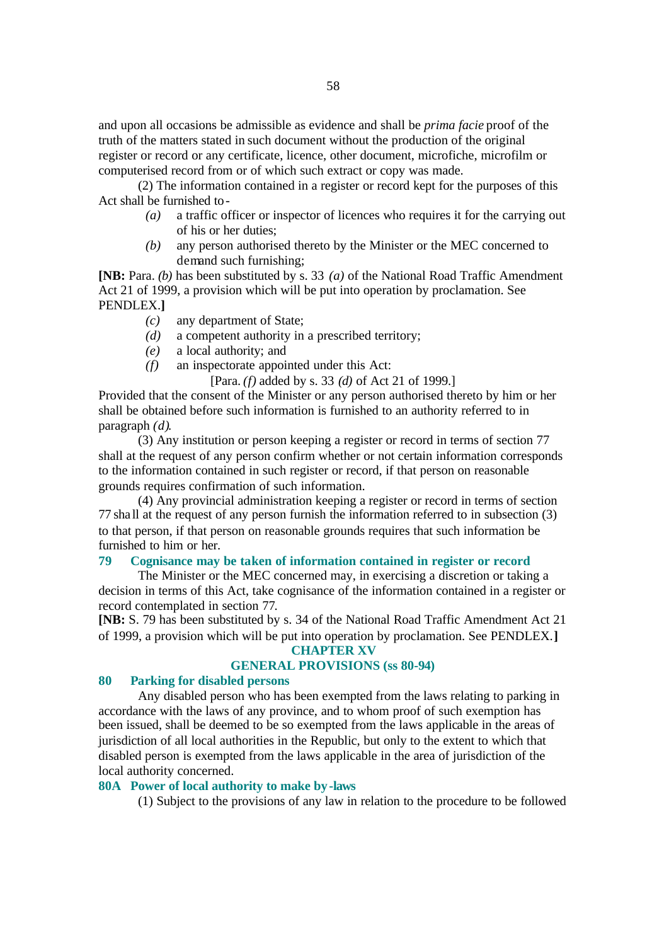and upon all occasions be admissible as evidence and shall be *prima facie* proof of the truth of the matters stated in such document without the production of the original register or record or any certificate, licence, other document, microfiche, microfilm or computerised record from or of which such extract or copy was made.

(2) The information contained in a register or record kept for the purposes of this Act shall be furnished to-

- *(a)* a traffic officer or inspector of licences who requires it for the carrying out of his or her duties;
- *(b)* any person authorised thereto by the Minister or the MEC concerned to demand such furnishing;

**[NB:** Para. *(b)* has been substituted by s. 33 *(a)* of the National Road Traffic Amendment Act 21 of 1999, a provision which will be put into operation by proclamation. See PENDLEX.**]**

- *(c)* any department of State;
- *(d)* a competent authority in a prescribed territory;
- *(e)* a local authority; and
- *(f)* an inspectorate appointed under this Act:

[Para. *(f)* added by s. 33 *(d)* of Act 21 of 1999.]

Provided that the consent of the Minister or any person authorised thereto by him or her shall be obtained before such information is furnished to an authority referred to in paragraph *(d)*.

(3) Any institution or person keeping a register or record in terms of section 77 shall at the request of any person confirm whether or not certain information corresponds to the information contained in such register or record, if that person on reasonable grounds requires confirmation of such information.

(4) Any provincial administration keeping a register or record in terms of section 77 sha ll at the request of any person furnish the information referred to in subsection (3) to that person, if that person on reasonable grounds requires that such information be furnished to him or her.

## **79 Cognisance may be taken of information contained in register or record**

The Minister or the MEC concerned may, in exercising a discretion or taking a decision in terms of this Act, take cognisance of the information contained in a register or record contemplated in section 77.

**[NB:** S. 79 has been substituted by s. 34 of the National Road Traffic Amendment Act 21 of 1999, a provision which will be put into operation by proclamation. See PENDLEX.**]**

## **CHAPTER XV**

## **GENERAL PROVISIONS (ss 80-94)**

## **80 Parking for disabled persons**

Any disabled person who has been exempted from the laws relating to parking in accordance with the laws of any province, and to whom proof of such exemption has been issued, shall be deemed to be so exempted from the laws applicable in the areas of jurisdiction of all local authorities in the Republic, but only to the extent to which that disabled person is exempted from the laws applicable in the area of jurisdiction of the local authority concerned.

#### **80A Power of local authority to make by-laws**

(1) Subject to the provisions of any law in relation to the procedure to be followed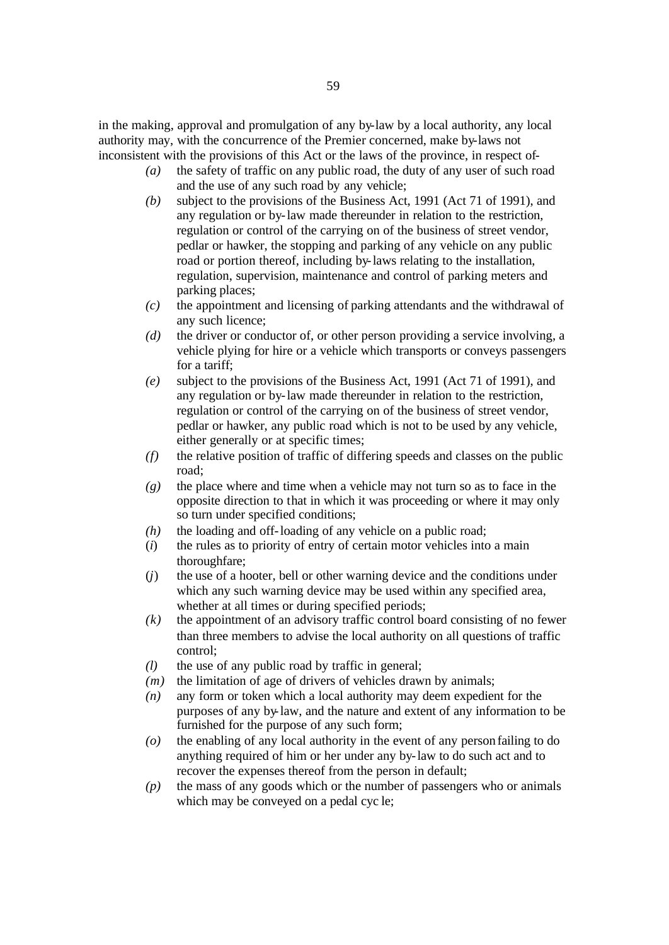in the making, approval and promulgation of any by-law by a local authority, any local authority may, with the concurrence of the Premier concerned, make by-laws not inconsistent with the provisions of this Act or the laws of the province, in respect of-

- *(a)* the safety of traffic on any public road, the duty of any user of such road and the use of any such road by any vehicle;
- *(b)* subject to the provisions of the Business Act, 1991 (Act 71 of 1991), and any regulation or by-law made thereunder in relation to the restriction, regulation or control of the carrying on of the business of street vendor, pedlar or hawker, the stopping and parking of any vehicle on any public road or portion thereof, including by-laws relating to the installation, regulation, supervision, maintenance and control of parking meters and parking places;
- *(c)* the appointment and licensing of parking attendants and the withdrawal of any such licence;
- *(d)* the driver or conductor of, or other person providing a service involving, a vehicle plying for hire or a vehicle which transports or conveys passengers for a tariff;
- *(e)* subject to the provisions of the Business Act, 1991 (Act 71 of 1991), and any regulation or by-law made thereunder in relation to the restriction, regulation or control of the carrying on of the business of street vendor, pedlar or hawker, any public road which is not to be used by any vehicle, either generally or at specific times;
- *(f)* the relative position of traffic of differing speeds and classes on the public road;
- *(g)* the place where and time when a vehicle may not turn so as to face in the opposite direction to that in which it was proceeding or where it may only so turn under specified conditions;
- *(h)* the loading and off-loading of any vehicle on a public road;
- (*i*) the rules as to priority of entry of certain motor vehicles into a main thoroughfare;
- (*j*) the use of a hooter, bell or other warning device and the conditions under which any such warning device may be used within any specified area, whether at all times or during specified periods;
- *(k)* the appointment of an advisory traffic control board consisting of no fewer than three members to advise the local authority on all questions of traffic control;
- *(l)* the use of any public road by traffic in general;
- *(m)* the limitation of age of drivers of vehicles drawn by animals;
- *(n)* any form or token which a local authority may deem expedient for the purposes of any by-law, and the nature and extent of any information to be furnished for the purpose of any such form;
- *(o)* the enabling of any local authority in the event of any person failing to do anything required of him or her under any by-law to do such act and to recover the expenses thereof from the person in default;
- *(p)* the mass of any goods which or the number of passengers who or animals which may be conveyed on a pedal cyc le;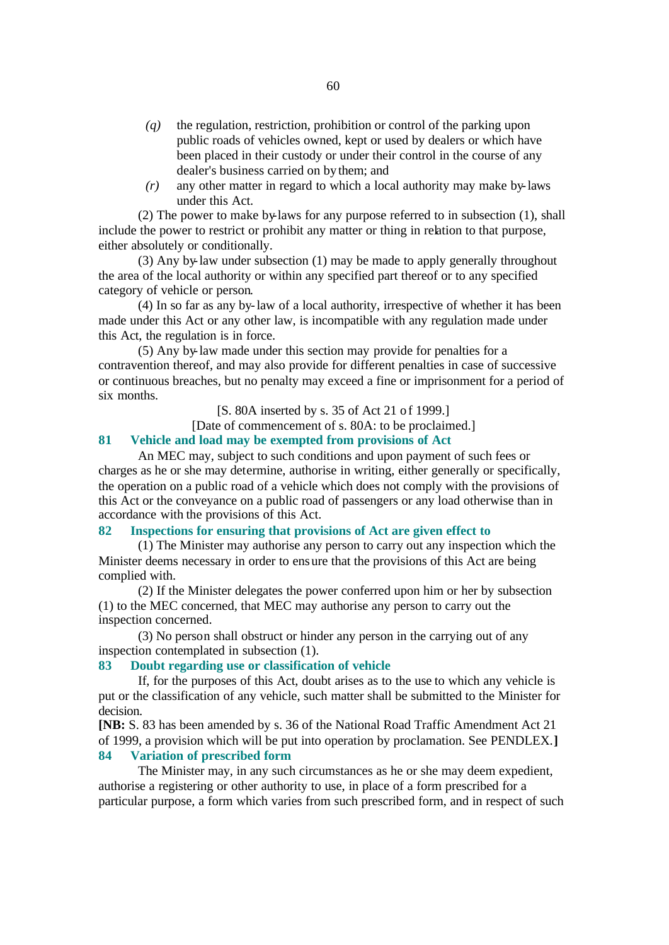- *(q)* the regulation, restriction, prohibition or control of the parking upon public roads of vehicles owned, kept or used by dealers or which have been placed in their custody or under their control in the course of any dealer's business carried on by them; and
- *(r)* any other matter in regard to which a local authority may make by-laws under this Act.

(2) The power to make by-laws for any purpose referred to in subsection (1), shall include the power to restrict or prohibit any matter or thing in relation to that purpose, either absolutely or conditionally.

(3) Any by-law under subsection (1) may be made to apply generally throughout the area of the local authority or within any specified part thereof or to any specified category of vehicle or person.

(4) In so far as any by-law of a local authority, irrespective of whether it has been made under this Act or any other law, is incompatible with any regulation made under this Act, the regulation is in force.

(5) Any by-law made under this section may provide for penalties for a contravention thereof, and may also provide for different penalties in case of successive or continuous breaches, but no penalty may exceed a fine or imprisonment for a period of six months.

[S. 80A inserted by s. 35 of Act 21 of 1999.]

[Date of commencement of s. 80A: to be proclaimed.]

#### **81 Vehicle and load may be exempted from provisions of Act**

An MEC may, subject to such conditions and upon payment of such fees or charges as he or she may determine, authorise in writing, either generally or specifically, the operation on a public road of a vehicle which does not comply with the provisions of this Act or the conveyance on a public road of passengers or any load otherwise than in accordance with the provisions of this Act.

#### **82 Inspections for ensuring that provisions of Act are given effect to**

(1) The Minister may authorise any person to carry out any inspection which the Minister deems necessary in order to ensure that the provisions of this Act are being complied with.

(2) If the Minister delegates the power conferred upon him or her by subsection (1) to the MEC concerned, that MEC may authorise any person to carry out the inspection concerned.

(3) No person shall obstruct or hinder any person in the carrying out of any inspection contemplated in subsection (1).

#### **83 Doubt regarding use or classification of vehicle**

If, for the purposes of this Act, doubt arises as to the use to which any vehicle is put or the classification of any vehicle, such matter shall be submitted to the Minister for decision.

**[NB:** S. 83 has been amended by s. 36 of the National Road Traffic Amendment Act 21 of 1999, a provision which will be put into operation by proclamation. See PENDLEX.**] 84 Variation of prescribed form**

The Minister may, in any such circumstances as he or she may deem expedient, authorise a registering or other authority to use, in place of a form prescribed for a particular purpose, a form which varies from such prescribed form, and in respect of such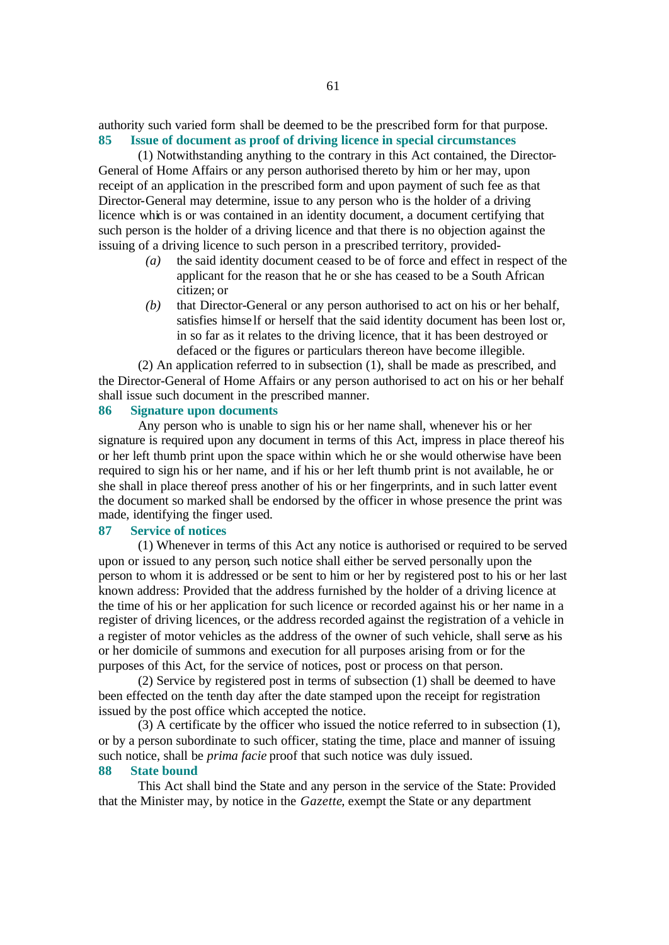authority such varied form shall be deemed to be the prescribed form for that purpose. **85 Issue of document as proof of driving licence in special circumstances**

(1) Notwithstanding anything to the contrary in this Act contained, the Director-General of Home Affairs or any person authorised thereto by him or her may, upon receipt of an application in the prescribed form and upon payment of such fee as that Director-General may determine, issue to any person who is the holder of a driving licence which is or was contained in an identity document, a document certifying that such person is the holder of a driving licence and that there is no objection against the issuing of a driving licence to such person in a prescribed territory, provided-

- *(a)* the said identity document ceased to be of force and effect in respect of the applicant for the reason that he or she has ceased to be a South African citizen; or
- *(b)* that Director-General or any person authorised to act on his or her behalf, satisfies himse lf or herself that the said identity document has been lost or, in so far as it relates to the driving licence, that it has been destroyed or defaced or the figures or particulars thereon have become illegible.

(2) An application referred to in subsection (1), shall be made as prescribed, and the Director-General of Home Affairs or any person authorised to act on his or her behalf shall issue such document in the prescribed manner.

### **86 Signature upon documents**

Any person who is unable to sign his or her name shall, whenever his or her signature is required upon any document in terms of this Act, impress in place thereof his or her left thumb print upon the space within which he or she would otherwise have been required to sign his or her name, and if his or her left thumb print is not available, he or she shall in place thereof press another of his or her fingerprints, and in such latter event the document so marked shall be endorsed by the officer in whose presence the print was made, identifying the finger used.

#### **87 Service of notices**

(1) Whenever in terms of this Act any notice is authorised or required to be served upon or issued to any person, such notice shall either be served personally upon the person to whom it is addressed or be sent to him or her by registered post to his or her last known address: Provided that the address furnished by the holder of a driving licence at the time of his or her application for such licence or recorded against his or her name in a register of driving licences, or the address recorded against the registration of a vehicle in a register of motor vehicles as the address of the owner of such vehicle, shall serve as his or her domicile of summons and execution for all purposes arising from or for the purposes of this Act, for the service of notices, post or process on that person.

(2) Service by registered post in terms of subsection (1) shall be deemed to have been effected on the tenth day after the date stamped upon the receipt for registration issued by the post office which accepted the notice.

(3) A certificate by the officer who issued the notice referred to in subsection (1), or by a person subordinate to such officer, stating the time, place and manner of issuing such notice, shall be *prima facie* proof that such notice was duly issued.

## **88 State bound**

This Act shall bind the State and any person in the service of the State: Provided that the Minister may, by notice in the *Gazette*, exempt the State or any department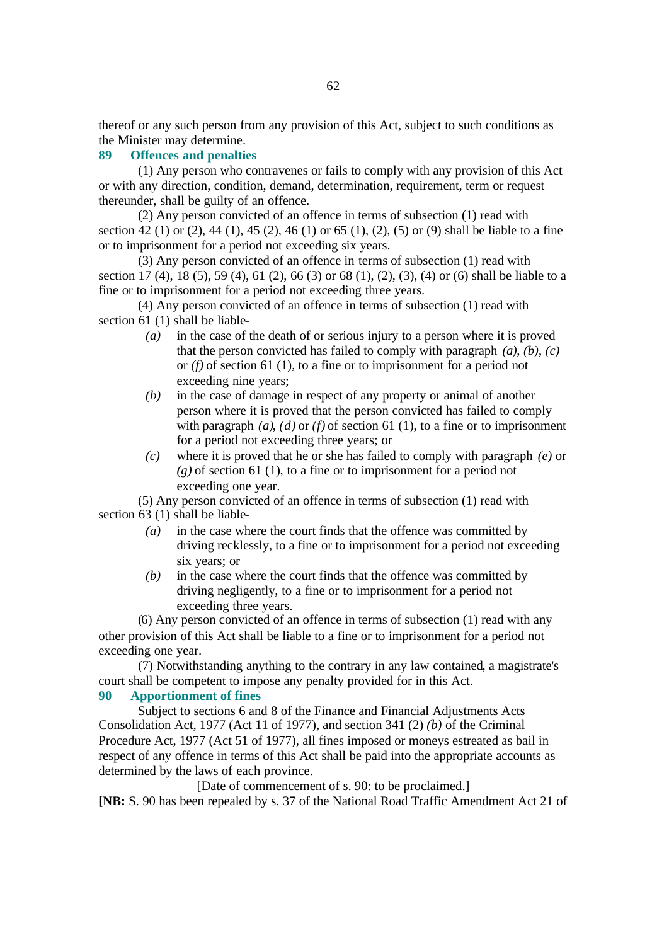thereof or any such person from any provision of this Act, subject to such conditions as the Minister may determine.

## **89 Offences and penalties**

(1) Any person who contravenes or fails to comply with any provision of this Act or with any direction, condition, demand, determination, requirement, term or request thereunder, shall be guilty of an offence.

(2) Any person convicted of an offence in terms of subsection (1) read with section 42 (1) or (2), 44 (1), 45 (2), 46 (1) or 65 (1), (2), (5) or (9) shall be liable to a fine or to imprisonment for a period not exceeding six years.

(3) Any person convicted of an offence in terms of subsection (1) read with section 17 (4), 18 (5), 59 (4), 61 (2), 66 (3) or 68 (1), (2), (3), (4) or (6) shall be liable to a fine or to imprisonment for a period not exceeding three years.

(4) Any person convicted of an offence in terms of subsection (1) read with section 61 (1) shall be liable-

- *(a)* in the case of the death of or serious injury to a person where it is proved that the person convicted has failed to comply with paragraph *(a)*, *(b)*, *(c)* or *(f)* of section 61 (1), to a fine or to imprisonment for a period not exceeding nine years;
- *(b)* in the case of damage in respect of any property or animal of another person where it is proved that the person convicted has failed to comply with paragraph  $(a)$ ,  $(d)$  or  $(f)$  of section 61 (1), to a fine or to imprisonment for a period not exceeding three years; or
- *(c)* where it is proved that he or she has failed to comply with paragraph *(e)* or *(g)* of section 61 (1), to a fine or to imprisonment for a period not exceeding one year.

(5) Any person convicted of an offence in terms of subsection (1) read with section 63 (1) shall be liable-

- *(a)* in the case where the court finds that the offence was committed by driving recklessly, to a fine or to imprisonment for a period not exceeding six years; or
- *(b)* in the case where the court finds that the offence was committed by driving negligently, to a fine or to imprisonment for a period not exceeding three years.

(6) Any person convicted of an offence in terms of subsection (1) read with any other provision of this Act shall be liable to a fine or to imprisonment for a period not exceeding one year.

(7) Notwithstanding anything to the contrary in any law contained, a magistrate's court shall be competent to impose any penalty provided for in this Act.

#### **90 Apportionment of fines**

Subject to sections 6 and 8 of the Finance and Financial Adjustments Acts Consolidation Act, 1977 (Act 11 of 1977), and section 341 (2) *(b)* of the Criminal Procedure Act, 1977 (Act 51 of 1977), all fines imposed or moneys estreated as bail in respect of any offence in terms of this Act shall be paid into the appropriate accounts as determined by the laws of each province.

[Date of commencement of s. 90: to be proclaimed.]

**[NB:** S. 90 has been repealed by s. 37 of the National Road Traffic Amendment Act 21 of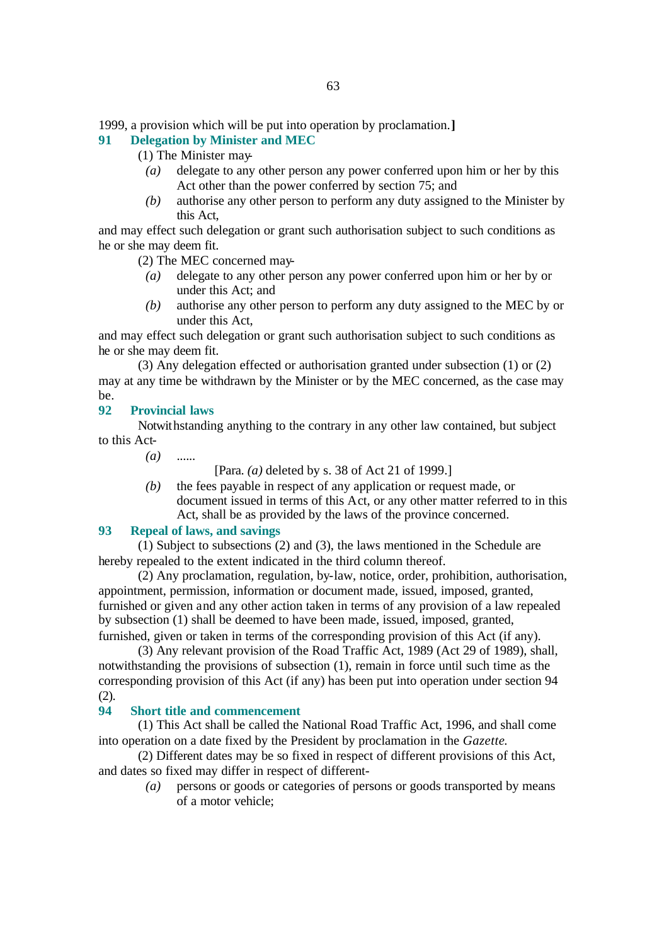1999, a provision which will be put into operation by proclamation.**]**

## **91 Delegation by Minister and MEC**

(1) The Minister may-

- *(a)* delegate to any other person any power conferred upon him or her by this Act other than the power conferred by section 75; and
- *(b)* authorise any other person to perform any duty assigned to the Minister by this Act,

and may effect such delegation or grant such authorisation subject to such conditions as he or she may deem fit.

(2) The MEC concerned may-

- *(a)* delegate to any other person any power conferred upon him or her by or under this Act; and
- *(b)* authorise any other person to perform any duty assigned to the MEC by or under this Act,

and may effect such delegation or grant such authorisation subject to such conditions as he or she may deem fit.

(3) Any delegation effected or authorisation granted under subsection (1) or (2) may at any time be withdrawn by the Minister or by the MEC concerned, as the case may be.

#### **92 Provincial laws**

Notwithstanding anything to the contrary in any other law contained, but subject to this Act-

*(a)* ......

[Para. *(a)* deleted by s. 38 of Act 21 of 1999.]

*(b)* the fees payable in respect of any application or request made, or document issued in terms of this Act, or any other matter referred to in this Act, shall be as provided by the laws of the province concerned.

## **93 Repeal of laws, and savings**

(1) Subject to subsections (2) and (3), the laws mentioned in the Schedule are hereby repealed to the extent indicated in the third column thereof.

(2) Any proclamation, regulation, by-law, notice, order, prohibition, authorisation, appointment, permission, information or document made, issued, imposed, granted, furnished or given and any other action taken in terms of any provision of a law repealed by subsection (1) shall be deemed to have been made, issued, imposed, granted, furnished, given or taken in terms of the corresponding provision of this Act (if any).

(3) Any relevant provision of the Road Traffic Act, 1989 (Act 29 of 1989), shall, notwithstanding the provisions of subsection (1), remain in force until such time as the corresponding provision of this Act (if any) has been put into operation under section 94 (2).

## **94 Short title and commencement**

(1) This Act shall be called the National Road Traffic Act, 1996, and shall come into operation on a date fixed by the President by proclamation in the *Gazette*.

(2) Different dates may be so fixed in respect of different provisions of this Act, and dates so fixed may differ in respect of different-

> *(a)* persons or goods or categories of persons or goods transported by means of a motor vehicle;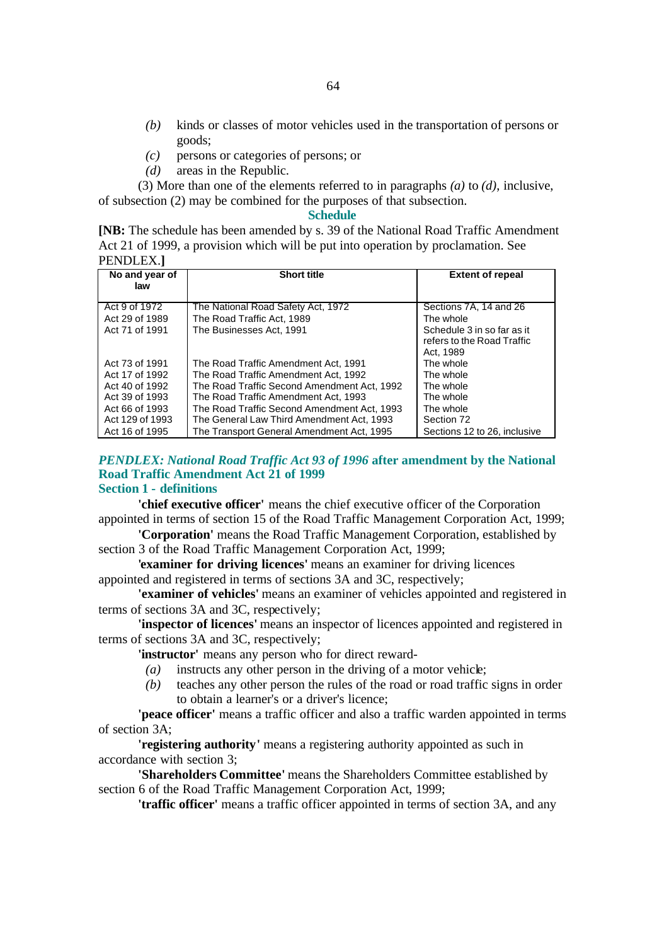- *(b)* kinds or classes of motor vehicles used in the transportation of persons or goods;
- *(c)* persons or categories of persons; or
- *(d)* areas in the Republic.

(3) More than one of the elements referred to in paragraphs *(a)* to *(d)*, inclusive, of subsection (2) may be combined for the purposes of that subsection.

**Schedule**

**[NB:** The schedule has been amended by s. 39 of the National Road Traffic Amendment Act 21 of 1999, a provision which will be put into operation by proclamation. See PENDLEX.**]**

| No and year of<br>law | <b>Short title</b>                          | <b>Extent of repeal</b>                                               |
|-----------------------|---------------------------------------------|-----------------------------------------------------------------------|
|                       |                                             |                                                                       |
| Act 9 of 1972         | The National Road Safety Act, 1972          | Sections 7A, 14 and 26                                                |
| Act 29 of 1989        | The Road Traffic Act. 1989                  | The whole                                                             |
| Act 71 of 1991        | The Businesses Act. 1991                    | Schedule 3 in so far as it<br>refers to the Road Traffic<br>Act. 1989 |
| Act 73 of 1991        | The Road Traffic Amendment Act, 1991        | The whole                                                             |
| Act 17 of 1992        | The Road Traffic Amendment Act. 1992        | The whole                                                             |
| Act 40 of 1992        | The Road Traffic Second Amendment Act. 1992 | The whole                                                             |
| Act 39 of 1993        | The Road Traffic Amendment Act. 1993        | The whole                                                             |
| Act 66 of 1993        | The Road Traffic Second Amendment Act. 1993 | The whole                                                             |
| Act 129 of 1993       | The General Law Third Amendment Act, 1993   | Section 72                                                            |
| Act 16 of 1995        | The Transport General Amendment Act. 1995   | Sections 12 to 26, inclusive                                          |

#### *PENDLEX: National Road Traffic Act 93 of 1996* **after amendment by the National Road Traffic Amendment Act 21 of 1999 Section 1 - definitions**

**'chief executive officer'** means the chief executive officer of the Corporation appointed in terms of section 15 of the Road Traffic Management Corporation Act, 1999;

**'Corporation'** means the Road Traffic Management Corporation, established by section 3 of the Road Traffic Management Corporation Act, 1999;

**'examiner for driving licences'** means an examiner for driving licences appointed and registered in terms of sections 3A and 3C, respectively;

**'examiner of vehicles'** means an examiner of vehicles appointed and registered in terms of sections 3A and 3C, respectively;

**'inspector of licences'** means an inspector of licences appointed and registered in terms of sections 3A and 3C, respectively;

**'instructor'** means any person who for direct reward-

- $(a)$  instructs any other person in the driving of a motor vehicle;
- *(b)* teaches any other person the rules of the road or road traffic signs in order to obtain a learner's or a driver's licence;

**'peace officer'** means a traffic officer and also a traffic warden appointed in terms of section 3A;

**'registering authority'** means a registering authority appointed as such in accordance with section 3;

**'Shareholders Committee'** means the Shareholders Committee established by section 6 of the Road Traffic Management Corporation Act, 1999;

**'traffic officer'** means a traffic officer appointed in terms of section 3A, and any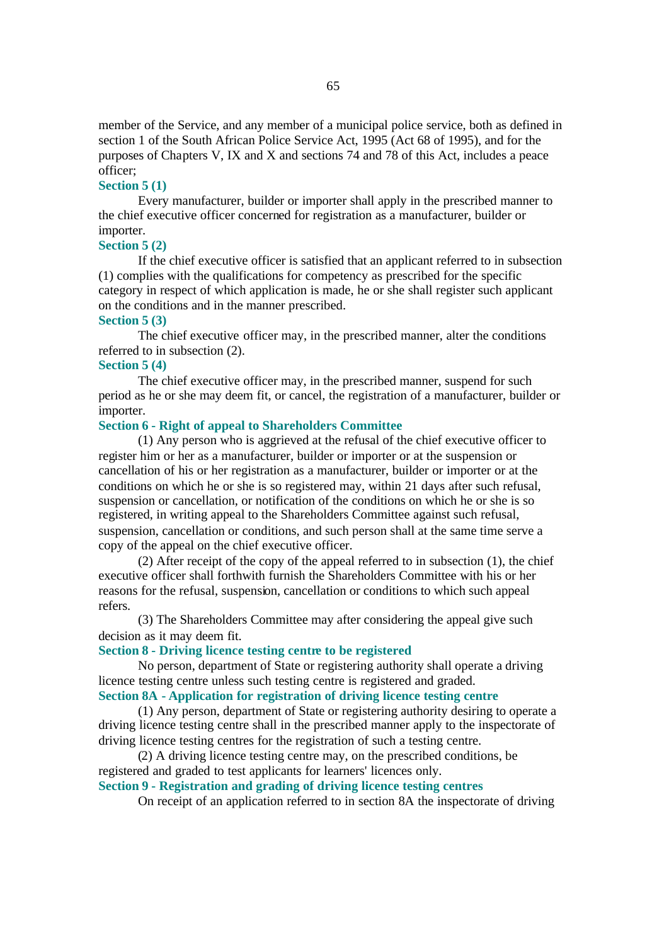member of the Service, and any member of a municipal police service, both as defined in section 1 of the South African Police Service Act, 1995 (Act 68 of 1995), and for the purposes of Chapters V, IX and X and sections 74 and 78 of this Act, includes a peace officer;

#### **Section 5 (1)**

Every manufacturer, builder or importer shall apply in the prescribed manner to the chief executive officer concerned for registration as a manufacturer, builder or importer.

#### **Section 5 (2)**

If the chief executive officer is satisfied that an applicant referred to in subsection (1) complies with the qualifications for competency as prescribed for the specific category in respect of which application is made, he or she shall register such applicant on the conditions and in the manner prescribed.

#### **Section 5 (3)**

The chief executive officer may, in the prescribed manner, alter the conditions referred to in subsection (2).

#### **Section 5 (4)**

The chief executive officer may, in the prescribed manner, suspend for such period as he or she may deem fit, or cancel, the registration of a manufacturer, builder or importer.

#### **Section 6 - Right of appeal to Shareholders Committee**

(1) Any person who is aggrieved at the refusal of the chief executive officer to register him or her as a manufacturer, builder or importer or at the suspension or cancellation of his or her registration as a manufacturer, builder or importer or at the conditions on which he or she is so registered may, within 21 days after such refusal, suspension or cancellation, or notification of the conditions on which he or she is so registered, in writing appeal to the Shareholders Committee against such refusal, suspension, cancellation or conditions, and such person shall at the same time serve a copy of the appeal on the chief executive officer.

(2) After receipt of the copy of the appeal referred to in subsection (1), the chief executive officer shall forthwith furnish the Shareholders Committee with his or her reasons for the refusal, suspension, cancellation or conditions to which such appeal refers.

(3) The Shareholders Committee may after considering the appeal give such decision as it may deem fit.

#### **Section 8 - Driving licence testing centre to be registered**

No person, department of State or registering authority shall operate a driving licence testing centre unless such testing centre is registered and graded. **Section 8A - Application for registration of driving licence testing centre**

(1) Any person, department of State or registering authority desiring to operate a driving licence testing centre shall in the prescribed manner apply to the inspectorate of driving licence testing centres for the registration of such a testing centre.

(2) A driving licence testing centre may, on the prescribed conditions, be registered and graded to test applicants for learners' licences only.

## **Section 9 - Registration and grading of driving licence testing centres**

On receipt of an application referred to in section 8A the inspectorate of driving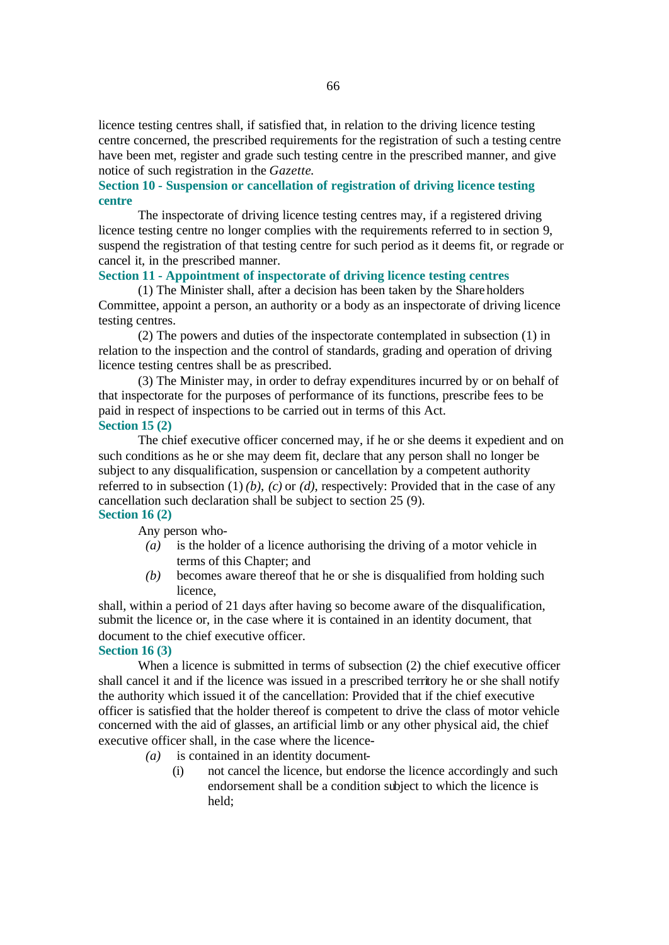licence testing centres shall, if satisfied that, in relation to the driving licence testing centre concerned, the prescribed requirements for the registration of such a testing centre have been met, register and grade such testing centre in the prescribed manner, and give notice of such registration in the *Gazette*.

#### **Section 10 - Suspension or cancellation of registration of driving licence testing centre**

The inspectorate of driving licence testing centres may, if a registered driving licence testing centre no longer complies with the requirements referred to in section 9, suspend the registration of that testing centre for such period as it deems fit, or regrade or cancel it, in the prescribed manner.

#### **Section 11 - Appointment of inspectorate of driving licence testing centres**

(1) The Minister shall, after a decision has been taken by the Shareholders Committee, appoint a person, an authority or a body as an inspectorate of driving licence testing centres.

(2) The powers and duties of the inspectorate contemplated in subsection (1) in relation to the inspection and the control of standards, grading and operation of driving licence testing centres shall be as prescribed.

(3) The Minister may, in order to defray expenditures incurred by or on behalf of that inspectorate for the purposes of performance of its functions, prescribe fees to be paid in respect of inspections to be carried out in terms of this Act. **Section 15 (2)**

The chief executive officer concerned may, if he or she deems it expedient and on such conditions as he or she may deem fit, declare that any person shall no longer be subject to any disqualification, suspension or cancellation by a competent authority referred to in subsection (1) *(b)*, *(c)* or *(d)*, respectively: Provided that in the case of any cancellation such declaration shall be subject to section 25 (9). **Section 16 (2)**

#### Any person who-

- *(a)* is the holder of a licence authorising the driving of a motor vehicle in terms of this Chapter; and
- *(b)* becomes aware thereof that he or she is disqualified from holding such licence,

shall, within a period of 21 days after having so become aware of the disqualification, submit the licence or, in the case where it is contained in an identity document, that document to the chief executive officer.

#### **Section 16 (3)**

When a licence is submitted in terms of subsection (2) the chief executive officer shall cancel it and if the licence was issued in a prescribed territory he or she shall notify the authority which issued it of the cancellation: Provided that if the chief executive officer is satisfied that the holder thereof is competent to drive the class of motor vehicle concerned with the aid of glasses, an artificial limb or any other physical aid, the chief executive officer shall, in the case where the licence-

- *(a)* is contained in an identity document-
	- (i) not cancel the licence, but endorse the licence accordingly and such endorsement shall be a condition subject to which the licence is held;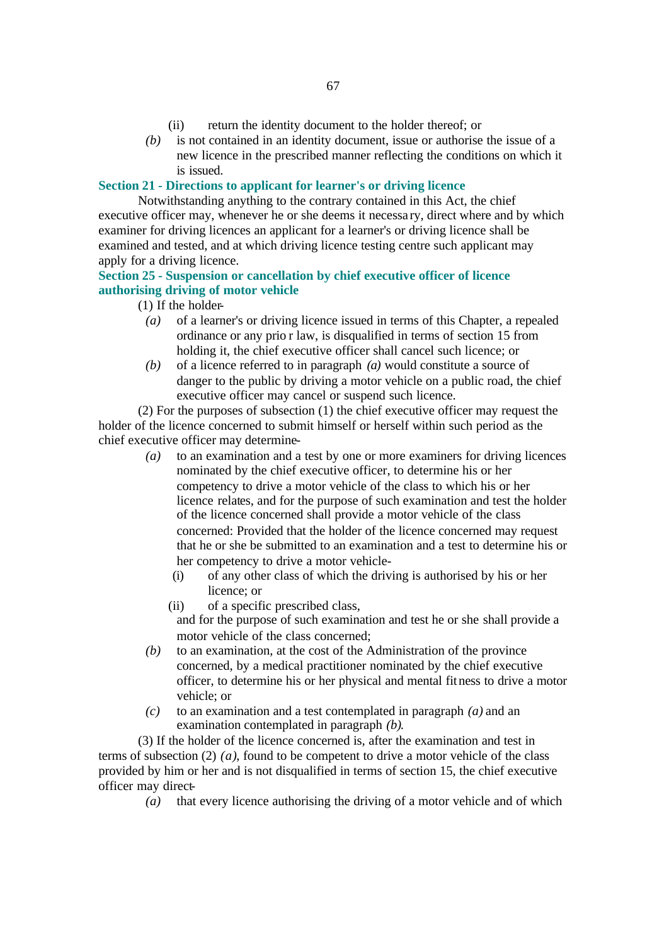- (ii) return the identity document to the holder thereof; or
- *(b)* is not contained in an identity document, issue or authorise the issue of a new licence in the prescribed manner reflecting the conditions on which it is issued.

#### **Section 21 - Directions to applicant for learner's or driving licence**

Notwithstanding anything to the contrary contained in this Act, the chief executive officer may, whenever he or she deems it necessa ry, direct where and by which examiner for driving licences an applicant for a learner's or driving licence shall be examined and tested, and at which driving licence testing centre such applicant may apply for a driving licence.

## **Section 25 - Suspension or cancellation by chief executive officer of licence authorising driving of motor vehicle**

- (1) If the holder-
	- *(a)* of a learner's or driving licence issued in terms of this Chapter, a repealed ordinance or any prio r law, is disqualified in terms of section 15 from holding it, the chief executive officer shall cancel such licence; or
	- *(b)* of a licence referred to in paragraph *(a)* would constitute a source of danger to the public by driving a motor vehicle on a public road, the chief executive officer may cancel or suspend such licence.

(2) For the purposes of subsection (1) the chief executive officer may request the holder of the licence concerned to submit himself or herself within such period as the chief executive officer may determine-

- *(a)* to an examination and a test by one or more examiners for driving licences nominated by the chief executive officer, to determine his or her competency to drive a motor vehicle of the class to which his or her licence relates, and for the purpose of such examination and test the holder of the licence concerned shall provide a motor vehicle of the class concerned: Provided that the holder of the licence concerned may request that he or she be submitted to an examination and a test to determine his or her competency to drive a motor vehicle-
	- (i) of any other class of which the driving is authorised by his or her licence; or
	- (ii) of a specific prescribed class,

and for the purpose of such examination and test he or she shall provide a motor vehicle of the class concerned;

- *(b)* to an examination, at the cost of the Administration of the province concerned, by a medical practitioner nominated by the chief executive officer, to determine his or her physical and mental fitness to drive a motor vehicle; or
- *(c)* to an examination and a test contemplated in paragraph *(a)* and an examination contemplated in paragraph *(b)*.

(3) If the holder of the licence concerned is, after the examination and test in terms of subsection (2) *(a)*, found to be competent to drive a motor vehicle of the class provided by him or her and is not disqualified in terms of section 15, the chief executive officer may direct-

*(a)* that every licence authorising the driving of a motor vehicle and of which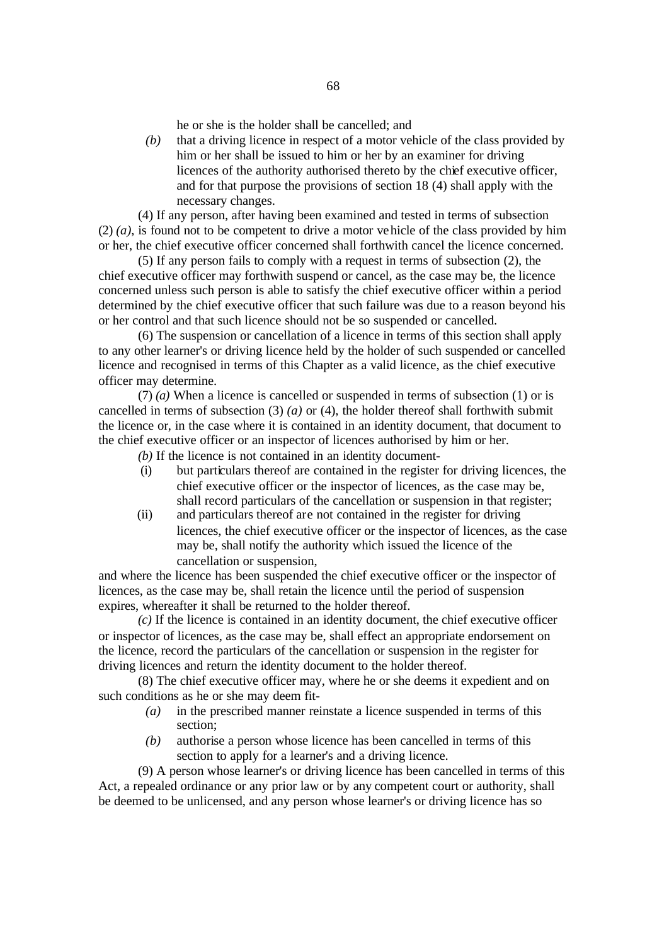he or she is the holder shall be cancelled; and

*(b)* that a driving licence in respect of a motor vehicle of the class provided by him or her shall be issued to him or her by an examiner for driving licences of the authority authorised thereto by the chief executive officer, and for that purpose the provisions of section 18 (4) shall apply with the necessary changes.

(4) If any person, after having been examined and tested in terms of subsection  $(2)$   $(a)$ , is found not to be competent to drive a motor vehicle of the class provided by him or her, the chief executive officer concerned shall forthwith cancel the licence concerned.

(5) If any person fails to comply with a request in terms of subsection (2), the chief executive officer may forthwith suspend or cancel, as the case may be, the licence concerned unless such person is able to satisfy the chief executive officer within a period determined by the chief executive officer that such failure was due to a reason beyond his or her control and that such licence should not be so suspended or cancelled.

(6) The suspension or cancellation of a licence in terms of this section shall apply to any other learner's or driving licence held by the holder of such suspended or cancelled licence and recognised in terms of this Chapter as a valid licence, as the chief executive officer may determine.

(7) *(a)* When a licence is cancelled or suspended in terms of subsection (1) or is cancelled in terms of subsection  $(3)$   $(a)$  or  $(4)$ , the holder thereof shall forthwith submit the licence or, in the case where it is contained in an identity document, that document to the chief executive officer or an inspector of licences authorised by him or her.

*(b)* If the licence is not contained in an identity document-

- (i) but particulars thereof are contained in the register for driving licences, the chief executive officer or the inspector of licences, as the case may be, shall record particulars of the cancellation or suspension in that register;
- (ii) and particulars thereof are not contained in the register for driving licences, the chief executive officer or the inspector of licences, as the case may be, shall notify the authority which issued the licence of the cancellation or suspension,

and where the licence has been suspended the chief executive officer or the inspector of licences, as the case may be, shall retain the licence until the period of suspension expires, whereafter it shall be returned to the holder thereof.

*(c)* If the licence is contained in an identity document, the chief executive officer or inspector of licences, as the case may be, shall effect an appropriate endorsement on the licence, record the particulars of the cancellation or suspension in the register for driving licences and return the identity document to the holder thereof.

(8) The chief executive officer may, where he or she deems it expedient and on such conditions as he or she may deem fit-

- *(a)* in the prescribed manner reinstate a licence suspended in terms of this section;
- *(b)* authorise a person whose licence has been cancelled in terms of this section to apply for a learner's and a driving licence.

(9) A person whose learner's or driving licence has been cancelled in terms of this Act, a repealed ordinance or any prior law or by any competent court or authority, shall be deemed to be unlicensed, and any person whose learner's or driving licence has so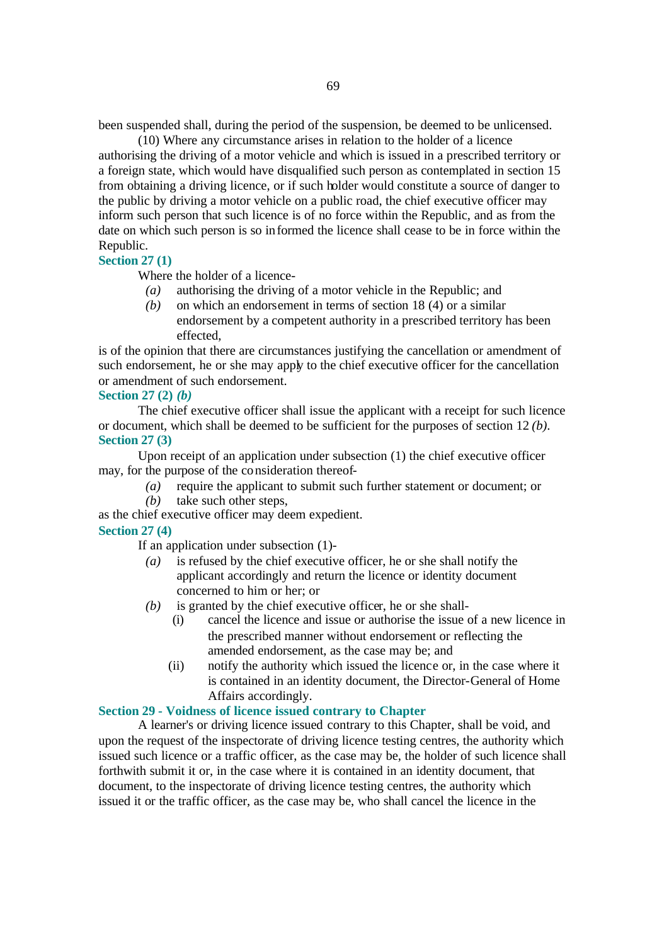been suspended shall, during the period of the suspension, be deemed to be unlicensed.

(10) Where any circumstance arises in relation to the holder of a licence authorising the driving of a motor vehicle and which is issued in a prescribed territory or a foreign state, which would have disqualified such person as contemplated in section 15 from obtaining a driving licence, or if such holder would constitute a source of danger to the public by driving a motor vehicle on a public road, the chief executive officer may inform such person that such licence is of no force within the Republic, and as from the date on which such person is so informed the licence shall cease to be in force within the Republic.

#### **Section 27 (1)**

Where the holder of a licence-

- *(a)* authorising the driving of a motor vehicle in the Republic; and
- *(b)* on which an endorsement in terms of section 18 (4) or a similar endorsement by a competent authority in a prescribed territory has been effected,

is of the opinion that there are circumstances justifying the cancellation or amendment of such endorsement, he or she may apply to the chief executive officer for the cancellation or amendment of such endorsement.

#### **Section 27 (2)** *(b)*

The chief executive officer shall issue the applicant with a receipt for such licence or document, which shall be deemed to be sufficient for the purposes of section 12 *(b)*. **Section 27 (3)**

Upon receipt of an application under subsection (1) the chief executive officer may, for the purpose of the consideration thereof-

- *(a)* require the applicant to submit such further statement or document; or
- *(b)* take such other steps,

as the chief executive officer may deem expedient.

## **Section 27 (4)**

If an application under subsection (1)-

- *(a)* is refused by the chief executive officer, he or she shall notify the applicant accordingly and return the licence or identity document concerned to him or her; or
- *(b)* is granted by the chief executive officer, he or she shall-
	- (i) cancel the licence and issue or authorise the issue of a new licence in the prescribed manner without endorsement or reflecting the amended endorsement, as the case may be; and
	- (ii) notify the authority which issued the licence or, in the case where it is contained in an identity document, the Director-General of Home Affairs accordingly.

## **Section 29 - Voidness of licence issued contrary to Chapter**

A learner's or driving licence issued contrary to this Chapter, shall be void, and upon the request of the inspectorate of driving licence testing centres, the authority which issued such licence or a traffic officer, as the case may be, the holder of such licence shall forthwith submit it or, in the case where it is contained in an identity document, that document, to the inspectorate of driving licence testing centres, the authority which issued it or the traffic officer, as the case may be, who shall cancel the licence in the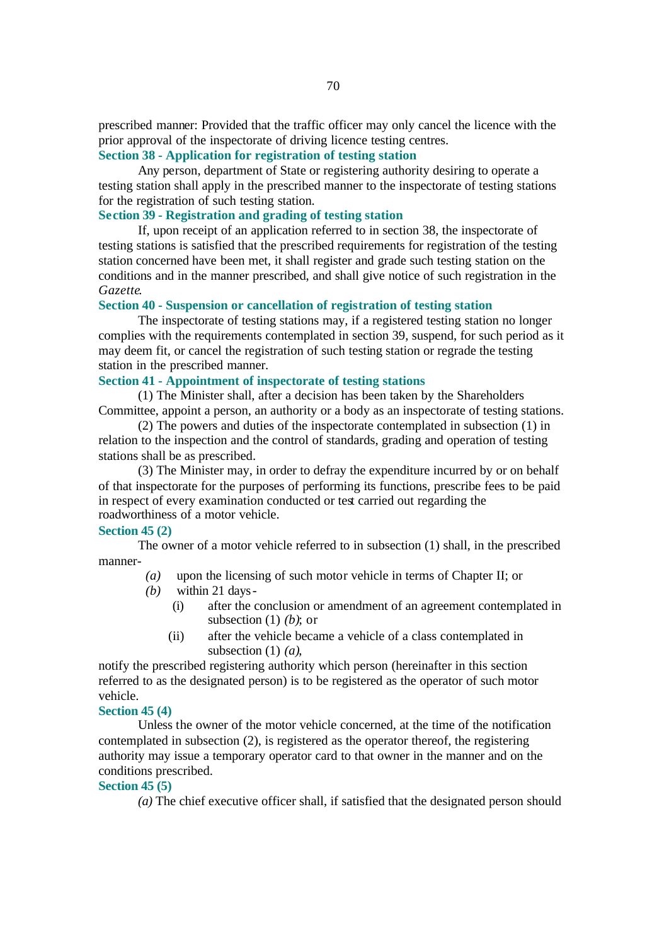prescribed manner: Provided that the traffic officer may only cancel the licence with the prior approval of the inspectorate of driving licence testing centres.

## **Section 38 - Application for registration of testing station**

Any person, department of State or registering authority desiring to operate a testing station shall apply in the prescribed manner to the inspectorate of testing stations for the registration of such testing station.

## **Section 39 - Registration and grading of testing station**

If, upon receipt of an application referred to in section 38, the inspectorate of testing stations is satisfied that the prescribed requirements for registration of the testing station concerned have been met, it shall register and grade such testing station on the conditions and in the manner prescribed, and shall give notice of such registration in the *Gazette*.

#### **Section 40 - Suspension or cancellation of registration of testing station**

The inspectorate of testing stations may, if a registered testing station no longer complies with the requirements contemplated in section 39, suspend, for such period as it may deem fit, or cancel the registration of such testing station or regrade the testing station in the prescribed manner.

#### **Section 41 - Appointment of inspectorate of testing stations**

(1) The Minister shall, after a decision has been taken by the Shareholders Committee, appoint a person, an authority or a body as an inspectorate of testing stations.

(2) The powers and duties of the inspectorate contemplated in subsection (1) in relation to the inspection and the control of standards, grading and operation of testing stations shall be as prescribed.

(3) The Minister may, in order to defray the expenditure incurred by or on behalf of that inspectorate for the purposes of performing its functions, prescribe fees to be paid in respect of every examination conducted or test carried out regarding the roadworthiness of a motor vehicle.

#### **Section 45 (2)**

The owner of a motor vehicle referred to in subsection (1) shall, in the prescribed manner-

- *(a)* upon the licensing of such motor vehicle in terms of Chapter II; or
- *(b)* within 21 days-
	- (i) after the conclusion or amendment of an agreement contemplated in subsection (1) *(b)*; or
	- (ii) after the vehicle became a vehicle of a class contemplated in subsection (1) *(a)*,

notify the prescribed registering authority which person (hereinafter in this section referred to as the designated person) is to be registered as the operator of such motor vehicle.

#### **Section 45 (4)**

Unless the owner of the motor vehicle concerned, at the time of the notification contemplated in subsection (2), is registered as the operator thereof, the registering authority may issue a temporary operator card to that owner in the manner and on the conditions prescribed.

#### **Section 45 (5)**

*(a)* The chief executive officer shall, if satisfied that the designated person should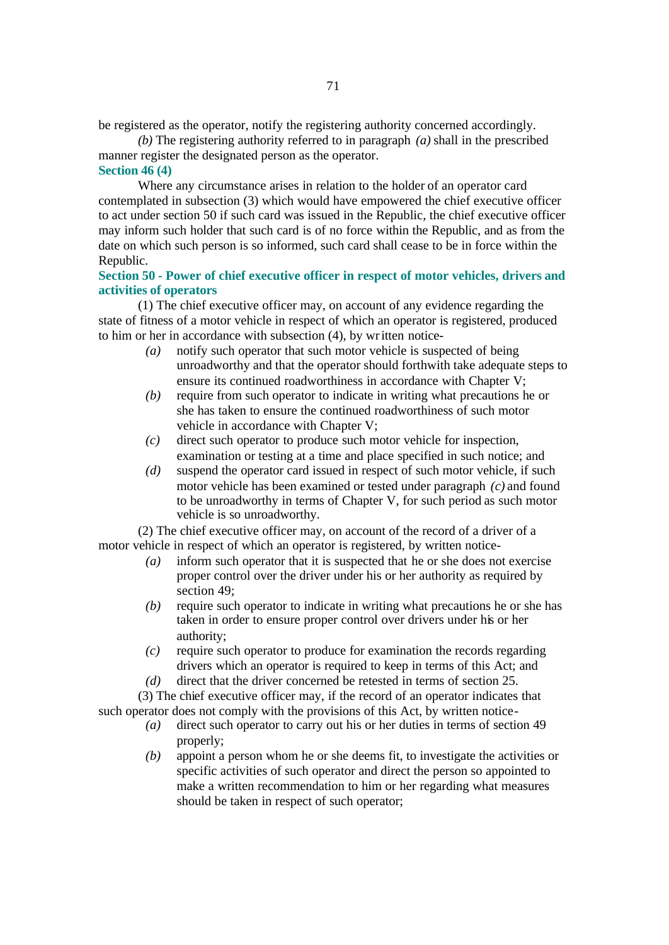be registered as the operator, notify the registering authority concerned accordingly.

*(b)* The registering authority referred to in paragraph *(a)* shall in the prescribed manner register the designated person as the operator.

#### **Section 46 (4)**

Where any circumstance arises in relation to the holder of an operator card contemplated in subsection (3) which would have empowered the chief executive officer to act under section 50 if such card was issued in the Republic, the chief executive officer may inform such holder that such card is of no force within the Republic, and as from the date on which such person is so informed, such card shall cease to be in force within the Republic.

## **Section 50 - Power of chief executive officer in respect of motor vehicles, drivers and activities of operators**

(1) The chief executive officer may, on account of any evidence regarding the state of fitness of a motor vehicle in respect of which an operator is registered, produced to him or her in accordance with subsection (4), by written notice-

- *(a)* notify such operator that such motor vehicle is suspected of being unroadworthy and that the operator should forthwith take adequate steps to ensure its continued roadworthiness in accordance with Chapter V;
- *(b)* require from such operator to indicate in writing what precautions he or she has taken to ensure the continued roadworthiness of such motor vehicle in accordance with Chapter V;
- *(c)* direct such operator to produce such motor vehicle for inspection, examination or testing at a time and place specified in such notice; and
- *(d)* suspend the operator card issued in respect of such motor vehicle, if such motor vehicle has been examined or tested under paragraph *(c)* and found to be unroadworthy in terms of Chapter V, for such period as such motor vehicle is so unroadworthy.

(2) The chief executive officer may, on account of the record of a driver of a motor vehicle in respect of which an operator is registered, by written notice-

- *(a)* inform such operator that it is suspected that he or she does not exercise proper control over the driver under his or her authority as required by section 49;
- *(b)* require such operator to indicate in writing what precautions he or she has taken in order to ensure proper control over drivers under his or her authority;
- *(c)* require such operator to produce for examination the records regarding drivers which an operator is required to keep in terms of this Act; and
- *(d)* direct that the driver concerned be retested in terms of section 25.

(3) The chief executive officer may, if the record of an operator indicates that such operator does not comply with the provisions of this Act, by written notice-

- *(a)* direct such operator to carry out his or her duties in terms of section 49 properly;
- *(b)* appoint a person whom he or she deems fit, to investigate the activities or specific activities of such operator and direct the person so appointed to make a written recommendation to him or her regarding what measures should be taken in respect of such operator;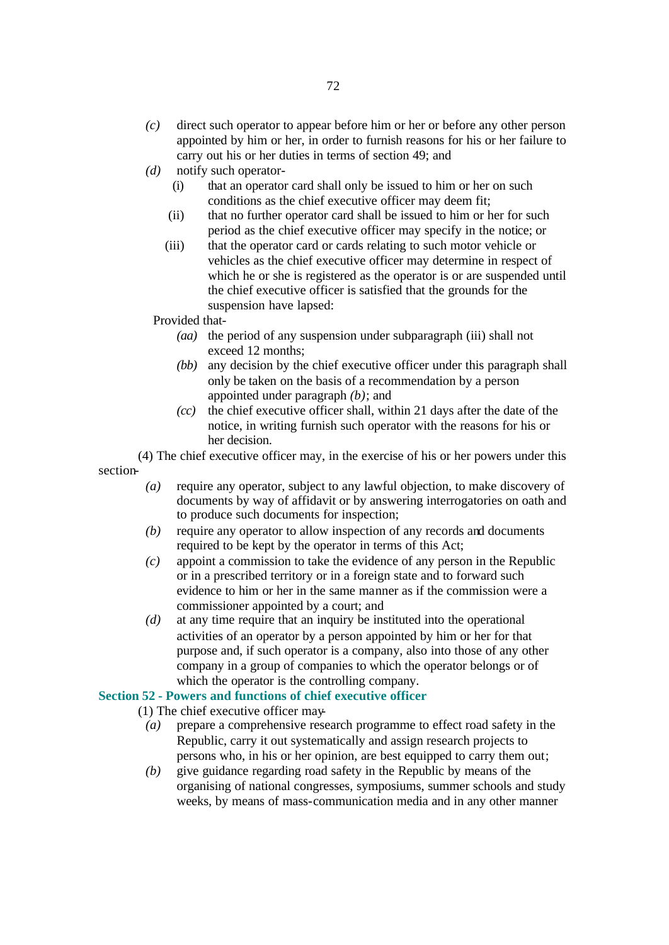- *(c)* direct such operator to appear before him or her or before any other person appointed by him or her, in order to furnish reasons for his or her failure to carry out his or her duties in terms of section 49; and
- *(d)* notify such operator-
	- (i) that an operator card shall only be issued to him or her on such conditions as the chief executive officer may deem fit;
	- (ii) that no further operator card shall be issued to him or her for such period as the chief executive officer may specify in the notice; or
	- (iii) that the operator card or cards relating to such motor vehicle or vehicles as the chief executive officer may determine in respect of which he or she is registered as the operator is or are suspended until the chief executive officer is satisfied that the grounds for the suspension have lapsed:

#### Provided that-

- *(aa)* the period of any suspension under subparagraph (iii) shall not exceed 12 months;
- *(bb)* any decision by the chief executive officer under this paragraph shall only be taken on the basis of a recommendation by a person appointed under paragraph *(b)*; and
- *(cc)* the chief executive officer shall, within 21 days after the date of the notice, in writing furnish such operator with the reasons for his or her decision.

(4) The chief executive officer may, in the exercise of his or her powers under this section-

- *(a)* require any operator, subject to any lawful objection, to make discovery of documents by way of affidavit or by answering interrogatories on oath and to produce such documents for inspection;
- *(b)* require any operator to allow inspection of any records and documents required to be kept by the operator in terms of this Act;
- *(c)* appoint a commission to take the evidence of any person in the Republic or in a prescribed territory or in a foreign state and to forward such evidence to him or her in the same manner as if the commission were a commissioner appointed by a court; and
- *(d)* at any time require that an inquiry be instituted into the operational activities of an operator by a person appointed by him or her for that purpose and, if such operator is a company, also into those of any other company in a group of companies to which the operator belongs or of which the operator is the controlling company.

#### **Section 52 - Powers and functions of chief executive officer**

(1) The chief executive officer may-

- *(a)* prepare a comprehensive research programme to effect road safety in the Republic, carry it out systematically and assign research projects to persons who, in his or her opinion, are best equipped to carry them out;
- *(b)* give guidance regarding road safety in the Republic by means of the organising of national congresses, symposiums, summer schools and study weeks, by means of mass-communication media and in any other manner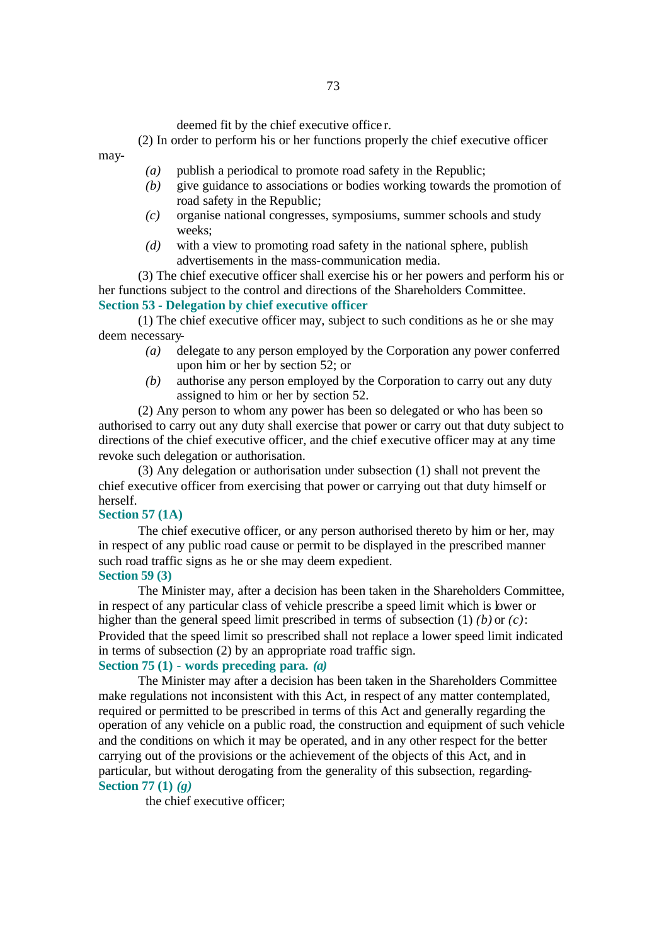deemed fit by the chief executive office r.

(2) In order to perform his or her functions properly the chief executive officer

- *(a)* publish a periodical to promote road safety in the Republic;
- *(b)* give guidance to associations or bodies working towards the promotion of road safety in the Republic;
- *(c)* organise national congresses, symposiums, summer schools and study weeks;
- *(d)* with a view to promoting road safety in the national sphere, publish advertisements in the mass-communication media.

(3) The chief executive officer shall exercise his or her powers and perform his or her functions subject to the control and directions of the Shareholders Committee. **Section 53 - Delegation by chief executive officer**

(1) The chief executive officer may, subject to such conditions as he or she may deem necessary-

- *(a)* delegate to any person employed by the Corporation any power conferred upon him or her by section 52; or
- *(b)* authorise any person employed by the Corporation to carry out any duty assigned to him or her by section 52.

(2) Any person to whom any power has been so delegated or who has been so authorised to carry out any duty shall exercise that power or carry out that duty subject to directions of the chief executive officer, and the chief executive officer may at any time revoke such delegation or authorisation.

(3) Any delegation or authorisation under subsection (1) shall not prevent the chief executive officer from exercising that power or carrying out that duty himself or herself.

### **Section 57 (1A)**

may-

The chief executive officer, or any person authorised thereto by him or her, may in respect of any public road cause or permit to be displayed in the prescribed manner such road traffic signs as he or she may deem expedient. **Section 59 (3)**

The Minister may, after a decision has been taken in the Shareholders Committee, in respect of any particular class of vehicle prescribe a speed limit which is lower or higher than the general speed limit prescribed in terms of subsection (1) *(b)* or *(c)*: Provided that the speed limit so prescribed shall not replace a lower speed limit indicated in terms of subsection (2) by an appropriate road traffic sign.

## **Section 75 (1) - words preceding para.** *(a)*

The Minister may after a decision has been taken in the Shareholders Committee make regulations not inconsistent with this Act, in respect of any matter contemplated, required or permitted to be prescribed in terms of this Act and generally regarding the operation of any vehicle on a public road, the construction and equipment of such vehicle and the conditions on which it may be operated, and in any other respect for the better carrying out of the provisions or the achievement of the objects of this Act, and in particular, but without derogating from the generality of this subsection, regarding-**Section 77 (1)** *(g)*

the chief executive officer;